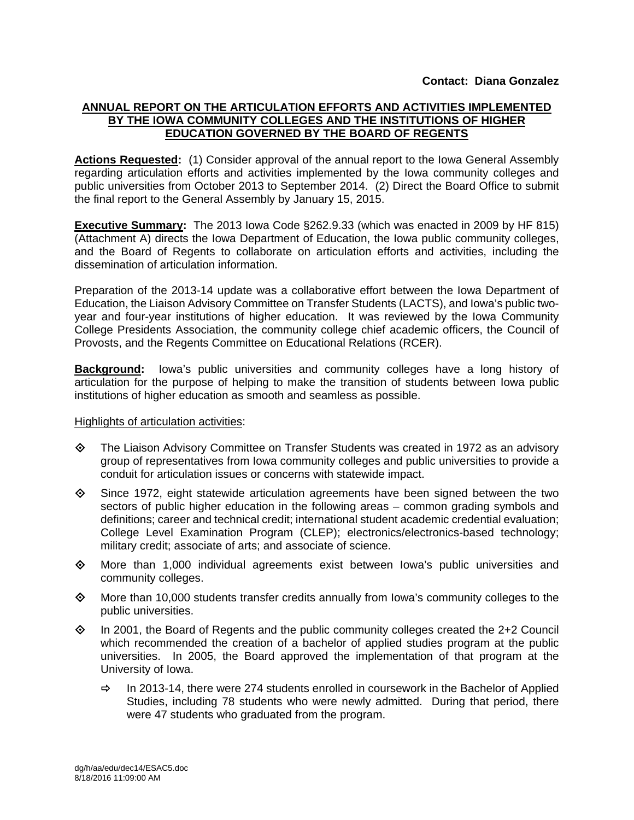# **ANNUAL REPORT ON THE ARTICULATION EFFORTS AND ACTIVITIES IMPLEMENTED BY THE IOWA COMMUNITY COLLEGES AND THE INSTITUTIONS OF HIGHER EDUCATION GOVERNED BY THE BOARD OF REGENTS**

**Actions Requested:** (1) Consider approval of the annual report to the Iowa General Assembly regarding articulation efforts and activities implemented by the Iowa community colleges and public universities from October 2013 to September 2014. (2) Direct the Board Office to submit the final report to the General Assembly by January 15, 2015.

**Executive Summary:** The 2013 Iowa Code §262.9.33 (which was enacted in 2009 by HF 815) (Attachment A) directs the Iowa Department of Education, the Iowa public community colleges, and the Board of Regents to collaborate on articulation efforts and activities, including the dissemination of articulation information.

Preparation of the 2013-14 update was a collaborative effort between the Iowa Department of Education, the Liaison Advisory Committee on Transfer Students (LACTS), and Iowa's public twoyear and four-year institutions of higher education. It was reviewed by the Iowa Community College Presidents Association, the community college chief academic officers, the Council of Provosts, and the Regents Committee on Educational Relations (RCER).

**Background:** Iowa's public universities and community colleges have a long history of articulation for the purpose of helping to make the transition of students between Iowa public institutions of higher education as smooth and seamless as possible.

## Highlights of articulation activities:

- The Liaison Advisory Committee on Transfer Students was created in 1972 as an advisory group of representatives from Iowa community colleges and public universities to provide a conduit for articulation issues or concerns with statewide impact.
- $\diamond$  Since 1972, eight statewide articulation agreements have been signed between the two sectors of public higher education in the following areas – common grading symbols and definitions; career and technical credit; international student academic credential evaluation; College Level Examination Program (CLEP); electronics/electronics-based technology; military credit; associate of arts; and associate of science.
- More than 1,000 individual agreements exist between Iowa's public universities and community colleges.
- $\diamond$  More than 10,000 students transfer credits annually from lowa's community colleges to the public universities.
- $\diamond$  In 2001, the Board of Regents and the public community colleges created the 2+2 Council which recommended the creation of a bachelor of applied studies program at the public universities. In 2005, the Board approved the implementation of that program at the University of Iowa.
	- $\Rightarrow$  In 2013-14, there were 274 students enrolled in coursework in the Bachelor of Applied Studies, including 78 students who were newly admitted. During that period, there were 47 students who graduated from the program.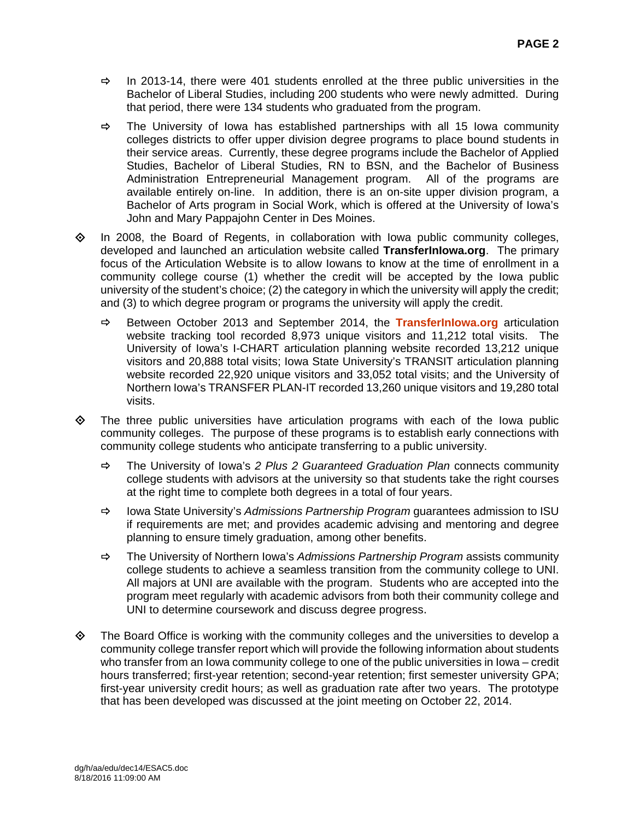- $\Rightarrow$  In 2013-14, there were 401 students enrolled at the three public universities in the Bachelor of Liberal Studies, including 200 students who were newly admitted. During that period, there were 134 students who graduated from the program.
- $\Rightarrow$  The University of Iowa has established partnerships with all 15 Iowa community colleges districts to offer upper division degree programs to place bound students in their service areas. Currently, these degree programs include the Bachelor of Applied Studies, Bachelor of Liberal Studies, RN to BSN, and the Bachelor of Business Administration Entrepreneurial Management program. All of the programs are available entirely on-line. In addition, there is an on-site upper division program, a Bachelor of Arts program in Social Work, which is offered at the University of Iowa's John and Mary Pappajohn Center in Des Moines.
- $\Diamond$  In 2008, the Board of Regents, in collaboration with Iowa public community colleges, developed and launched an articulation website called **TransferInIowa.org**. The primary focus of the Articulation Website is to allow Iowans to know at the time of enrollment in a community college course (1) whether the credit will be accepted by the Iowa public university of the student's choice; (2) the category in which the university will apply the credit; and (3) to which degree program or programs the university will apply the credit.
	- Between October 2013 and September 2014, the **TransferInIowa.org** articulation website tracking tool recorded 8,973 unique visitors and 11,212 total visits. The University of Iowa's I-CHART articulation planning website recorded 13,212 unique visitors and 20,888 total visits; Iowa State University's TRANSIT articulation planning website recorded 22,920 unique visitors and 33,052 total visits; and the University of Northern Iowa's TRANSFER PLAN-IT recorded 13,260 unique visitors and 19,280 total visits.
- $\diamond$  The three public universities have articulation programs with each of the lowa public community colleges. The purpose of these programs is to establish early connections with community college students who anticipate transferring to a public university.
	- The University of Iowa's *2 Plus 2 Guaranteed Graduation Plan* connects community college students with advisors at the university so that students take the right courses at the right time to complete both degrees in a total of four years.
	- Iowa State University's *Admissions Partnership Program* guarantees admission to ISU if requirements are met; and provides academic advising and mentoring and degree planning to ensure timely graduation, among other benefits.
	- The University of Northern Iowa's *Admissions Partnership Program* assists community college students to achieve a seamless transition from the community college to UNI. All majors at UNI are available with the program. Students who are accepted into the program meet regularly with academic advisors from both their community college and UNI to determine coursework and discuss degree progress.
- $\Diamond$  The Board Office is working with the community colleges and the universities to develop a community college transfer report which will provide the following information about students who transfer from an Iowa community college to one of the public universities in Iowa – credit hours transferred; first-year retention; second-year retention; first semester university GPA; first-year university credit hours; as well as graduation rate after two years. The prototype that has been developed was discussed at the joint meeting on October 22, 2014.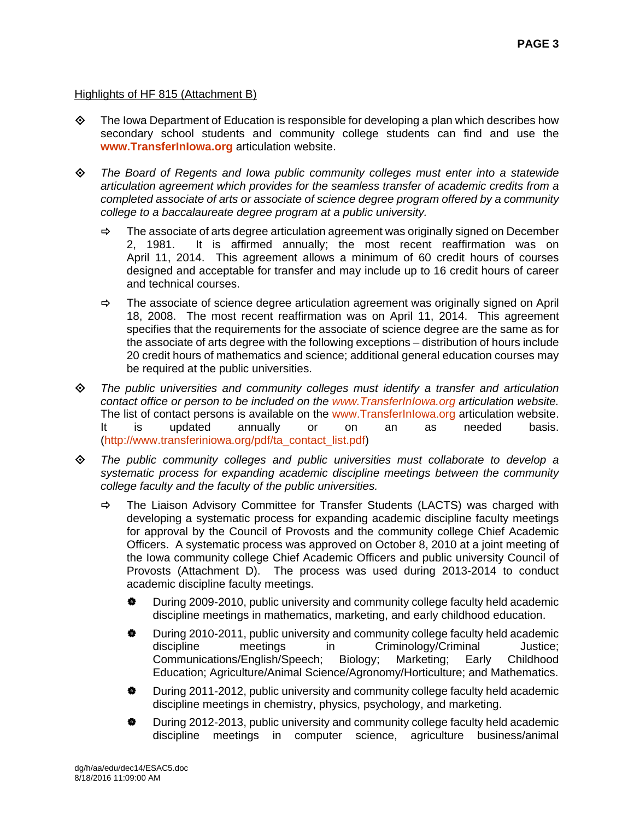# Highlights of HF 815 (Attachment B)

- $\diamond$  The Iowa Department of Education is responsible for developing a plan which describes how secondary school students and community college students can find and use the **www.TransferInIowa.org** articulation website.
- *The Board of Regents and Iowa public community colleges must enter into a statewide articulation agreement which provides for the seamless transfer of academic credits from a completed associate of arts or associate of science degree program offered by a community college to a baccalaureate degree program at a public university.* 
	- $\Rightarrow$  The associate of arts degree articulation agreement was originally signed on December 2, 1981. It is affirmed annually; the most recent reaffirmation was on April 11, 2014. This agreement allows a minimum of 60 credit hours of courses designed and acceptable for transfer and may include up to 16 credit hours of career and technical courses.
	- $\Rightarrow$  The associate of science degree articulation agreement was originally signed on April 18, 2008. The most recent reaffirmation was on April 11, 2014. This agreement specifies that the requirements for the associate of science degree are the same as for the associate of arts degree with the following exceptions – distribution of hours include 20 credit hours of mathematics and science; additional general education courses may be required at the public universities.
- *The public universities and community colleges must identify a transfer and articulation contact office or person to be included on the www.TransferInIowa.org articulation website.* The list of contact persons is available on the www.TransferInIowa.org articulation website. It is updated annually or on an as needed basis. (http://www.transferiniowa.org/pdf/ta\_contact\_list.pdf)
- *The public community colleges and public universities must collaborate to develop a systematic process for expanding academic discipline meetings between the community college faculty and the faculty of the public universities.* 
	- $\Rightarrow$  The Liaison Advisory Committee for Transfer Students (LACTS) was charged with developing a systematic process for expanding academic discipline faculty meetings for approval by the Council of Provosts and the community college Chief Academic Officers. A systematic process was approved on October 8, 2010 at a joint meeting of the Iowa community college Chief Academic Officers and public university Council of Provosts (Attachment D). The process was used during 2013-2014 to conduct academic discipline faculty meetings.
		- $\bullet$  During 2009-2010, public university and community college faculty held academic discipline meetings in mathematics, marketing, and early childhood education.
		- During 2010-2011, public university and community college faculty held academic discipline meetings in Criminology/Criminal Justice; Communications/English/Speech; Biology; Marketing; Early Childhood Education; Agriculture/Animal Science/Agronomy/Horticulture; and Mathematics.
		- During 2011-2012, public university and community college faculty held academic discipline meetings in chemistry, physics, psychology, and marketing.
		- $\bullet$  During 2012-2013, public university and community college faculty held academic discipline meetings in computer science, agriculture business/animal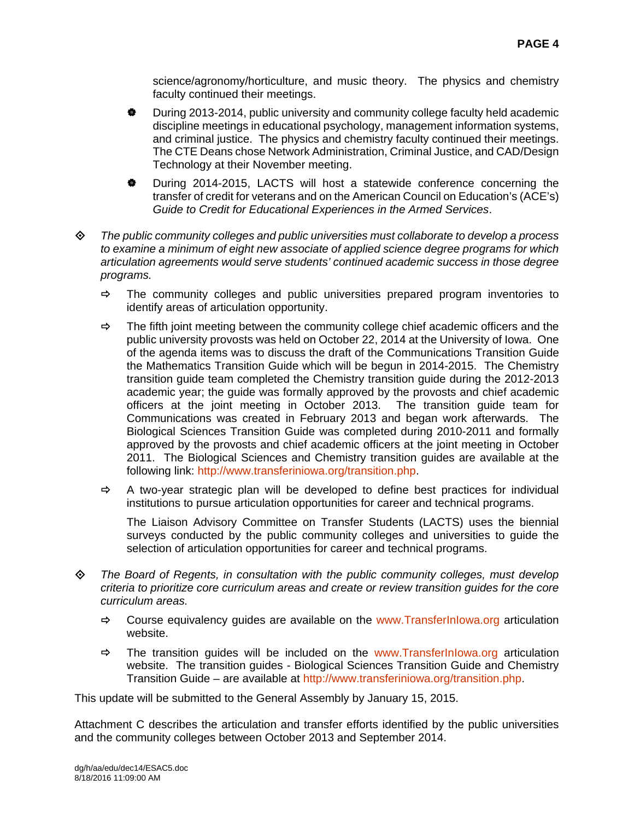science/agronomy/horticulture, and music theory. The physics and chemistry faculty continued their meetings.

- During 2013-2014, public university and community college faculty held academic discipline meetings in educational psychology, management information systems, and criminal justice. The physics and chemistry faculty continued their meetings. The CTE Deans chose Network Administration, Criminal Justice, and CAD/Design Technology at their November meeting.
- During 2014-2015, LACTS will host a statewide conference concerning the transfer of credit for veterans and on the American Council on Education's (ACE's) *Guide to Credit for Educational Experiences in the Armed Services*.
- *The public community colleges and public universities must collaborate to develop a process to examine a minimum of eight new associate of applied science degree programs for which articulation agreements would serve students' continued academic success in those degree programs.* 
	- $\Rightarrow$  The community colleges and public universities prepared program inventories to identify areas of articulation opportunity.
	- $\Rightarrow$  The fifth joint meeting between the community college chief academic officers and the public university provosts was held on October 22, 2014 at the University of Iowa. One of the agenda items was to discuss the draft of the Communications Transition Guide the Mathematics Transition Guide which will be begun in 2014-2015. The Chemistry transition guide team completed the Chemistry transition guide during the 2012-2013 academic year; the guide was formally approved by the provosts and chief academic officers at the joint meeting in October 2013. The transition guide team for Communications was created in February 2013 and began work afterwards. The Biological Sciences Transition Guide was completed during 2010-2011 and formally approved by the provosts and chief academic officers at the joint meeting in October 2011. The Biological Sciences and Chemistry transition guides are available at the following link: http://www.transferiniowa.org/transition.php.
	- $\Rightarrow$  A two-year strategic plan will be developed to define best practices for individual institutions to pursue articulation opportunities for career and technical programs.

The Liaison Advisory Committee on Transfer Students (LACTS) uses the biennial surveys conducted by the public community colleges and universities to guide the selection of articulation opportunities for career and technical programs.

- *The Board of Regents, in consultation with the public community colleges, must develop criteria to prioritize core curriculum areas and create or review transition guides for the core curriculum areas.* 
	- $\Rightarrow$  Course equivalency quides are available on the www.Transferinlowa.org articulation website.
	- $\Rightarrow$  The transition guides will be included on the www.TransferInIowa.org articulation website. The transition guides - Biological Sciences Transition Guide and Chemistry Transition Guide – are available at http://www.transferiniowa.org/transition.php.

This update will be submitted to the General Assembly by January 15, 2015.

Attachment C describes the articulation and transfer efforts identified by the public universities and the community colleges between October 2013 and September 2014.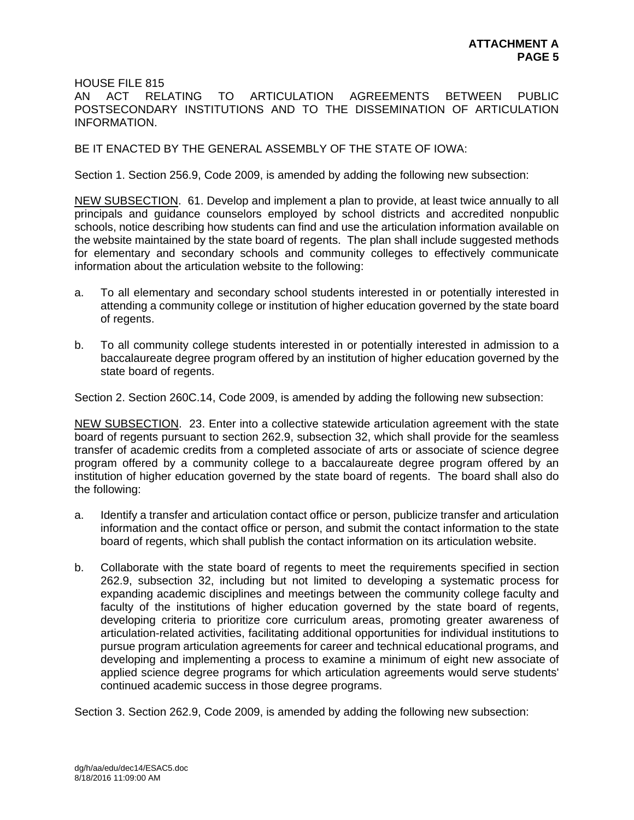HOUSE FILE 815

AN ACT RELATING TO ARTICULATION AGREEMENTS BETWEEN PUBLIC POSTSECONDARY INSTITUTIONS AND TO THE DISSEMINATION OF ARTICULATION INFORMATION.

BE IT ENACTED BY THE GENERAL ASSEMBLY OF THE STATE OF IOWA:

Section 1. Section 256.9, Code 2009, is amended by adding the following new subsection:

NEW SUBSECTION. 61. Develop and implement a plan to provide, at least twice annually to all principals and guidance counselors employed by school districts and accredited nonpublic schools, notice describing how students can find and use the articulation information available on the website maintained by the state board of regents. The plan shall include suggested methods for elementary and secondary schools and community colleges to effectively communicate information about the articulation website to the following:

- a. To all elementary and secondary school students interested in or potentially interested in attending a community college or institution of higher education governed by the state board of regents.
- b. To all community college students interested in or potentially interested in admission to a baccalaureate degree program offered by an institution of higher education governed by the state board of regents.

Section 2. Section 260C.14, Code 2009, is amended by adding the following new subsection:

NEW SUBSECTION. 23. Enter into a collective statewide articulation agreement with the state board of regents pursuant to section 262.9, subsection 32, which shall provide for the seamless transfer of academic credits from a completed associate of arts or associate of science degree program offered by a community college to a baccalaureate degree program offered by an institution of higher education governed by the state board of regents. The board shall also do the following:

- a. Identify a transfer and articulation contact office or person, publicize transfer and articulation information and the contact office or person, and submit the contact information to the state board of regents, which shall publish the contact information on its articulation website.
- b. Collaborate with the state board of regents to meet the requirements specified in section 262.9, subsection 32, including but not limited to developing a systematic process for expanding academic disciplines and meetings between the community college faculty and faculty of the institutions of higher education governed by the state board of regents, developing criteria to prioritize core curriculum areas, promoting greater awareness of articulation-related activities, facilitating additional opportunities for individual institutions to pursue program articulation agreements for career and technical educational programs, and developing and implementing a process to examine a minimum of eight new associate of applied science degree programs for which articulation agreements would serve students' continued academic success in those degree programs.

Section 3. Section 262.9, Code 2009, is amended by adding the following new subsection: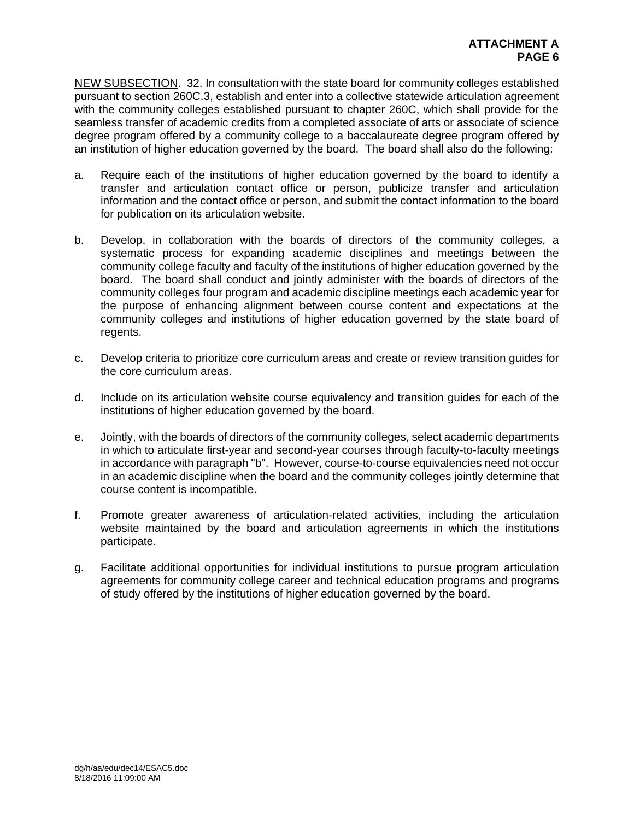NEW SUBSECTION. 32. In consultation with the state board for community colleges established pursuant to section 260C.3, establish and enter into a collective statewide articulation agreement with the community colleges established pursuant to chapter 260C, which shall provide for the seamless transfer of academic credits from a completed associate of arts or associate of science degree program offered by a community college to a baccalaureate degree program offered by an institution of higher education governed by the board. The board shall also do the following:

- a. Require each of the institutions of higher education governed by the board to identify a transfer and articulation contact office or person, publicize transfer and articulation information and the contact office or person, and submit the contact information to the board for publication on its articulation website.
- b. Develop, in collaboration with the boards of directors of the community colleges, a systematic process for expanding academic disciplines and meetings between the community college faculty and faculty of the institutions of higher education governed by the board. The board shall conduct and jointly administer with the boards of directors of the community colleges four program and academic discipline meetings each academic year for the purpose of enhancing alignment between course content and expectations at the community colleges and institutions of higher education governed by the state board of regents.
- c. Develop criteria to prioritize core curriculum areas and create or review transition guides for the core curriculum areas.
- d. Include on its articulation website course equivalency and transition guides for each of the institutions of higher education governed by the board.
- e. Jointly, with the boards of directors of the community colleges, select academic departments in which to articulate first-year and second-year courses through faculty-to-faculty meetings in accordance with paragraph "b". However, course-to-course equivalencies need not occur in an academic discipline when the board and the community colleges jointly determine that course content is incompatible.
- f. Promote greater awareness of articulation-related activities, including the articulation website maintained by the board and articulation agreements in which the institutions participate.
- g. Facilitate additional opportunities for individual institutions to pursue program articulation agreements for community college career and technical education programs and programs of study offered by the institutions of higher education governed by the board.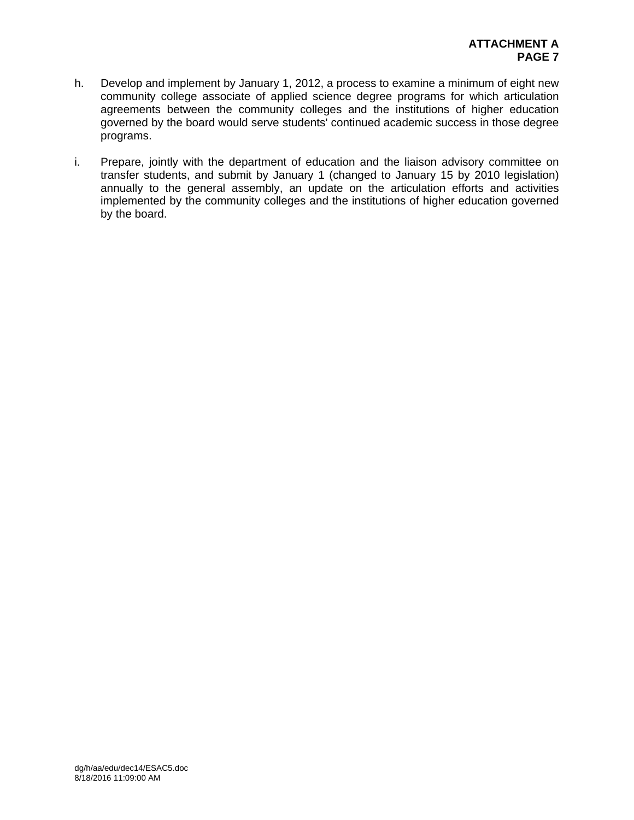- h. Develop and implement by January 1, 2012, a process to examine a minimum of eight new community college associate of applied science degree programs for which articulation agreements between the community colleges and the institutions of higher education governed by the board would serve students' continued academic success in those degree programs.
- i. Prepare, jointly with the department of education and the liaison advisory committee on transfer students, and submit by January 1 (changed to January 15 by 2010 legislation) annually to the general assembly, an update on the articulation efforts and activities implemented by the community colleges and the institutions of higher education governed by the board.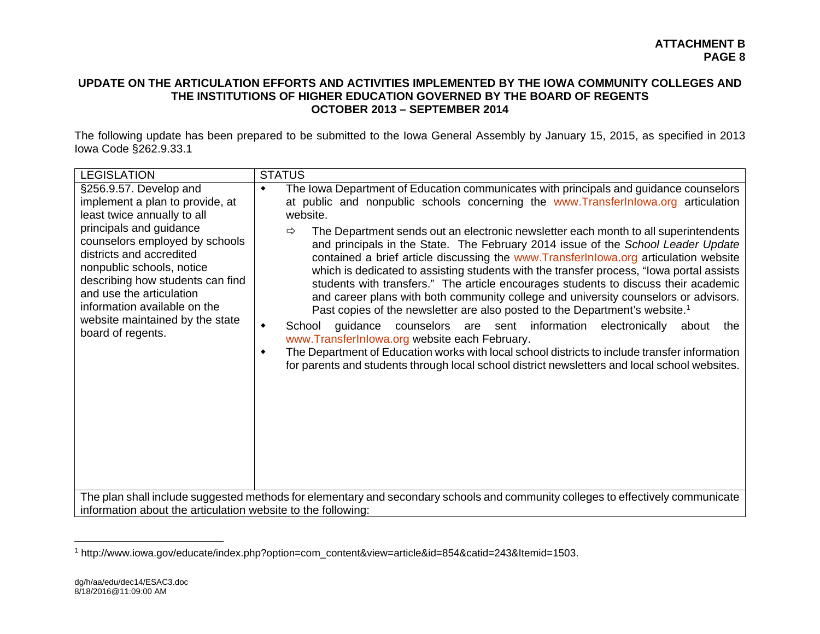## **UPDATE ON THE ARTICULATION EFFORTS AND ACTIVITIES IMPLEMENTED BY THE IOWA COMMUNITY COLLEGES AND THE INSTITUTIONS OF HIGHER EDUCATION GOVERNED BY THE BOARD OF REGENTS OCTOBER 2013 – SEPTEMBER 2014**

The following update has been prepared to be submitted to the Iowa General Assembly by January 15, 2015, as specified in 2013 Iowa Code §262.9.33.1

| <b>LEGISLATION</b>                                                                                                                                                                                                                                                                                                                                                     | <b>STATUS</b>                                                                                                                                                                                                                                                                                                                                                                                                                                                                                                                                                                                                                                                                                                                                                                                                                                                                                                                                                                                                                                                                                                                                                                                       |  |  |
|------------------------------------------------------------------------------------------------------------------------------------------------------------------------------------------------------------------------------------------------------------------------------------------------------------------------------------------------------------------------|-----------------------------------------------------------------------------------------------------------------------------------------------------------------------------------------------------------------------------------------------------------------------------------------------------------------------------------------------------------------------------------------------------------------------------------------------------------------------------------------------------------------------------------------------------------------------------------------------------------------------------------------------------------------------------------------------------------------------------------------------------------------------------------------------------------------------------------------------------------------------------------------------------------------------------------------------------------------------------------------------------------------------------------------------------------------------------------------------------------------------------------------------------------------------------------------------------|--|--|
| §256.9.57. Develop and<br>implement a plan to provide, at<br>least twice annually to all<br>principals and guidance<br>counselors employed by schools<br>districts and accredited<br>nonpublic schools, notice<br>describing how students can find<br>and use the articulation<br>information available on the<br>website maintained by the state<br>board of regents. | The Iowa Department of Education communicates with principals and guidance counselors<br>$\bullet$<br>at public and nonpublic schools concerning the www.Transferlnlowa.org articulation<br>website.<br>The Department sends out an electronic newsletter each month to all superintendents<br>⇨<br>and principals in the State. The February 2014 issue of the School Leader Update<br>contained a brief article discussing the www.Transferlnlowa.org articulation website<br>which is dedicated to assisting students with the transfer process, "lowa portal assists<br>students with transfers." The article encourages students to discuss their academic<br>and career plans with both community college and university counselors or advisors.<br>Past copies of the newsletter are also posted to the Department's website. <sup>1</sup><br>guidance counselors are sent information electronically<br>School<br>٠<br>about<br>the<br>www.TransferInlowa.org website each February.<br>The Department of Education works with local school districts to include transfer information<br>٠<br>for parents and students through local school district newsletters and local school websites. |  |  |
| The plan shall include suggested methods for elementary and secondary schools and community colleges to effectively communicate<br>information about the articulation website to the following:                                                                                                                                                                        |                                                                                                                                                                                                                                                                                                                                                                                                                                                                                                                                                                                                                                                                                                                                                                                                                                                                                                                                                                                                                                                                                                                                                                                                     |  |  |

<sup>1</sup> http://www.iowa.gov/educate/index.php?option=com\_content&view=article&id=854&catid=243&Itemid=1503.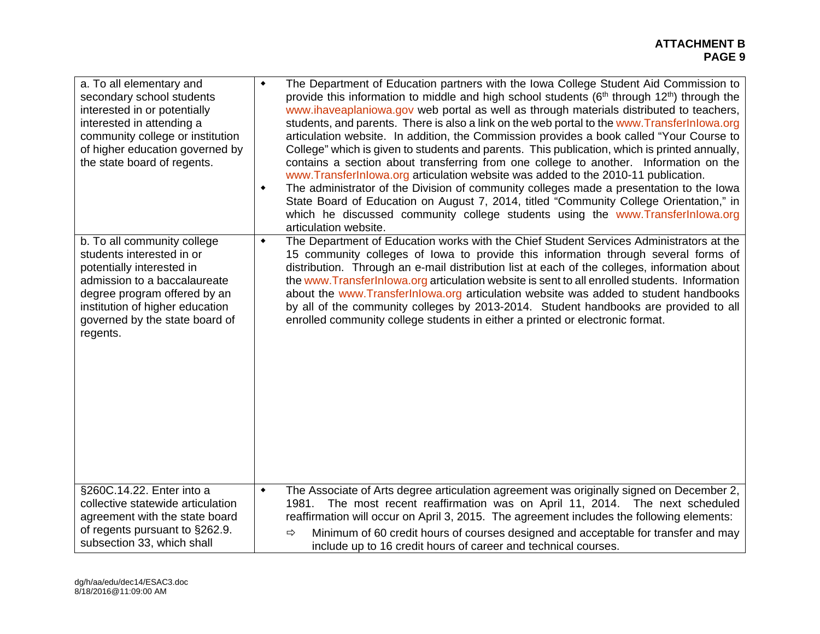| a. To all elementary and<br>secondary school students<br>interested in or potentially<br>interested in attending a<br>community college or institution<br>of higher education governed by<br>the state board of regents.               | $\blacklozenge$<br>۰ | The Department of Education partners with the Iowa College Student Aid Commission to<br>provide this information to middle and high school students $(6th$ through 12 <sup>th</sup> ) through the<br>www.ihaveaplaniowa.gov web portal as well as through materials distributed to teachers,<br>students, and parents. There is also a link on the web portal to the www.Transferlnlowa.org<br>articulation website. In addition, the Commission provides a book called "Your Course to<br>College" which is given to students and parents. This publication, which is printed annually,<br>contains a section about transferring from one college to another. Information on the<br>www.TransferInlowa.org articulation website was added to the 2010-11 publication.<br>The administrator of the Division of community colleges made a presentation to the lowa<br>State Board of Education on August 7, 2014, titled "Community College Orientation," in<br>which he discussed community college students using the www.TransferInlowa.org<br>articulation website. |
|----------------------------------------------------------------------------------------------------------------------------------------------------------------------------------------------------------------------------------------|----------------------|------------------------------------------------------------------------------------------------------------------------------------------------------------------------------------------------------------------------------------------------------------------------------------------------------------------------------------------------------------------------------------------------------------------------------------------------------------------------------------------------------------------------------------------------------------------------------------------------------------------------------------------------------------------------------------------------------------------------------------------------------------------------------------------------------------------------------------------------------------------------------------------------------------------------------------------------------------------------------------------------------------------------------------------------------------------------|
| b. To all community college<br>students interested in or<br>potentially interested in<br>admission to a baccalaureate<br>degree program offered by an<br>institution of higher education<br>governed by the state board of<br>regents. | ۰                    | The Department of Education works with the Chief Student Services Administrators at the<br>15 community colleges of lowa to provide this information through several forms of<br>distribution. Through an e-mail distribution list at each of the colleges, information about<br>the www.Transferinlowa.org articulation website is sent to all enrolled students. Information<br>about the www.Transferlnlowa.org articulation website was added to student handbooks<br>by all of the community colleges by 2013-2014. Student handbooks are provided to all<br>enrolled community college students in either a printed or electronic format.                                                                                                                                                                                                                                                                                                                                                                                                                        |
| §260C.14.22. Enter into a<br>collective statewide articulation<br>agreement with the state board<br>of regents pursuant to §262.9.<br>subsection 33, which shall                                                                       | $\blacklozenge$      | The Associate of Arts degree articulation agreement was originally signed on December 2,<br>The most recent reaffirmation was on April 11, 2014. The next scheduled<br>1981.<br>reaffirmation will occur on April 3, 2015. The agreement includes the following elements:<br>Minimum of 60 credit hours of courses designed and acceptable for transfer and may<br>$\Rightarrow$<br>include up to 16 credit hours of career and technical courses.                                                                                                                                                                                                                                                                                                                                                                                                                                                                                                                                                                                                                     |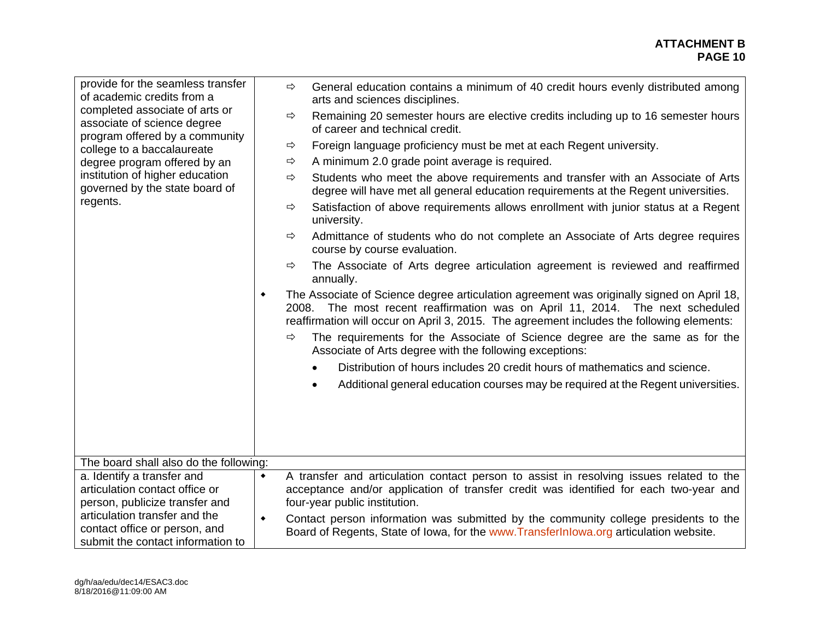| provide for the seamless transfer<br>of academic credits from a<br>completed associate of arts or<br>associate of science degree<br>program offered by a community |                 | $\Rightarrow$ | General education contains a minimum of 40 credit hours evenly distributed among<br>arts and sciences disciplines.                                                                                                                                                      |
|--------------------------------------------------------------------------------------------------------------------------------------------------------------------|-----------------|---------------|-------------------------------------------------------------------------------------------------------------------------------------------------------------------------------------------------------------------------------------------------------------------------|
|                                                                                                                                                                    |                 | $\Rightarrow$ | Remaining 20 semester hours are elective credits including up to 16 semester hours<br>of career and technical credit.                                                                                                                                                   |
| college to a baccalaureate                                                                                                                                         |                 | $\Rightarrow$ | Foreign language proficiency must be met at each Regent university.                                                                                                                                                                                                     |
| degree program offered by an                                                                                                                                       |                 | $\Rightarrow$ | A minimum 2.0 grade point average is required.                                                                                                                                                                                                                          |
| institution of higher education<br>governed by the state board of                                                                                                  |                 | $\Rightarrow$ | Students who meet the above requirements and transfer with an Associate of Arts<br>degree will have met all general education requirements at the Regent universities.                                                                                                  |
| regents.                                                                                                                                                           |                 | $\Rightarrow$ | Satisfaction of above requirements allows enrollment with junior status at a Regent<br>university.                                                                                                                                                                      |
|                                                                                                                                                                    |                 | $\Rightarrow$ | Admittance of students who do not complete an Associate of Arts degree requires<br>course by course evaluation.                                                                                                                                                         |
|                                                                                                                                                                    |                 | ⇨             | The Associate of Arts degree articulation agreement is reviewed and reaffirmed<br>annually.                                                                                                                                                                             |
|                                                                                                                                                                    | $\blacklozenge$ |               | The Associate of Science degree articulation agreement was originally signed on April 18,<br>2008. The most recent reaffirmation was on April 11, 2014. The next scheduled<br>reaffirmation will occur on April 3, 2015. The agreement includes the following elements: |
|                                                                                                                                                                    |                 | ⇨             | The requirements for the Associate of Science degree are the same as for the<br>Associate of Arts degree with the following exceptions:                                                                                                                                 |
|                                                                                                                                                                    |                 |               | Distribution of hours includes 20 credit hours of mathematics and science.                                                                                                                                                                                              |
|                                                                                                                                                                    |                 |               | Additional general education courses may be required at the Regent universities.                                                                                                                                                                                        |
|                                                                                                                                                                    |                 |               |                                                                                                                                                                                                                                                                         |
|                                                                                                                                                                    |                 |               |                                                                                                                                                                                                                                                                         |
|                                                                                                                                                                    |                 |               |                                                                                                                                                                                                                                                                         |
| The board shall also do the following:                                                                                                                             |                 |               |                                                                                                                                                                                                                                                                         |
| a. Identify a transfer and<br>articulation contact office or<br>person, publicize transfer and                                                                     | $\blacklozenge$ |               | A transfer and articulation contact person to assist in resolving issues related to the<br>acceptance and/or application of transfer credit was identified for each two-year and<br>four-year public institution.                                                       |
| articulation transfer and the<br>contact office or person, and<br>submit the contact information to                                                                | $\blacklozenge$ |               | Contact person information was submitted by the community college presidents to the<br>Board of Regents, State of Iowa, for the www. TransferInlowa.org articulation website.                                                                                           |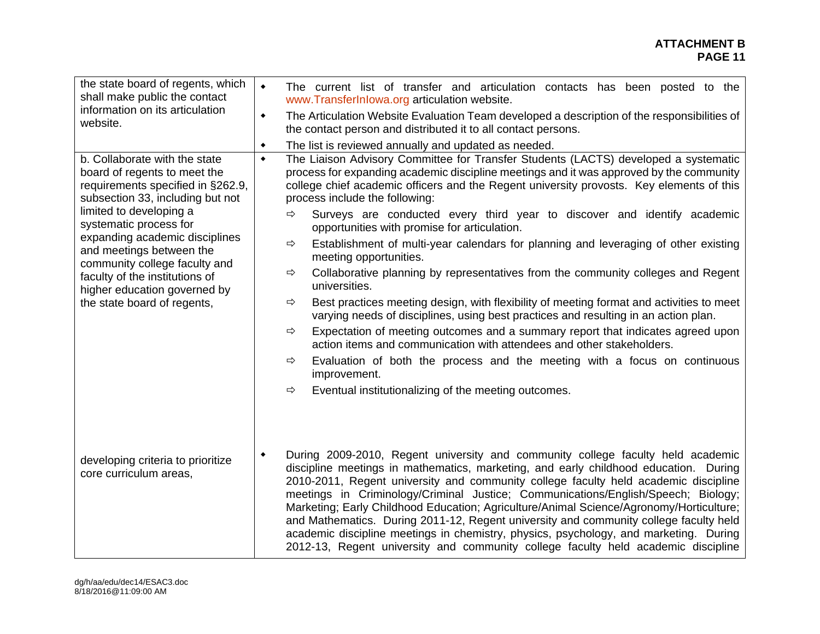| the state board of regents, which<br>shall make public the contact<br>information on its articulation<br>website.<br>b. Collaborate with the state<br>board of regents to meet the<br>requirements specified in §262.9,<br>subsection 33, including but not<br>limited to developing a<br>systematic process for<br>expanding academic disciplines<br>and meetings between the<br>community college faculty and<br>faculty of the institutions of<br>higher education governed by<br>the state board of regents, | $\bullet$<br>The current list of transfer and articulation contacts has been posted to the<br>www.TransferInlowa.org articulation website.<br>The Articulation Website Evaluation Team developed a description of the responsibilities of<br>٠<br>the contact person and distributed it to all contact persons.<br>The list is reviewed annually and updated as needed.<br>٠<br>The Liaison Advisory Committee for Transfer Students (LACTS) developed a systematic<br>$\bullet$<br>process for expanding academic discipline meetings and it was approved by the community<br>college chief academic officers and the Regent university provosts. Key elements of this<br>process include the following:<br>Surveys are conducted every third year to discover and identify academic<br>$\Rightarrow$<br>opportunities with promise for articulation.<br>Establishment of multi-year calendars for planning and leveraging of other existing<br>⇨<br>meeting opportunities.<br>Collaborative planning by representatives from the community colleges and Regent<br>⇨<br>universities.<br>Best practices meeting design, with flexibility of meeting format and activities to meet<br>⇨<br>varying needs of disciplines, using best practices and resulting in an action plan.<br>Expectation of meeting outcomes and a summary report that indicates agreed upon<br>⇨<br>action items and communication with attendees and other stakeholders.<br>Evaluation of both the process and the meeting with a focus on continuous<br>⇨ |
|------------------------------------------------------------------------------------------------------------------------------------------------------------------------------------------------------------------------------------------------------------------------------------------------------------------------------------------------------------------------------------------------------------------------------------------------------------------------------------------------------------------|-----------------------------------------------------------------------------------------------------------------------------------------------------------------------------------------------------------------------------------------------------------------------------------------------------------------------------------------------------------------------------------------------------------------------------------------------------------------------------------------------------------------------------------------------------------------------------------------------------------------------------------------------------------------------------------------------------------------------------------------------------------------------------------------------------------------------------------------------------------------------------------------------------------------------------------------------------------------------------------------------------------------------------------------------------------------------------------------------------------------------------------------------------------------------------------------------------------------------------------------------------------------------------------------------------------------------------------------------------------------------------------------------------------------------------------------------------------------------------------------------------------------------------------|
| developing criteria to prioritize<br>core curriculum areas,                                                                                                                                                                                                                                                                                                                                                                                                                                                      | improvement.<br>Eventual institutionalizing of the meeting outcomes.<br>$\Rightarrow$<br>During 2009-2010, Regent university and community college faculty held academic<br>٠<br>discipline meetings in mathematics, marketing, and early childhood education. During<br>2010-2011, Regent university and community college faculty held academic discipline<br>meetings in Criminology/Criminal Justice; Communications/English/Speech; Biology;<br>Marketing; Early Childhood Education; Agriculture/Animal Science/Agronomy/Horticulture;<br>and Mathematics. During 2011-12, Regent university and community college faculty held<br>academic discipline meetings in chemistry, physics, psychology, and marketing. During<br>2012-13, Regent university and community college faculty held academic discipline                                                                                                                                                                                                                                                                                                                                                                                                                                                                                                                                                                                                                                                                                                               |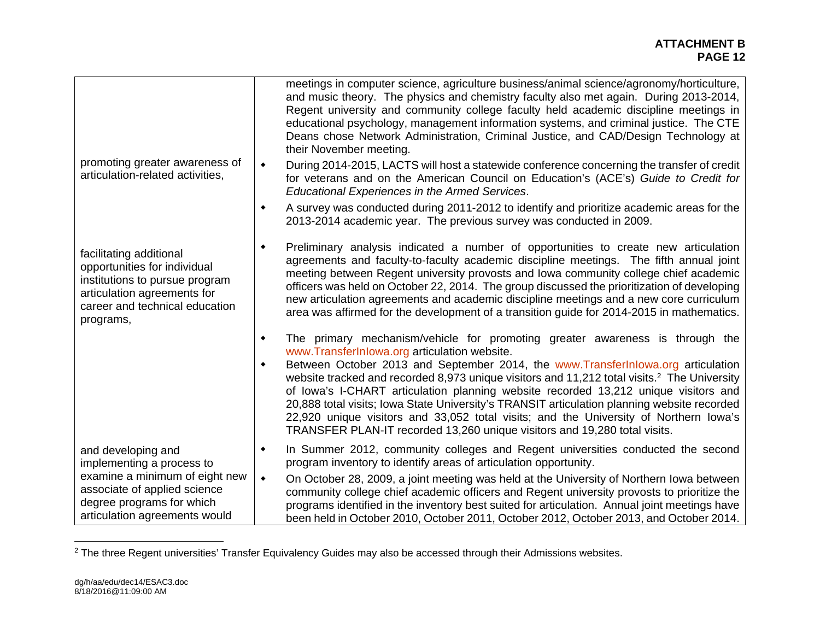|                                                                                                                                                                         | meetings in computer science, agriculture business/animal science/agronomy/horticulture,<br>and music theory. The physics and chemistry faculty also met again. During 2013-2014,<br>Regent university and community college faculty held academic discipline meetings in<br>educational psychology, management information systems, and criminal justice. The CTE<br>Deans chose Network Administration, Criminal Justice, and CAD/Design Technology at<br>their November meeting.                                                                                                                                                                                                               |
|-------------------------------------------------------------------------------------------------------------------------------------------------------------------------|---------------------------------------------------------------------------------------------------------------------------------------------------------------------------------------------------------------------------------------------------------------------------------------------------------------------------------------------------------------------------------------------------------------------------------------------------------------------------------------------------------------------------------------------------------------------------------------------------------------------------------------------------------------------------------------------------|
| promoting greater awareness of<br>articulation-related activities,                                                                                                      | During 2014-2015, LACTS will host a statewide conference concerning the transfer of credit<br>$\blacklozenge$<br>for veterans and on the American Council on Education's (ACE's) Guide to Credit for<br><b>Educational Experiences in the Armed Services.</b>                                                                                                                                                                                                                                                                                                                                                                                                                                     |
|                                                                                                                                                                         | A survey was conducted during 2011-2012 to identify and prioritize academic areas for the<br>٠<br>2013-2014 academic year. The previous survey was conducted in 2009.                                                                                                                                                                                                                                                                                                                                                                                                                                                                                                                             |
| facilitating additional<br>opportunities for individual<br>institutions to pursue program<br>articulation agreements for<br>career and technical education<br>programs, | Preliminary analysis indicated a number of opportunities to create new articulation<br>۰<br>agreements and faculty-to-faculty academic discipline meetings. The fifth annual joint<br>meeting between Regent university provosts and lowa community college chief academic<br>officers was held on October 22, 2014. The group discussed the prioritization of developing<br>new articulation agreements and academic discipline meetings and a new core curriculum<br>area was affirmed for the development of a transition guide for 2014-2015 in mathematics.                                                                                                                                  |
|                                                                                                                                                                         | The primary mechanism/vehicle for promoting greater awareness is through the<br>۰<br>www.TransferInlowa.org articulation website.<br>Between October 2013 and September 2014, the www.TransferInlowa.org articulation<br>۰<br>website tracked and recorded 8,973 unique visitors and 11,212 total visits. <sup>2</sup> The University<br>of Iowa's I-CHART articulation planning website recorded 13,212 unique visitors and<br>20,888 total visits; Iowa State University's TRANSIT articulation planning website recorded<br>22,920 unique visitors and 33,052 total visits; and the University of Northern lowa's<br>TRANSFER PLAN-IT recorded 13,260 unique visitors and 19,280 total visits. |
| and developing and<br>implementing a process to                                                                                                                         | In Summer 2012, community colleges and Regent universities conducted the second<br>٠<br>program inventory to identify areas of articulation opportunity.                                                                                                                                                                                                                                                                                                                                                                                                                                                                                                                                          |
| examine a minimum of eight new<br>associate of applied science<br>degree programs for which<br>articulation agreements would                                            | On October 28, 2009, a joint meeting was held at the University of Northern Iowa between<br>$\blacklozenge$<br>community college chief academic officers and Regent university provosts to prioritize the<br>programs identified in the inventory best suited for articulation. Annual joint meetings have<br>been held in October 2010, October 2011, October 2012, October 2013, and October 2014.                                                                                                                                                                                                                                                                                              |

<sup>&</sup>lt;sup>2</sup> The three Regent universities' Transfer Equivalency Guides may also be accessed through their Admissions websites.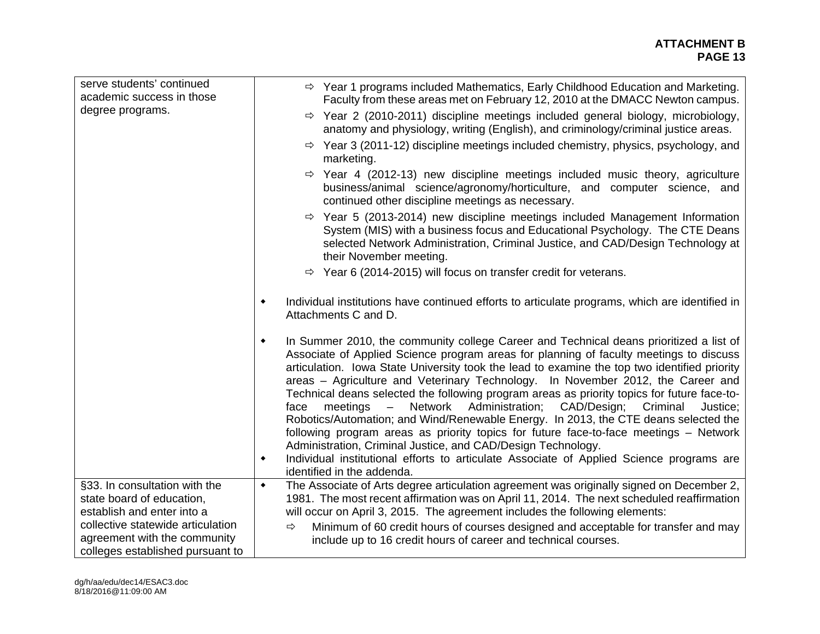#### **ATTACHMENT B PAGE 13 PAGE 13**

| serve students' continued<br>academic success in those                                                                                                                                            | $\Rightarrow$ Year 1 programs included Mathematics, Early Childhood Education and Marketing.<br>Faculty from these areas met on February 12, 2010 at the DMACC Newton campus.                                                                                                                                                                                                                                                                                                                                                                                                                                                                                                                                                                                                                                                                                                                                                                                                   |
|---------------------------------------------------------------------------------------------------------------------------------------------------------------------------------------------------|---------------------------------------------------------------------------------------------------------------------------------------------------------------------------------------------------------------------------------------------------------------------------------------------------------------------------------------------------------------------------------------------------------------------------------------------------------------------------------------------------------------------------------------------------------------------------------------------------------------------------------------------------------------------------------------------------------------------------------------------------------------------------------------------------------------------------------------------------------------------------------------------------------------------------------------------------------------------------------|
| degree programs.                                                                                                                                                                                  | $\Rightarrow$ Year 2 (2010-2011) discipline meetings included general biology, microbiology,<br>anatomy and physiology, writing (English), and criminology/criminal justice areas.                                                                                                                                                                                                                                                                                                                                                                                                                                                                                                                                                                                                                                                                                                                                                                                              |
|                                                                                                                                                                                                   | $\Rightarrow$ Year 3 (2011-12) discipline meetings included chemistry, physics, psychology, and<br>marketing.                                                                                                                                                                                                                                                                                                                                                                                                                                                                                                                                                                                                                                                                                                                                                                                                                                                                   |
|                                                                                                                                                                                                   | Year 4 (2012-13) new discipline meetings included music theory, agriculture<br>⇨<br>business/animal science/agronomy/horticulture, and computer science, and<br>continued other discipline meetings as necessary.                                                                                                                                                                                                                                                                                                                                                                                                                                                                                                                                                                                                                                                                                                                                                               |
|                                                                                                                                                                                                   | $\Rightarrow$ Year 5 (2013-2014) new discipline meetings included Management Information<br>System (MIS) with a business focus and Educational Psychology. The CTE Deans<br>selected Network Administration, Criminal Justice, and CAD/Design Technology at<br>their November meeting.                                                                                                                                                                                                                                                                                                                                                                                                                                                                                                                                                                                                                                                                                          |
|                                                                                                                                                                                                   | $\Rightarrow$ Year 6 (2014-2015) will focus on transfer credit for veterans.                                                                                                                                                                                                                                                                                                                                                                                                                                                                                                                                                                                                                                                                                                                                                                                                                                                                                                    |
|                                                                                                                                                                                                   | Individual institutions have continued efforts to articulate programs, which are identified in<br>$\blacklozenge$<br>Attachments C and D.                                                                                                                                                                                                                                                                                                                                                                                                                                                                                                                                                                                                                                                                                                                                                                                                                                       |
|                                                                                                                                                                                                   | In Summer 2010, the community college Career and Technical deans prioritized a list of<br>$\blacklozenge$<br>Associate of Applied Science program areas for planning of faculty meetings to discuss<br>articulation. Iowa State University took the lead to examine the top two identified priority<br>areas – Agriculture and Veterinary Technology. In November 2012, the Career and<br>Technical deans selected the following program areas as priority topics for future face-to-<br>Administration;<br>Network<br>CAD/Design;<br>Criminal<br>$meetings -$<br>Justice;<br>face<br>Robotics/Automation; and Wind/Renewable Energy. In 2013, the CTE deans selected the<br>following program areas as priority topics for future face-to-face meetings - Network<br>Administration, Criminal Justice, and CAD/Design Technology.<br>Individual institutional efforts to articulate Associate of Applied Science programs are<br>$\blacklozenge$<br>identified in the addenda. |
| §33. In consultation with the<br>state board of education,<br>establish and enter into a<br>collective statewide articulation<br>agreement with the community<br>colleges established pursuant to | The Associate of Arts degree articulation agreement was originally signed on December 2,<br>$\blacklozenge$<br>1981. The most recent affirmation was on April 11, 2014. The next scheduled reaffirmation<br>will occur on April 3, 2015. The agreement includes the following elements:<br>Minimum of 60 credit hours of courses designed and acceptable for transfer and may<br>⇨<br>include up to 16 credit hours of career and technical courses.                                                                                                                                                                                                                                                                                                                                                                                                                                                                                                                            |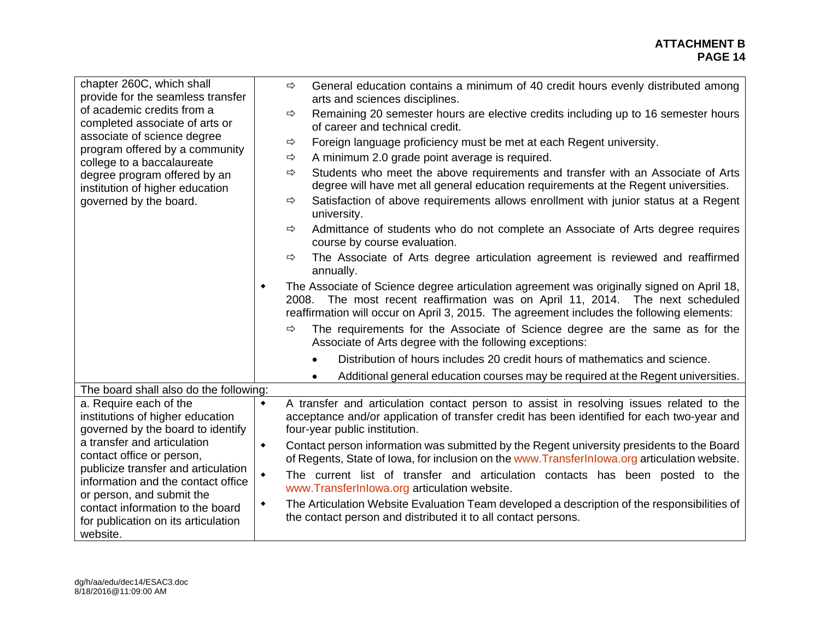| chapter 260C, which shall<br>provide for the seamless transfer<br>of academic credits from a<br>completed associate of arts or             | $\Rightarrow$   | General education contains a minimum of 40 credit hours evenly distributed among<br>arts and sciences disciplines.                                                                                                                                                      |
|--------------------------------------------------------------------------------------------------------------------------------------------|-----------------|-------------------------------------------------------------------------------------------------------------------------------------------------------------------------------------------------------------------------------------------------------------------------|
|                                                                                                                                            | $\Rightarrow$   | Remaining 20 semester hours are elective credits including up to 16 semester hours<br>of career and technical credit.                                                                                                                                                   |
| associate of science degree                                                                                                                | $\Rightarrow$   | Foreign language proficiency must be met at each Regent university.                                                                                                                                                                                                     |
| program offered by a community<br>college to a baccalaureate                                                                               | $\Rightarrow$   | A minimum 2.0 grade point average is required.                                                                                                                                                                                                                          |
| degree program offered by an<br>institution of higher education<br>governed by the board.                                                  | $\Rightarrow$   | Students who meet the above requirements and transfer with an Associate of Arts<br>degree will have met all general education requirements at the Regent universities.                                                                                                  |
|                                                                                                                                            | $\Rightarrow$   | Satisfaction of above requirements allows enrollment with junior status at a Regent<br>university.                                                                                                                                                                      |
|                                                                                                                                            | $\Rightarrow$   | Admittance of students who do not complete an Associate of Arts degree requires<br>course by course evaluation.                                                                                                                                                         |
|                                                                                                                                            | $\Rightarrow$   | The Associate of Arts degree articulation agreement is reviewed and reaffirmed<br>annually.                                                                                                                                                                             |
|                                                                                                                                            | ٠               | The Associate of Science degree articulation agreement was originally signed on April 18,<br>2008. The most recent reaffirmation was on April 11, 2014. The next scheduled<br>reaffirmation will occur on April 3, 2015. The agreement includes the following elements: |
|                                                                                                                                            | $\Rightarrow$   | The requirements for the Associate of Science degree are the same as for the<br>Associate of Arts degree with the following exceptions:                                                                                                                                 |
|                                                                                                                                            |                 | Distribution of hours includes 20 credit hours of mathematics and science.                                                                                                                                                                                              |
|                                                                                                                                            |                 | Additional general education courses may be required at the Regent universities.<br>$\bullet$                                                                                                                                                                           |
| The board shall also do the following:                                                                                                     |                 |                                                                                                                                                                                                                                                                         |
| a. Require each of the                                                                                                                     | $\blacklozenge$ | A transfer and articulation contact person to assist in resolving issues related to the                                                                                                                                                                                 |
| institutions of higher education<br>governed by the board to identify                                                                      |                 | acceptance and/or application of transfer credit has been identified for each two-year and<br>four-year public institution.                                                                                                                                             |
| a transfer and articulation                                                                                                                | $\blacklozenge$ | Contact person information was submitted by the Regent university presidents to the Board                                                                                                                                                                               |
| contact office or person,                                                                                                                  |                 | of Regents, State of Iowa, for inclusion on the www. TransferInlowa.org articulation website.                                                                                                                                                                           |
| publicize transfer and articulation<br>information and the contact office<br>or person, and submit the<br>contact information to the board | $\blacklozenge$ | The current list of transfer and articulation contacts has been posted to the                                                                                                                                                                                           |
|                                                                                                                                            |                 | www.TransferInlowa.org articulation website.                                                                                                                                                                                                                            |
|                                                                                                                                            | ٠               | The Articulation Website Evaluation Team developed a description of the responsibilities of                                                                                                                                                                             |
| for publication on its articulation                                                                                                        |                 | the contact person and distributed it to all contact persons.                                                                                                                                                                                                           |
| website.                                                                                                                                   |                 |                                                                                                                                                                                                                                                                         |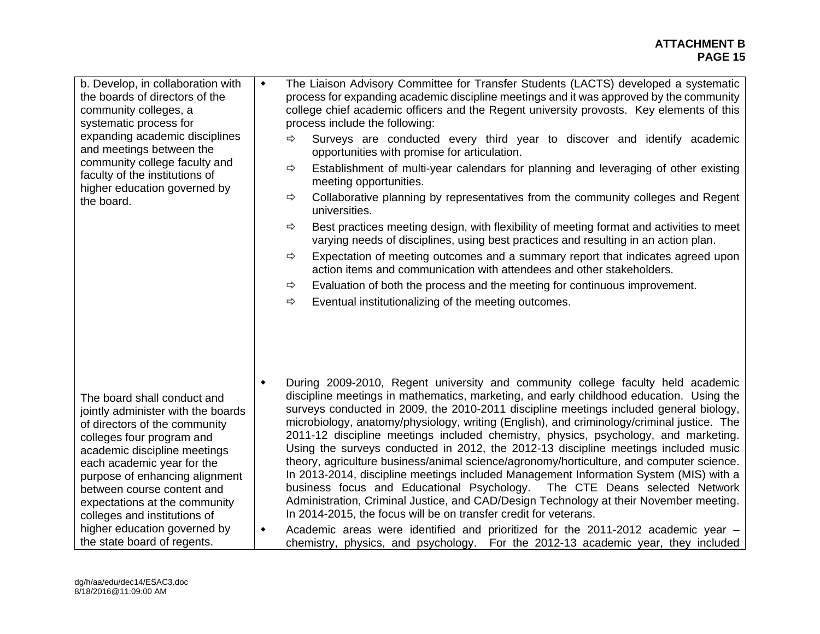#### **ATTACHMENT B PAGE 15 PAGE 15**

| b. Develop, in collaboration with<br>the boards of directors of the<br>community colleges, a<br>systematic process for<br>expanding academic disciplines<br>and meetings between the<br>community college faculty and<br>faculty of the institutions of<br>higher education governed by<br>the board.                                                                                         | $\blacklozenge$                    | The Liaison Advisory Committee for Transfer Students (LACTS) developed a systematic<br>process for expanding academic discipline meetings and it was approved by the community<br>college chief academic officers and the Regent university provosts. Key elements of this<br>process include the following:<br>$\Rightarrow$<br>Surveys are conducted every third year to discover and identify academic<br>opportunities with promise for articulation.<br>Establishment of multi-year calendars for planning and leveraging of other existing<br>⇨<br>meeting opportunities.<br>Collaborative planning by representatives from the community colleges and Regent<br>⇨<br>universities.<br>Best practices meeting design, with flexibility of meeting format and activities to meet<br>⇨<br>varying needs of disciplines, using best practices and resulting in an action plan.<br>Expectation of meeting outcomes and a summary report that indicates agreed upon<br>⇨<br>action items and communication with attendees and other stakeholders.<br>Evaluation of both the process and the meeting for continuous improvement.<br>⇨<br>Eventual institutionalizing of the meeting outcomes.<br>⇨ |
|-----------------------------------------------------------------------------------------------------------------------------------------------------------------------------------------------------------------------------------------------------------------------------------------------------------------------------------------------------------------------------------------------|------------------------------------|----------------------------------------------------------------------------------------------------------------------------------------------------------------------------------------------------------------------------------------------------------------------------------------------------------------------------------------------------------------------------------------------------------------------------------------------------------------------------------------------------------------------------------------------------------------------------------------------------------------------------------------------------------------------------------------------------------------------------------------------------------------------------------------------------------------------------------------------------------------------------------------------------------------------------------------------------------------------------------------------------------------------------------------------------------------------------------------------------------------------------------------------------------------------------------------------------|
| The board shall conduct and<br>jointly administer with the boards<br>of directors of the community<br>colleges four program and<br>academic discipline meetings<br>each academic year for the<br>purpose of enhancing alignment<br>between course content and<br>expectations at the community<br>colleges and institutions of<br>higher education governed by<br>the state board of regents. | $\blacklozenge$<br>$\blacklozenge$ | During 2009-2010, Regent university and community college faculty held academic<br>discipline meetings in mathematics, marketing, and early childhood education. Using the<br>surveys conducted in 2009, the 2010-2011 discipline meetings included general biology,<br>microbiology, anatomy/physiology, writing (English), and criminology/criminal justice. The<br>2011-12 discipline meetings included chemistry, physics, psychology, and marketing.<br>Using the surveys conducted in 2012, the 2012-13 discipline meetings included music<br>theory, agriculture business/animal science/agronomy/horticulture, and computer science.<br>In 2013-2014, discipline meetings included Management Information System (MIS) with a<br>business focus and Educational Psychology. The CTE Deans selected Network<br>Administration, Criminal Justice, and CAD/Design Technology at their November meeting.<br>In 2014-2015, the focus will be on transfer credit for veterans.<br>Academic areas were identified and prioritized for the 2011-2012 academic year -<br>chemistry, physics, and psychology. For the 2012-13 academic year, they included                                           |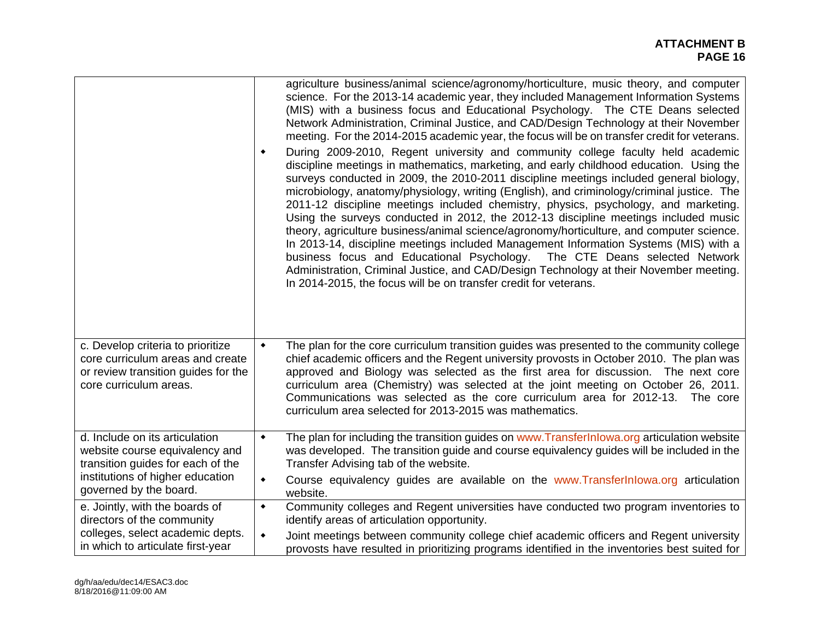|                                                                                                                                        | agriculture business/animal science/agronomy/horticulture, music theory, and computer<br>science. For the 2013-14 academic year, they included Management Information Systems<br>(MIS) with a business focus and Educational Psychology. The CTE Deans selected<br>Network Administration, Criminal Justice, and CAD/Design Technology at their November<br>meeting. For the 2014-2015 academic year, the focus will be on transfer credit for veterans.<br>During 2009-2010, Regent university and community college faculty held academic<br>٠<br>discipline meetings in mathematics, marketing, and early childhood education. Using the<br>surveys conducted in 2009, the 2010-2011 discipline meetings included general biology,<br>microbiology, anatomy/physiology, writing (English), and criminology/criminal justice. The<br>2011-12 discipline meetings included chemistry, physics, psychology, and marketing.<br>Using the surveys conducted in 2012, the 2012-13 discipline meetings included music<br>theory, agriculture business/animal science/agronomy/horticulture, and computer science.<br>In 2013-14, discipline meetings included Management Information Systems (MIS) with a<br>business focus and Educational Psychology. The CTE Deans selected Network<br>Administration, Criminal Justice, and CAD/Design Technology at their November meeting.<br>In 2014-2015, the focus will be on transfer credit for veterans. |
|----------------------------------------------------------------------------------------------------------------------------------------|--------------------------------------------------------------------------------------------------------------------------------------------------------------------------------------------------------------------------------------------------------------------------------------------------------------------------------------------------------------------------------------------------------------------------------------------------------------------------------------------------------------------------------------------------------------------------------------------------------------------------------------------------------------------------------------------------------------------------------------------------------------------------------------------------------------------------------------------------------------------------------------------------------------------------------------------------------------------------------------------------------------------------------------------------------------------------------------------------------------------------------------------------------------------------------------------------------------------------------------------------------------------------------------------------------------------------------------------------------------------------------------------------------------------------------------------------|
| c. Develop criteria to prioritize<br>core curriculum areas and create<br>or review transition guides for the<br>core curriculum areas. | The plan for the core curriculum transition guides was presented to the community college<br>٠<br>chief academic officers and the Regent university provosts in October 2010. The plan was<br>approved and Biology was selected as the first area for discussion. The next core<br>curriculum area (Chemistry) was selected at the joint meeting on October 26, 2011.<br>Communications was selected as the core curriculum area for 2012-13. The core<br>curriculum area selected for 2013-2015 was mathematics.                                                                                                                                                                                                                                                                                                                                                                                                                                                                                                                                                                                                                                                                                                                                                                                                                                                                                                                                |
| d. Include on its articulation<br>website course equivalency and<br>transition guides for each of the                                  | The plan for including the transition guides on www.TransferInlowa.org articulation website<br>٠<br>was developed. The transition guide and course equivalency guides will be included in the<br>Transfer Advising tab of the website.                                                                                                                                                                                                                                                                                                                                                                                                                                                                                                                                                                                                                                                                                                                                                                                                                                                                                                                                                                                                                                                                                                                                                                                                           |
| institutions of higher education<br>governed by the board.                                                                             | Course equivalency guides are available on the www.Transferinlowa.org articulation<br>٠<br>website.                                                                                                                                                                                                                                                                                                                                                                                                                                                                                                                                                                                                                                                                                                                                                                                                                                                                                                                                                                                                                                                                                                                                                                                                                                                                                                                                              |
| e. Jointly, with the boards of<br>directors of the community                                                                           | Community colleges and Regent universities have conducted two program inventories to<br>٠<br>identify areas of articulation opportunity.                                                                                                                                                                                                                                                                                                                                                                                                                                                                                                                                                                                                                                                                                                                                                                                                                                                                                                                                                                                                                                                                                                                                                                                                                                                                                                         |
| colleges, select academic depts.<br>in which to articulate first-year                                                                  | Joint meetings between community college chief academic officers and Regent university<br>$\blacklozenge$<br>provosts have resulted in prioritizing programs identified in the inventories best suited for                                                                                                                                                                                                                                                                                                                                                                                                                                                                                                                                                                                                                                                                                                                                                                                                                                                                                                                                                                                                                                                                                                                                                                                                                                       |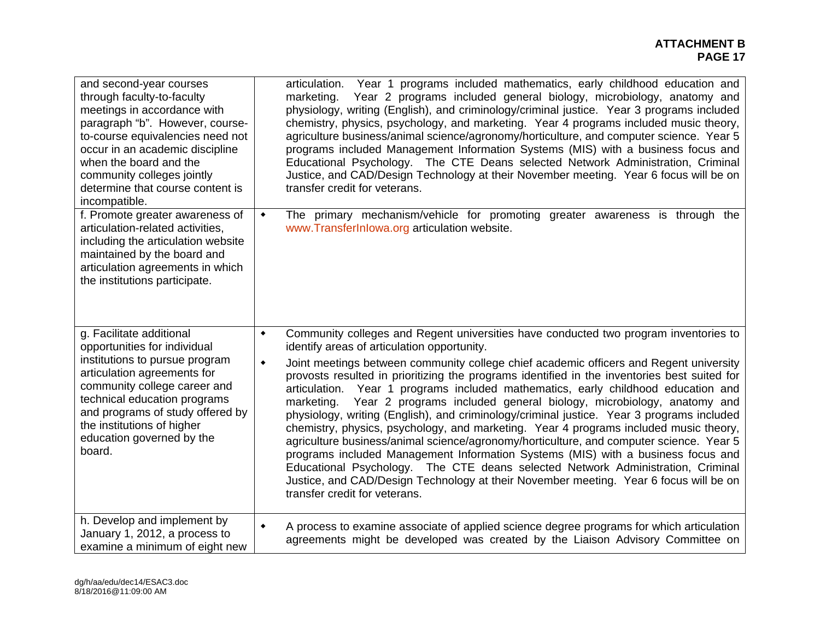| and second-year courses                                                                                                                                                                                                                                                                            | articulation. Year 1 programs included mathematics, early childhood education and                                                                                                                                                                                                                                                                                                                                                                                                                                                                                                                                                                                                                                                                                                                                                                                                                                                                                                                                                                                                                                               |
|----------------------------------------------------------------------------------------------------------------------------------------------------------------------------------------------------------------------------------------------------------------------------------------------------|---------------------------------------------------------------------------------------------------------------------------------------------------------------------------------------------------------------------------------------------------------------------------------------------------------------------------------------------------------------------------------------------------------------------------------------------------------------------------------------------------------------------------------------------------------------------------------------------------------------------------------------------------------------------------------------------------------------------------------------------------------------------------------------------------------------------------------------------------------------------------------------------------------------------------------------------------------------------------------------------------------------------------------------------------------------------------------------------------------------------------------|
| through faculty-to-faculty                                                                                                                                                                                                                                                                         | Year 2 programs included general biology, microbiology, anatomy and                                                                                                                                                                                                                                                                                                                                                                                                                                                                                                                                                                                                                                                                                                                                                                                                                                                                                                                                                                                                                                                             |
| meetings in accordance with                                                                                                                                                                                                                                                                        | marketing.                                                                                                                                                                                                                                                                                                                                                                                                                                                                                                                                                                                                                                                                                                                                                                                                                                                                                                                                                                                                                                                                                                                      |
| paragraph "b". However, course-                                                                                                                                                                                                                                                                    | physiology, writing (English), and criminology/criminal justice. Year 3 programs included                                                                                                                                                                                                                                                                                                                                                                                                                                                                                                                                                                                                                                                                                                                                                                                                                                                                                                                                                                                                                                       |
| to-course equivalencies need not                                                                                                                                                                                                                                                                   | chemistry, physics, psychology, and marketing. Year 4 programs included music theory,                                                                                                                                                                                                                                                                                                                                                                                                                                                                                                                                                                                                                                                                                                                                                                                                                                                                                                                                                                                                                                           |
| occur in an academic discipline                                                                                                                                                                                                                                                                    | agriculture business/animal science/agronomy/horticulture, and computer science. Year 5                                                                                                                                                                                                                                                                                                                                                                                                                                                                                                                                                                                                                                                                                                                                                                                                                                                                                                                                                                                                                                         |
| when the board and the                                                                                                                                                                                                                                                                             | programs included Management Information Systems (MIS) with a business focus and                                                                                                                                                                                                                                                                                                                                                                                                                                                                                                                                                                                                                                                                                                                                                                                                                                                                                                                                                                                                                                                |
| community colleges jointly                                                                                                                                                                                                                                                                         | Educational Psychology. The CTE Deans selected Network Administration, Criminal                                                                                                                                                                                                                                                                                                                                                                                                                                                                                                                                                                                                                                                                                                                                                                                                                                                                                                                                                                                                                                                 |
| determine that course content is                                                                                                                                                                                                                                                                   | Justice, and CAD/Design Technology at their November meeting. Year 6 focus will be on                                                                                                                                                                                                                                                                                                                                                                                                                                                                                                                                                                                                                                                                                                                                                                                                                                                                                                                                                                                                                                           |
| incompatible.                                                                                                                                                                                                                                                                                      | transfer credit for veterans.                                                                                                                                                                                                                                                                                                                                                                                                                                                                                                                                                                                                                                                                                                                                                                                                                                                                                                                                                                                                                                                                                                   |
| f. Promote greater awareness of<br>articulation-related activities,<br>including the articulation website<br>maintained by the board and<br>articulation agreements in which<br>the institutions participate.                                                                                      | The primary mechanism/vehicle for promoting greater awareness is through the<br>٠<br>www.TransferInlowa.org articulation website.                                                                                                                                                                                                                                                                                                                                                                                                                                                                                                                                                                                                                                                                                                                                                                                                                                                                                                                                                                                               |
| g. Facilitate additional<br>opportunities for individual<br>institutions to pursue program<br>articulation agreements for<br>community college career and<br>technical education programs<br>and programs of study offered by<br>the institutions of higher<br>education governed by the<br>board. | Community colleges and Regent universities have conducted two program inventories to<br>$\blacklozenge$<br>identify areas of articulation opportunity.<br>Joint meetings between community college chief academic officers and Regent university<br>$\blacklozenge$<br>provosts resulted in prioritizing the programs identified in the inventories best suited for<br>articulation. Year 1 programs included mathematics, early childhood education and<br>Year 2 programs included general biology, microbiology, anatomy and<br>marketing.<br>physiology, writing (English), and criminology/criminal justice. Year 3 programs included<br>chemistry, physics, psychology, and marketing. Year 4 programs included music theory,<br>agriculture business/animal science/agronomy/horticulture, and computer science. Year 5<br>programs included Management Information Systems (MIS) with a business focus and<br>Educational Psychology. The CTE deans selected Network Administration, Criminal<br>Justice, and CAD/Design Technology at their November meeting. Year 6 focus will be on<br>transfer credit for veterans. |
| h. Develop and implement by                                                                                                                                                                                                                                                                        | A process to examine associate of applied science degree programs for which articulation                                                                                                                                                                                                                                                                                                                                                                                                                                                                                                                                                                                                                                                                                                                                                                                                                                                                                                                                                                                                                                        |
| January 1, 2012, a process to                                                                                                                                                                                                                                                                      | $\blacklozenge$                                                                                                                                                                                                                                                                                                                                                                                                                                                                                                                                                                                                                                                                                                                                                                                                                                                                                                                                                                                                                                                                                                                 |
| examine a minimum of eight new                                                                                                                                                                                                                                                                     | agreements might be developed was created by the Liaison Advisory Committee on                                                                                                                                                                                                                                                                                                                                                                                                                                                                                                                                                                                                                                                                                                                                                                                                                                                                                                                                                                                                                                                  |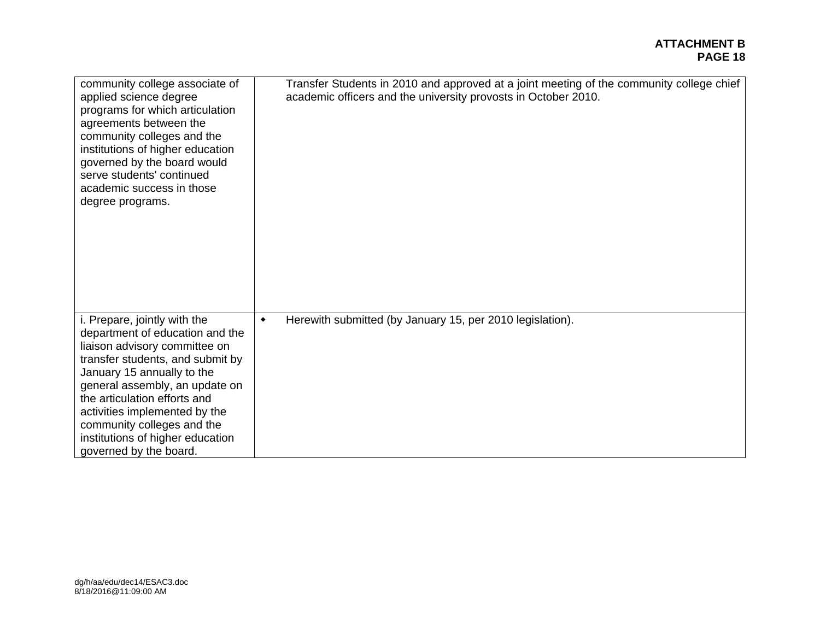| community college associate of<br>applied science degree<br>programs for which articulation<br>agreements between the<br>community colleges and the<br>institutions of higher education<br>governed by the board would<br>serve students' continued<br>academic success in those<br>degree programs.                                                              | Transfer Students in 2010 and approved at a joint meeting of the community college chief<br>academic officers and the university provosts in October 2010. |
|-------------------------------------------------------------------------------------------------------------------------------------------------------------------------------------------------------------------------------------------------------------------------------------------------------------------------------------------------------------------|------------------------------------------------------------------------------------------------------------------------------------------------------------|
| i. Prepare, jointly with the<br>department of education and the<br>liaison advisory committee on<br>transfer students, and submit by<br>January 15 annually to the<br>general assembly, an update on<br>the articulation efforts and<br>activities implemented by the<br>community colleges and the<br>institutions of higher education<br>governed by the board. | Herewith submitted (by January 15, per 2010 legislation).<br>$\blacklozenge$                                                                               |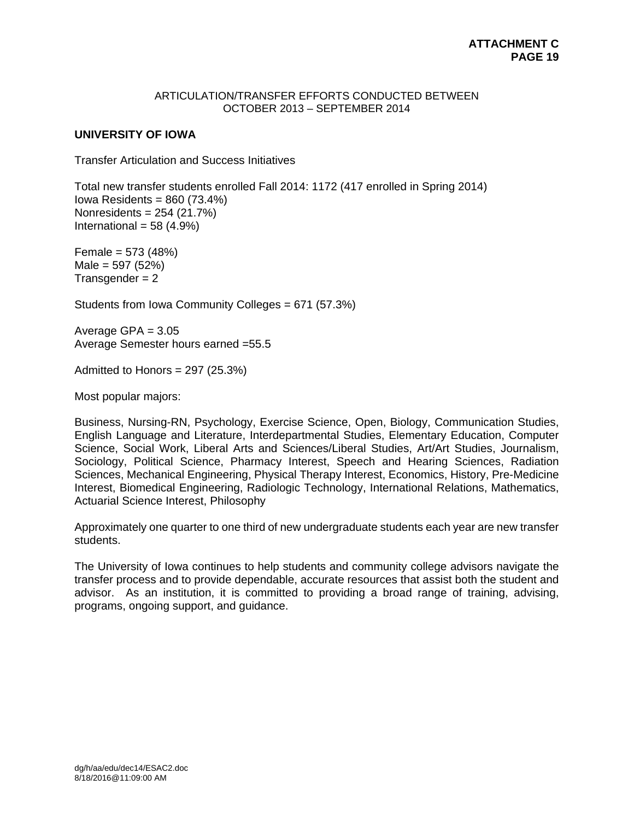#### ARTICULATION/TRANSFER EFFORTS CONDUCTED BETWEEN OCTOBER 2013 – SEPTEMBER 2014

## **UNIVERSITY OF IOWA**

Transfer Articulation and Success Initiatives

Total new transfer students enrolled Fall 2014: 1172 (417 enrolled in Spring 2014) Iowa Residents = 860 (73.4%) Nonresidents = 254 (21.7%) International =  $58(4.9%)$ 

Female = 573 (48%)  $Male = 597 (52%)$  $Transgender = 2$ 

Students from Iowa Community Colleges = 671 (57.3%)

Average GPA  $= 3.05$ Average Semester hours earned =55.5

Admitted to Honors = 297 (25.3%)

Most popular majors:

Business, Nursing-RN, Psychology, Exercise Science, Open, Biology, Communication Studies, English Language and Literature, Interdepartmental Studies, Elementary Education, Computer Science, Social Work, Liberal Arts and Sciences/Liberal Studies, Art/Art Studies, Journalism, Sociology, Political Science, Pharmacy Interest, Speech and Hearing Sciences, Radiation Sciences, Mechanical Engineering, Physical Therapy Interest, Economics, History, Pre-Medicine Interest, Biomedical Engineering, Radiologic Technology, International Relations, Mathematics, Actuarial Science Interest, Philosophy

Approximately one quarter to one third of new undergraduate students each year are new transfer students.

The University of Iowa continues to help students and community college advisors navigate the transfer process and to provide dependable, accurate resources that assist both the student and advisor. As an institution, it is committed to providing a broad range of training, advising, programs, ongoing support, and guidance.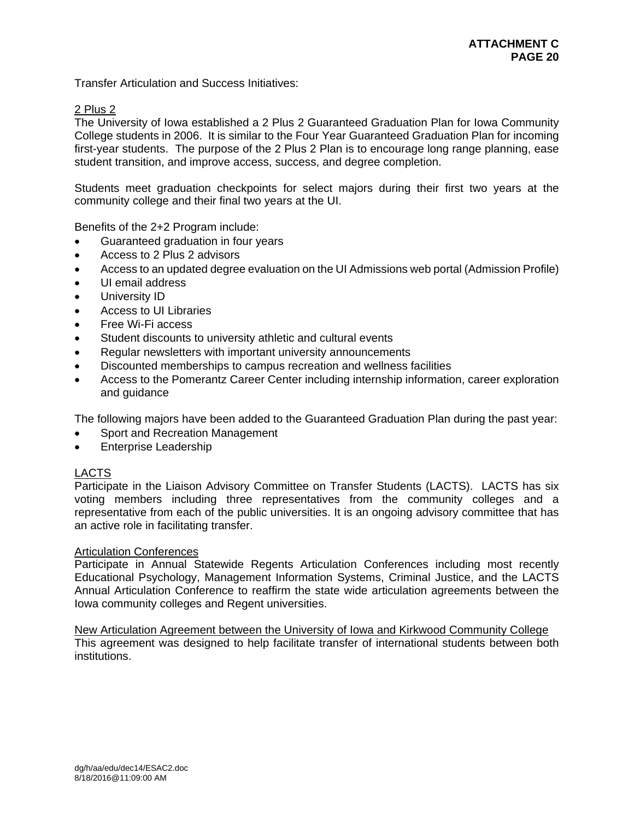Transfer Articulation and Success Initiatives:

## 2 Plus 2

The University of Iowa established a 2 Plus 2 Guaranteed Graduation Plan for Iowa Community College students in 2006. It is similar to the Four Year Guaranteed Graduation Plan for incoming first-year students. The purpose of the 2 Plus 2 Plan is to encourage long range planning, ease student transition, and improve access, success, and degree completion.

Students meet graduation checkpoints for select majors during their first two years at the community college and their final two years at the UI.

Benefits of the 2+2 Program include:

- Guaranteed graduation in four years
- Access to 2 Plus 2 advisors
- Access to an updated degree evaluation on the UI Admissions web portal (Admission Profile)
- UI email address
- **•** University ID
- Access to UI Libraries
- Free Wi-Fi access
- Student discounts to university athletic and cultural events
- Regular newsletters with important university announcements
- Discounted memberships to campus recreation and wellness facilities
- Access to the Pomerantz Career Center including internship information, career exploration and guidance

The following majors have been added to the Guaranteed Graduation Plan during the past year:

- Sport and Recreation Management
- Enterprise Leadership

## LACTS

Participate in the Liaison Advisory Committee on Transfer Students (LACTS). LACTS has six voting members including three representatives from the community colleges and a representative from each of the public universities. It is an ongoing advisory committee that has an active role in facilitating transfer.

## Articulation Conferences

Participate in Annual Statewide Regents Articulation Conferences including most recently Educational Psychology, Management Information Systems, Criminal Justice, and the LACTS Annual Articulation Conference to reaffirm the state wide articulation agreements between the Iowa community colleges and Regent universities.

New Articulation Agreement between the University of Iowa and Kirkwood Community College This agreement was designed to help facilitate transfer of international students between both institutions.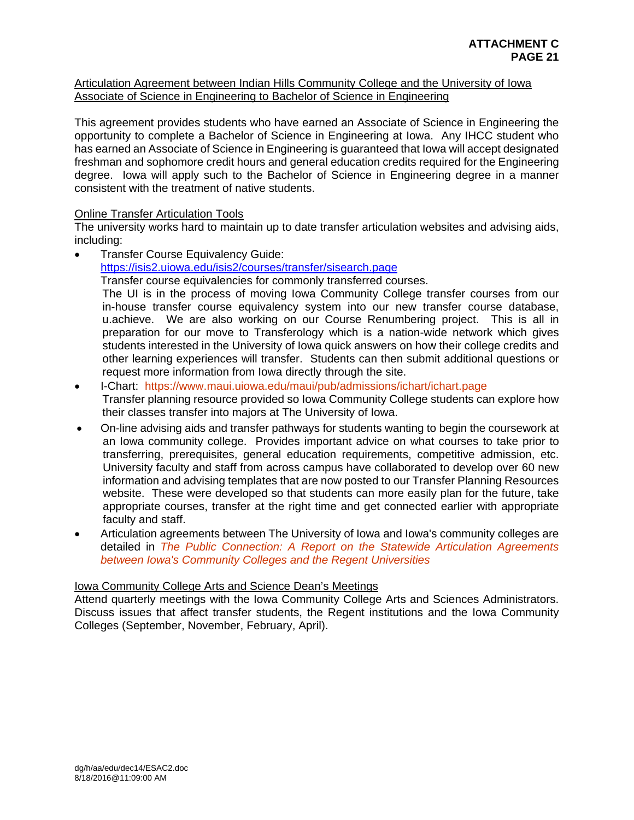## Articulation Agreement between Indian Hills Community College and the University of Iowa Associate of Science in Engineering to Bachelor of Science in Engineering

This agreement provides students who have earned an Associate of Science in Engineering the opportunity to complete a Bachelor of Science in Engineering at Iowa. Any IHCC student who has earned an Associate of Science in Engineering is guaranteed that Iowa will accept designated freshman and sophomore credit hours and general education credits required for the Engineering degree. Iowa will apply such to the Bachelor of Science in Engineering degree in a manner consistent with the treatment of native students.

# Online Transfer Articulation Tools

The university works hard to maintain up to date transfer articulation websites and advising aids, including:

Transfer Course Equivalency Guide:

https://isis2.uiowa.edu/isis2/courses/transfer/sisearch.page

Transfer course equivalencies for commonly transferred courses.

The UI is in the process of moving Iowa Community College transfer courses from our in-house transfer course equivalency system into our new transfer course database, u.achieve. We are also working on our Course Renumbering project. This is all in preparation for our move to Transferology which is a nation-wide network which gives students interested in the University of Iowa quick answers on how their college credits and other learning experiences will transfer. Students can then submit additional questions or request more information from Iowa directly through the site.

- I-Chart: https://www.maui.uiowa.edu/maui/pub/admissions/ichart/ichart.page Transfer planning resource provided so Iowa Community College students can explore how their classes transfer into majors at The University of Iowa.
- On-line advising aids and transfer pathways for students wanting to begin the coursework at an Iowa community college. Provides important advice on what courses to take prior to transferring, prerequisites, general education requirements, competitive admission, etc. University faculty and staff from across campus have collaborated to develop over 60 new information and advising templates that are now posted to our Transfer Planning Resources website. These were developed so that students can more easily plan for the future, take appropriate courses, transfer at the right time and get connected earlier with appropriate faculty and staff.
- Articulation agreements between The University of Iowa and Iowa's community colleges are detailed in *The Public Connection: A Report on the Statewide Articulation Agreements between Iowa's Community Colleges and the Regent Universities*

# Iowa Community College Arts and Science Dean's Meetings

Attend quarterly meetings with the Iowa Community College Arts and Sciences Administrators. Discuss issues that affect transfer students, the Regent institutions and the Iowa Community Colleges (September, November, February, April).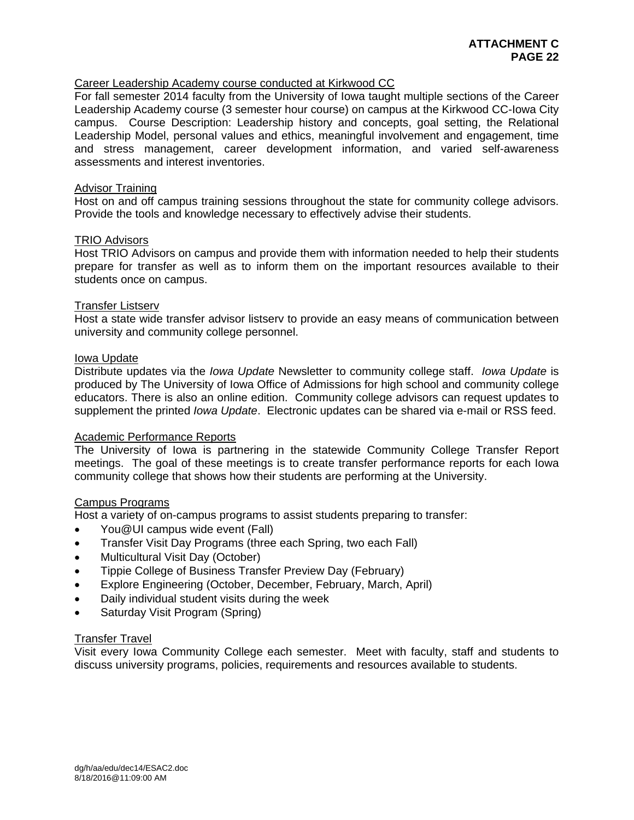## Career Leadership Academy course conducted at Kirkwood CC

For fall semester 2014 faculty from the University of Iowa taught multiple sections of the Career Leadership Academy course (3 semester hour course) on campus at the Kirkwood CC-Iowa City campus. Course Description: Leadership history and concepts, goal setting, the Relational Leadership Model, personal values and ethics, meaningful involvement and engagement, time and stress management, career development information, and varied self-awareness assessments and interest inventories.

### Advisor Training

Host on and off campus training sessions throughout the state for community college advisors. Provide the tools and knowledge necessary to effectively advise their students.

#### TRIO Advisors

Host TRIO Advisors on campus and provide them with information needed to help their students prepare for transfer as well as to inform them on the important resources available to their students once on campus.

#### Transfer Listserv

Host a state wide transfer advisor listserv to provide an easy means of communication between university and community college personnel.

#### Iowa Update

Distribute updates via the *Iowa Update* Newsletter to community college staff. *Iowa Update* is produced by The University of Iowa Office of Admissions for high school and community college educators. There is also an online edition. Community college advisors can request updates to supplement the printed *Iowa Update*. Electronic updates can be shared via e-mail or RSS feed.

#### Academic Performance Reports

The University of Iowa is partnering in the statewide Community College Transfer Report meetings. The goal of these meetings is to create transfer performance reports for each Iowa community college that shows how their students are performing at the University.

#### Campus Programs

Host a variety of on-campus programs to assist students preparing to transfer:

- You@UI campus wide event (Fall)
- **Transfer Visit Day Programs (three each Spring, two each Fall)**
- Multicultural Visit Day (October)
- Tippie College of Business Transfer Preview Day (February)
- Explore Engineering (October, December, February, March, April)
- Daily individual student visits during the week
- Saturday Visit Program (Spring)

#### Transfer Travel

Visit every Iowa Community College each semester. Meet with faculty, staff and students to discuss university programs, policies, requirements and resources available to students.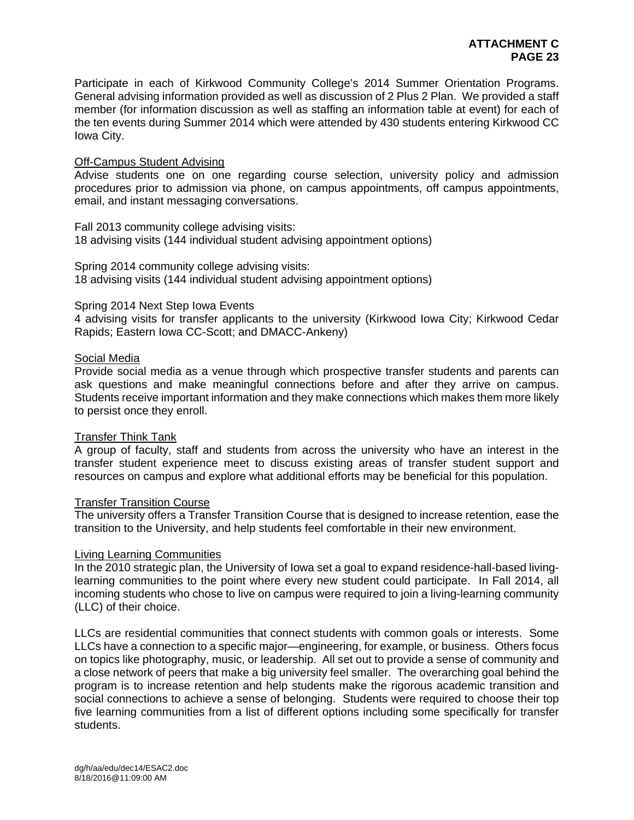Participate in each of Kirkwood Community College's 2014 Summer Orientation Programs. General advising information provided as well as discussion of 2 Plus 2 Plan. We provided a staff member (for information discussion as well as staffing an information table at event) for each of the ten events during Summer 2014 which were attended by 430 students entering Kirkwood CC Iowa City.

### Off-Campus Student Advising

Advise students one on one regarding course selection, university policy and admission procedures prior to admission via phone, on campus appointments, off campus appointments, email, and instant messaging conversations.

Fall 2013 community college advising visits: 18 advising visits (144 individual student advising appointment options)

Spring 2014 community college advising visits: 18 advising visits (144 individual student advising appointment options)

#### Spring 2014 Next Step Iowa Events

4 advising visits for transfer applicants to the university (Kirkwood Iowa City; Kirkwood Cedar Rapids; Eastern Iowa CC-Scott; and DMACC-Ankeny)

## Social Media

Provide social media as a venue through which prospective transfer students and parents can ask questions and make meaningful connections before and after they arrive on campus. Students receive important information and they make connections which makes them more likely to persist once they enroll.

#### Transfer Think Tank

A group of faculty, staff and students from across the university who have an interest in the transfer student experience meet to discuss existing areas of transfer student support and resources on campus and explore what additional efforts may be beneficial for this population.

#### Transfer Transition Course

The university offers a Transfer Transition Course that is designed to increase retention, ease the transition to the University, and help students feel comfortable in their new environment.

#### Living Learning Communities

In the 2010 strategic plan, the University of Iowa set a goal to expand residence-hall-based livinglearning communities to the point where every new student could participate. In Fall 2014, all incoming students who chose to live on campus were required to join a living-learning community (LLC) of their choice.

LLCs are residential communities that connect students with common goals or interests. Some LLCs have a connection to a specific major—engineering, for example, or business. Others focus on topics like photography, music, or leadership. All set out to provide a sense of community and a close network of peers that make a big university feel smaller. The overarching goal behind the program is to increase retention and help students make the rigorous academic transition and social connections to achieve a sense of belonging. Students were required to choose their top five learning communities from a list of different options including some specifically for transfer students.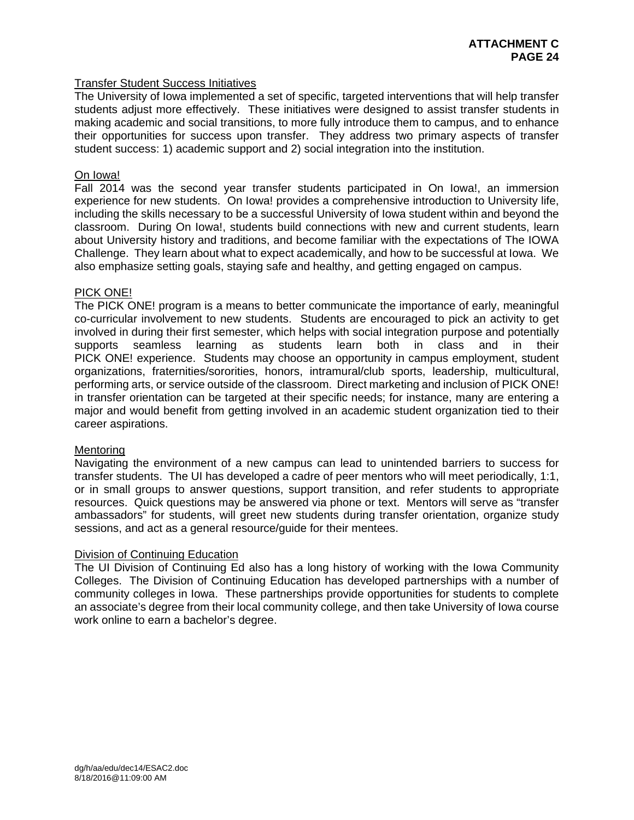## Transfer Student Success Initiatives

The University of Iowa implemented a set of specific, targeted interventions that will help transfer students adjust more effectively. These initiatives were designed to assist transfer students in making academic and social transitions, to more fully introduce them to campus, and to enhance their opportunities for success upon transfer. They address two primary aspects of transfer student success: 1) academic support and 2) social integration into the institution.

## On Iowa!

Fall 2014 was the second year transfer students participated in On Iowa!, an immersion experience for new students. On Iowa! provides a comprehensive introduction to University life, including the skills necessary to be a successful University of Iowa student within and beyond the classroom. During On Iowa!, students build connections with new and current students, learn about University history and traditions, and become familiar with the expectations of The IOWA Challenge. They learn about what to expect academically, and how to be successful at Iowa. We also emphasize setting goals, staying safe and healthy, and getting engaged on campus.

## PICK ONE!

The PICK ONE! program is a means to better communicate the importance of early, meaningful co-curricular involvement to new students. Students are encouraged to pick an activity to get involved in during their first semester, which helps with social integration purpose and potentially supports seamless learning as students learn both in class and in their PICK ONE! experience. Students may choose an opportunity in campus employment, student organizations, fraternities/sororities, honors, intramural/club sports, leadership, multicultural, performing arts, or service outside of the classroom. Direct marketing and inclusion of PICK ONE! in transfer orientation can be targeted at their specific needs; for instance, many are entering a major and would benefit from getting involved in an academic student organization tied to their career aspirations.

## **Mentoring**

Navigating the environment of a new campus can lead to unintended barriers to success for transfer students. The UI has developed a cadre of peer mentors who will meet periodically, 1:1, or in small groups to answer questions, support transition, and refer students to appropriate resources. Quick questions may be answered via phone or text. Mentors will serve as "transfer ambassadors" for students, will greet new students during transfer orientation, organize study sessions, and act as a general resource/guide for their mentees.

## Division of Continuing Education

The UI Division of Continuing Ed also has a long history of working with the Iowa Community Colleges. The Division of Continuing Education has developed partnerships with a number of community colleges in Iowa. These partnerships provide opportunities for students to complete an associate's degree from their local community college, and then take University of Iowa course work online to earn a bachelor's degree.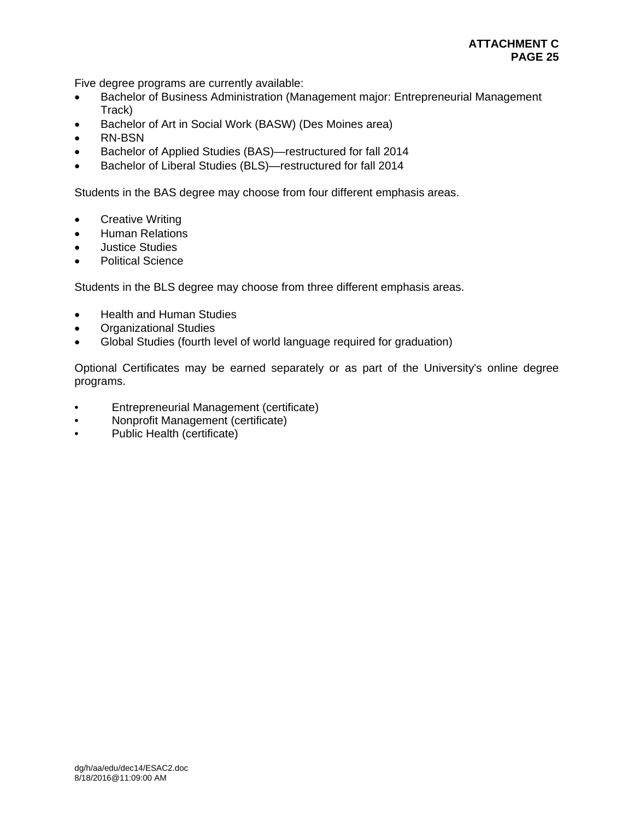Five degree programs are currently available:

- Bachelor of Business Administration (Management major: Entrepreneurial Management Track)
- Bachelor of Art in Social Work (BASW) (Des Moines area)
- RN-BSN
- Bachelor of Applied Studies (BAS)—restructured for fall 2014
- Bachelor of Liberal Studies (BLS)—restructured for fall 2014

Students in the BAS degree may choose from four different emphasis areas.

- Creative Writing
- **•** Human Relations
- Justice Studies
- Political Science

Students in the BLS degree may choose from three different emphasis areas.

- Health and Human Studies
- Organizational Studies
- Global Studies (fourth level of world language required for graduation)

Optional Certificates may be earned separately or as part of the University's online degree programs.

- Entrepreneurial Management (certificate)
- Nonprofit Management (certificate)
- Public Health (certificate)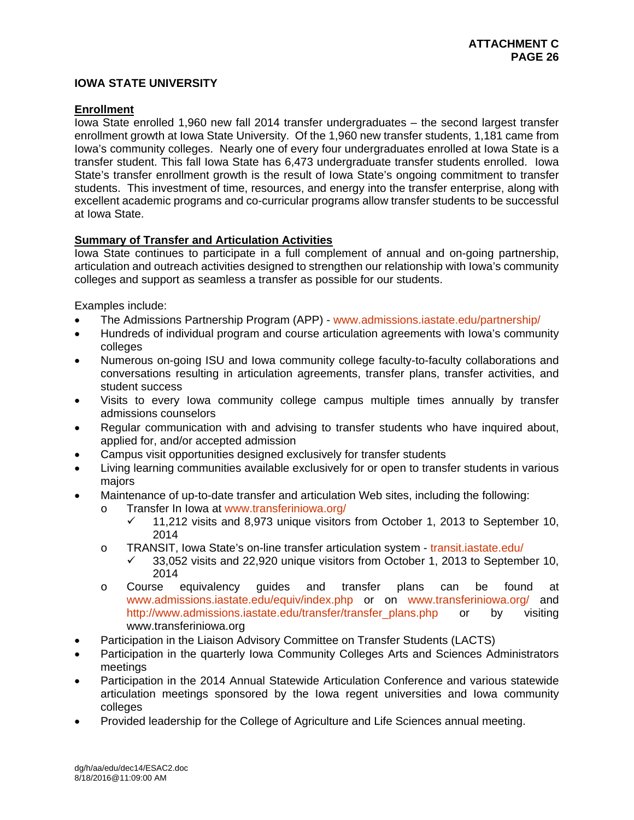# **IOWA STATE UNIVERSITY**

## **Enrollment**

Iowa State enrolled 1,960 new fall 2014 transfer undergraduates – the second largest transfer enrollment growth at Iowa State University. Of the 1,960 new transfer students, 1,181 came from Iowa's community colleges. Nearly one of every four undergraduates enrolled at Iowa State is a transfer student. This fall Iowa State has 6,473 undergraduate transfer students enrolled. Iowa State's transfer enrollment growth is the result of Iowa State's ongoing commitment to transfer students. This investment of time, resources, and energy into the transfer enterprise, along with excellent academic programs and co-curricular programs allow transfer students to be successful at Iowa State.

## **Summary of Transfer and Articulation Activities**

Iowa State continues to participate in a full complement of annual and on-going partnership, articulation and outreach activities designed to strengthen our relationship with Iowa's community colleges and support as seamless a transfer as possible for our students.

Examples include:

- The Admissions Partnership Program (APP) www.admissions.iastate.edu/partnership/
- Hundreds of individual program and course articulation agreements with Iowa's community colleges
- Numerous on-going ISU and Iowa community college faculty-to-faculty collaborations and conversations resulting in articulation agreements, transfer plans, transfer activities, and student success
- Visits to every lowa community college campus multiple times annually by transfer admissions counselors
- Regular communication with and advising to transfer students who have inquired about, applied for, and/or accepted admission
- Campus visit opportunities designed exclusively for transfer students
- Living learning communities available exclusively for or open to transfer students in various majors
- Maintenance of up-to-date transfer and articulation Web sites, including the following:
	- o Transfer In Iowa at www.transferiniowa.org/
		- $\checkmark$  11,212 visits and 8,973 unique visitors from October 1, 2013 to September 10, 2014
	- o TRANSIT, Iowa State's on-line transfer articulation system transit.iastate.edu/<br>
	4 33.052 visits and 22.920 unique visitors from October 1, 2013 to Sentemb
		- 33,052 visits and 22,920 unique visitors from October 1, 2013 to September 10, 2014
	- o Course equivalency guides and transfer plans can be found at www.admissions.iastate.edu/equiv/index.php or on www.transferiniowa.org/ and http://www.admissions.iastate.edu/transfer/transfer\_plans.php or by visiting www.transferiniowa.org
- Participation in the Liaison Advisory Committee on Transfer Students (LACTS)
- Participation in the quarterly Iowa Community Colleges Arts and Sciences Administrators meetings
- Participation in the 2014 Annual Statewide Articulation Conference and various statewide articulation meetings sponsored by the Iowa regent universities and Iowa community colleges
- Provided leadership for the College of Agriculture and Life Sciences annual meeting.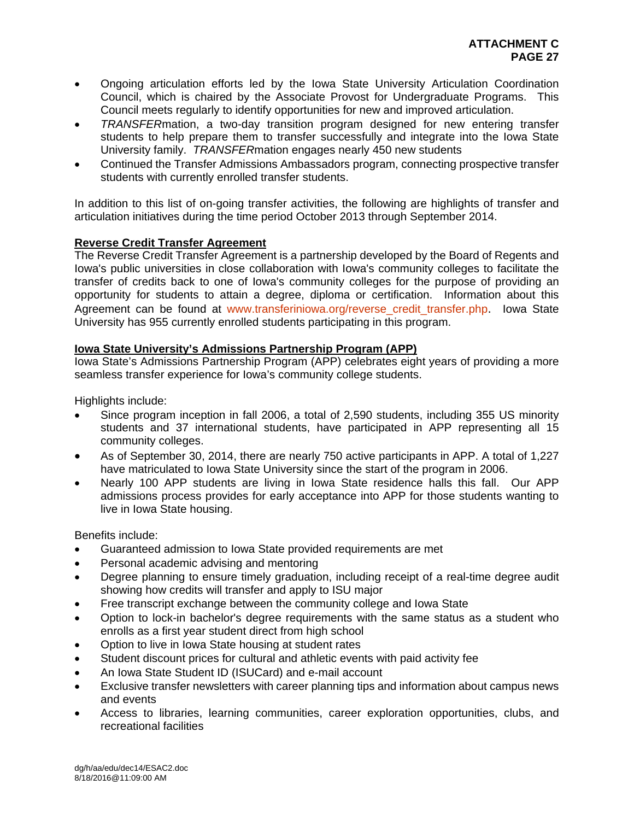- Ongoing articulation efforts led by the Iowa State University Articulation Coordination Council, which is chaired by the Associate Provost for Undergraduate Programs. This Council meets regularly to identify opportunities for new and improved articulation.
- *TRANSFER*mation, a two-day transition program designed for new entering transfer students to help prepare them to transfer successfully and integrate into the Iowa State University family. *TRANSFER*mation engages nearly 450 new students
- Continued the Transfer Admissions Ambassadors program, connecting prospective transfer students with currently enrolled transfer students.

In addition to this list of on-going transfer activities, the following are highlights of transfer and articulation initiatives during the time period October 2013 through September 2014.

# **Reverse Credit Transfer Agreement**

The Reverse Credit Transfer Agreement is a partnership developed by the Board of Regents and Iowa's public universities in close collaboration with Iowa's community colleges to facilitate the transfer of credits back to one of Iowa's community colleges for the purpose of providing an opportunity for students to attain a degree, diploma or certification. Information about this Agreement can be found at www.transferiniowa.org/reverse\_credit\_transfer.php. Iowa State University has 955 currently enrolled students participating in this program.

## **Iowa State University's Admissions Partnership Program (APP)**

Iowa State's Admissions Partnership Program (APP) celebrates eight years of providing a more seamless transfer experience for Iowa's community college students.

Highlights include:

- Since program inception in fall 2006, a total of 2,590 students, including 355 US minority students and 37 international students, have participated in APP representing all 15 community colleges.
- As of September 30, 2014, there are nearly 750 active participants in APP. A total of 1,227 have matriculated to Iowa State University since the start of the program in 2006.
- Nearly 100 APP students are living in Iowa State residence halls this fall. Our APP admissions process provides for early acceptance into APP for those students wanting to live in Iowa State housing.

Benefits include:

- Guaranteed admission to Iowa State provided requirements are met
- Personal academic advising and mentoring
- Degree planning to ensure timely graduation, including receipt of a real-time degree audit showing how credits will transfer and apply to ISU major
- Free transcript exchange between the community college and Iowa State
- Option to lock-in bachelor's degree requirements with the same status as a student who enrolls as a first year student direct from high school
- Option to live in Iowa State housing at student rates
- Student discount prices for cultural and athletic events with paid activity fee
- An Iowa State Student ID (ISUCard) and e-mail account
- Exclusive transfer newsletters with career planning tips and information about campus news and events
- Access to libraries, learning communities, career exploration opportunities, clubs, and recreational facilities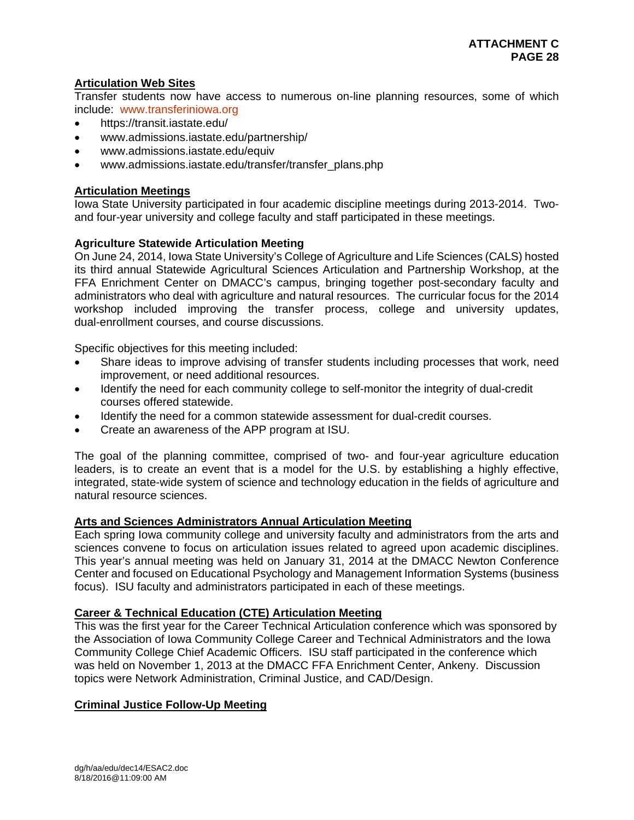# **Articulation Web Sites**

Transfer students now have access to numerous on-line planning resources, some of which include: www.transferiniowa.org

- https://transit.iastate.edu/
- www.admissions.iastate.edu/partnership/
- www.admissions.iastate.edu/equiv
- www.admissions.iastate.edu/transfer/transfer\_plans.php

# **Articulation Meetings**

Iowa State University participated in four academic discipline meetings during 2013-2014. Twoand four-year university and college faculty and staff participated in these meetings.

# **Agriculture Statewide Articulation Meeting**

On June 24, 2014, Iowa State University's College of Agriculture and Life Sciences (CALS) hosted its third annual Statewide Agricultural Sciences Articulation and Partnership Workshop, at the FFA Enrichment Center on DMACC's campus, bringing together post-secondary faculty and administrators who deal with agriculture and natural resources. The curricular focus for the 2014 workshop included improving the transfer process, college and university updates, dual-enrollment courses, and course discussions.

Specific objectives for this meeting included:

- Share ideas to improve advising of transfer students including processes that work, need improvement, or need additional resources.
- Identify the need for each community college to self-monitor the integrity of dual-credit courses offered statewide.
- Identify the need for a common statewide assessment for dual-credit courses.
- Create an awareness of the APP program at ISU.

The goal of the planning committee, comprised of two- and four-year agriculture education leaders, is to create an event that is a model for the U.S. by establishing a highly effective, integrated, state-wide system of science and technology education in the fields of agriculture and natural resource sciences.

## **Arts and Sciences Administrators Annual Articulation Meeting**

Each spring Iowa community college and university faculty and administrators from the arts and sciences convene to focus on articulation issues related to agreed upon academic disciplines. This year's annual meeting was held on January 31, 2014 at the DMACC Newton Conference Center and focused on Educational Psychology and Management Information Systems (business focus). ISU faculty and administrators participated in each of these meetings.

## **Career & Technical Education (CTE) Articulation Meeting**

This was the first year for the Career Technical Articulation conference which was sponsored by the Association of Iowa Community College Career and Technical Administrators and the Iowa Community College Chief Academic Officers. ISU staff participated in the conference which was held on November 1, 2013 at the DMACC FFA Enrichment Center, Ankeny. Discussion topics were Network Administration, Criminal Justice, and CAD/Design.

# **Criminal Justice Follow-Up Meeting**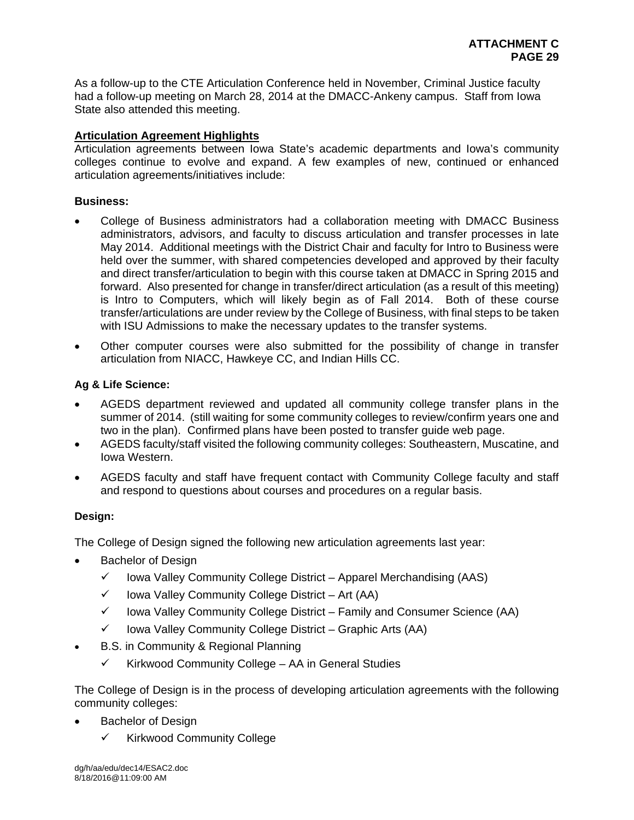As a follow-up to the CTE Articulation Conference held in November, Criminal Justice faculty had a follow-up meeting on March 28, 2014 at the DMACC-Ankeny campus. Staff from Iowa State also attended this meeting.

## **Articulation Agreement Highlights**

Articulation agreements between Iowa State's academic departments and Iowa's community colleges continue to evolve and expand. A few examples of new, continued or enhanced articulation agreements/initiatives include:

## **Business:**

- College of Business administrators had a collaboration meeting with DMACC Business administrators, advisors, and faculty to discuss articulation and transfer processes in late May 2014. Additional meetings with the District Chair and faculty for Intro to Business were held over the summer, with shared competencies developed and approved by their faculty and direct transfer/articulation to begin with this course taken at DMACC in Spring 2015 and forward. Also presented for change in transfer/direct articulation (as a result of this meeting) is Intro to Computers, which will likely begin as of Fall 2014. Both of these course transfer/articulations are under review by the College of Business, with final steps to be taken with ISU Admissions to make the necessary updates to the transfer systems.
- Other computer courses were also submitted for the possibility of change in transfer articulation from NIACC, Hawkeye CC, and Indian Hills CC.

## **Ag & Life Science:**

- AGEDS department reviewed and updated all community college transfer plans in the summer of 2014. (still waiting for some community colleges to review/confirm years one and two in the plan). Confirmed plans have been posted to transfer guide web page.
- AGEDS faculty/staff visited the following community colleges: Southeastern, Muscatine, and Iowa Western.
- AGEDS faculty and staff have frequent contact with Community College faculty and staff and respond to questions about courses and procedures on a regular basis.

## **Design:**

The College of Design signed the following new articulation agreements last year:

- Bachelor of Design
	- $\checkmark$  lowa Valley Community College District Apparel Merchandising (AAS)
	- $\checkmark$  lowa Valley Community College District Art (AA)
	- $\checkmark$  lowa Valley Community College District Family and Consumer Science (AA)
	- $\checkmark$  lowa Valley Community College District Graphic Arts (AA)
- B.S. in Community & Regional Planning
	- $\checkmark$  Kirkwood Community College AA in General Studies

The College of Design is in the process of developing articulation agreements with the following community colleges:

- Bachelor of Design
	- $\checkmark$  Kirkwood Community College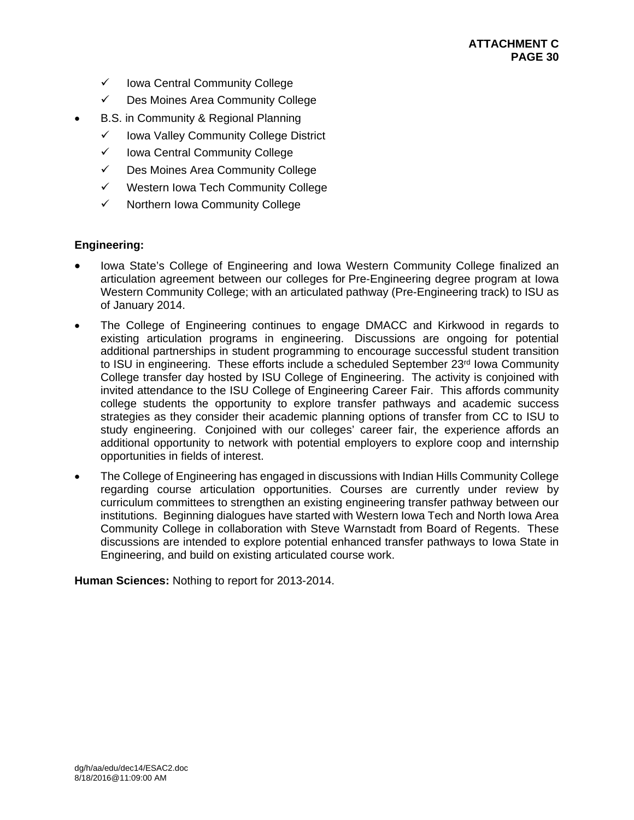- $\checkmark$  Iowa Central Community College
- Des Moines Area Community College
- B.S. in Community & Regional Planning
	- $\checkmark$  lowa Valley Community College District
	- $\checkmark$  Iowa Central Community College
	- $\checkmark$  Des Moines Area Community College
	- $\checkmark$  Western Iowa Tech Community College
	- $\checkmark$  Northern Iowa Community College

# **Engineering:**

- Iowa State's College of Engineering and Iowa Western Community College finalized an articulation agreement between our colleges for Pre-Engineering degree program at Iowa Western Community College; with an articulated pathway (Pre-Engineering track) to ISU as of January 2014.
- The College of Engineering continues to engage DMACC and Kirkwood in regards to existing articulation programs in engineering. Discussions are ongoing for potential additional partnerships in student programming to encourage successful student transition to ISU in engineering. These efforts include a scheduled September 23<sup>rd</sup> Iowa Community College transfer day hosted by ISU College of Engineering. The activity is conjoined with invited attendance to the ISU College of Engineering Career Fair. This affords community college students the opportunity to explore transfer pathways and academic success strategies as they consider their academic planning options of transfer from CC to ISU to study engineering. Conjoined with our colleges' career fair, the experience affords an additional opportunity to network with potential employers to explore coop and internship opportunities in fields of interest.
- The College of Engineering has engaged in discussions with Indian Hills Community College regarding course articulation opportunities. Courses are currently under review by curriculum committees to strengthen an existing engineering transfer pathway between our institutions. Beginning dialogues have started with Western Iowa Tech and North Iowa Area Community College in collaboration with Steve Warnstadt from Board of Regents. These discussions are intended to explore potential enhanced transfer pathways to Iowa State in Engineering, and build on existing articulated course work.

**Human Sciences:** Nothing to report for 2013-2014.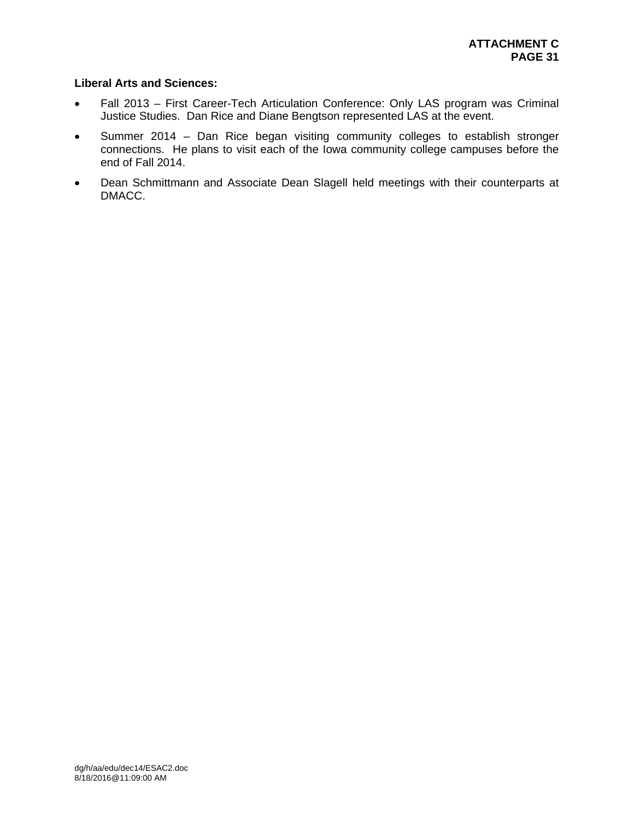# **Liberal Arts and Sciences:**

- Fall 2013 First Career-Tech Articulation Conference: Only LAS program was Criminal Justice Studies. Dan Rice and Diane Bengtson represented LAS at the event.
- Summer 2014 Dan Rice began visiting community colleges to establish stronger connections. He plans to visit each of the Iowa community college campuses before the end of Fall 2014.
- Dean Schmittmann and Associate Dean Slagell held meetings with their counterparts at DMACC.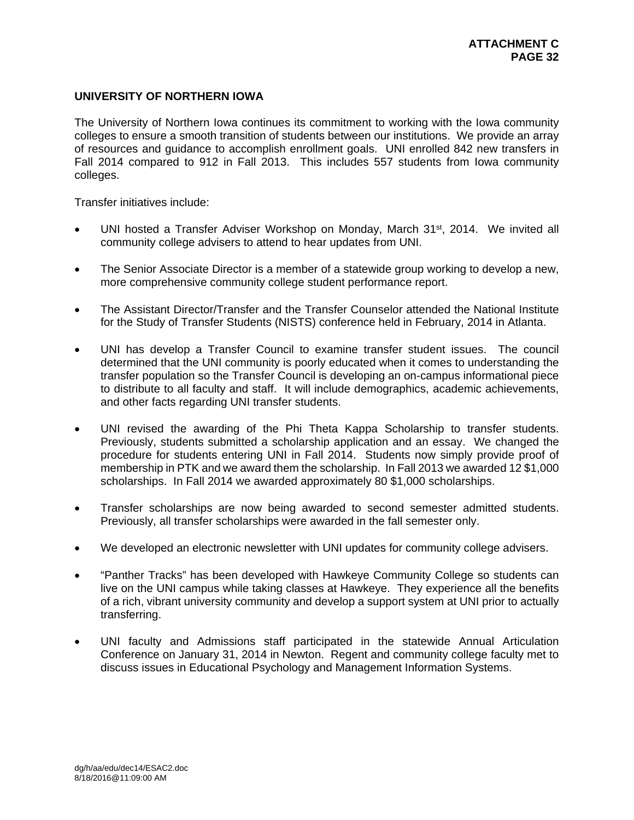# **UNIVERSITY OF NORTHERN IOWA**

The University of Northern Iowa continues its commitment to working with the Iowa community colleges to ensure a smooth transition of students between our institutions. We provide an array of resources and guidance to accomplish enrollment goals. UNI enrolled 842 new transfers in Fall 2014 compared to 912 in Fall 2013. This includes 557 students from Iowa community colleges.

Transfer initiatives include:

- UNI hosted a Transfer Adviser Workshop on Monday, March 31<sup>st</sup>, 2014. We invited all community college advisers to attend to hear updates from UNI.
- The Senior Associate Director is a member of a statewide group working to develop a new, more comprehensive community college student performance report.
- The Assistant Director/Transfer and the Transfer Counselor attended the National Institute for the Study of Transfer Students (NISTS) conference held in February, 2014 in Atlanta.
- UNI has develop a Transfer Council to examine transfer student issues. The council determined that the UNI community is poorly educated when it comes to understanding the transfer population so the Transfer Council is developing an on-campus informational piece to distribute to all faculty and staff. It will include demographics, academic achievements, and other facts regarding UNI transfer students.
- UNI revised the awarding of the Phi Theta Kappa Scholarship to transfer students. Previously, students submitted a scholarship application and an essay. We changed the procedure for students entering UNI in Fall 2014. Students now simply provide proof of membership in PTK and we award them the scholarship. In Fall 2013 we awarded 12 \$1,000 scholarships. In Fall 2014 we awarded approximately 80 \$1,000 scholarships.
- Transfer scholarships are now being awarded to second semester admitted students. Previously, all transfer scholarships were awarded in the fall semester only.
- We developed an electronic newsletter with UNI updates for community college advisers.
- "Panther Tracks" has been developed with Hawkeye Community College so students can live on the UNI campus while taking classes at Hawkeye. They experience all the benefits of a rich, vibrant university community and develop a support system at UNI prior to actually transferring.
- UNI faculty and Admissions staff participated in the statewide Annual Articulation Conference on January 31, 2014 in Newton. Regent and community college faculty met to discuss issues in Educational Psychology and Management Information Systems.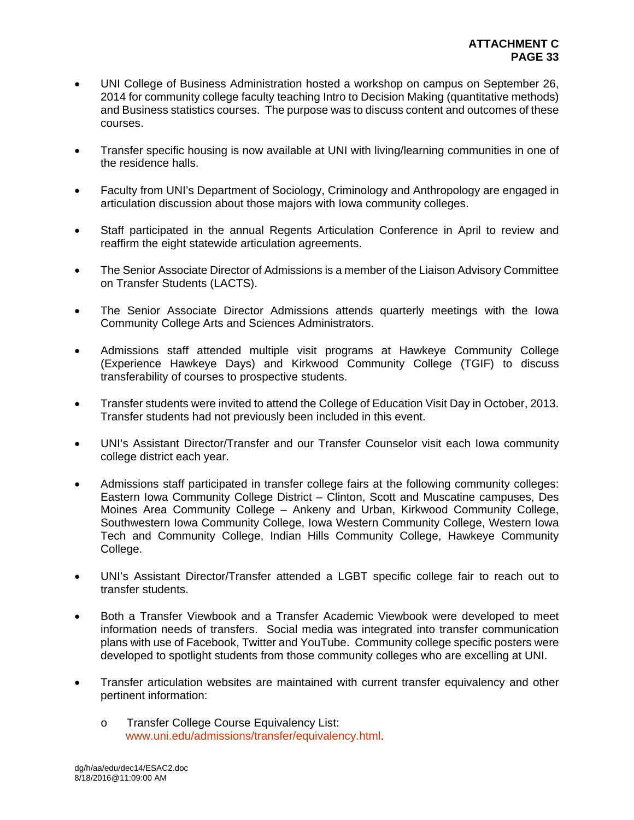- UNI College of Business Administration hosted a workshop on campus on September 26, 2014 for community college faculty teaching Intro to Decision Making (quantitative methods) and Business statistics courses. The purpose was to discuss content and outcomes of these courses.
- Transfer specific housing is now available at UNI with living/learning communities in one of the residence halls.
- Faculty from UNI's Department of Sociology, Criminology and Anthropology are engaged in articulation discussion about those majors with Iowa community colleges.
- Staff participated in the annual Regents Articulation Conference in April to review and reaffirm the eight statewide articulation agreements.
- The Senior Associate Director of Admissions is a member of the Liaison Advisory Committee on Transfer Students (LACTS).
- The Senior Associate Director Admissions attends quarterly meetings with the Iowa Community College Arts and Sciences Administrators.
- Admissions staff attended multiple visit programs at Hawkeye Community College (Experience Hawkeye Days) and Kirkwood Community College (TGIF) to discuss transferability of courses to prospective students.
- Transfer students were invited to attend the College of Education Visit Day in October, 2013. Transfer students had not previously been included in this event.
- UNI's Assistant Director/Transfer and our Transfer Counselor visit each Iowa community college district each year.
- Admissions staff participated in transfer college fairs at the following community colleges: Eastern Iowa Community College District – Clinton, Scott and Muscatine campuses, Des Moines Area Community College – Ankeny and Urban, Kirkwood Community College, Southwestern Iowa Community College, Iowa Western Community College, Western Iowa Tech and Community College, Indian Hills Community College, Hawkeye Community College.
- UNI's Assistant Director/Transfer attended a LGBT specific college fair to reach out to transfer students.
- Both a Transfer Viewbook and a Transfer Academic Viewbook were developed to meet information needs of transfers. Social media was integrated into transfer communication plans with use of Facebook, Twitter and YouTube. Community college specific posters were developed to spotlight students from those community colleges who are excelling at UNI.
- Transfer articulation websites are maintained with current transfer equivalency and other pertinent information:
	- o Transfer College Course Equivalency List: www.uni.edu/admissions/transfer/equivalency.html.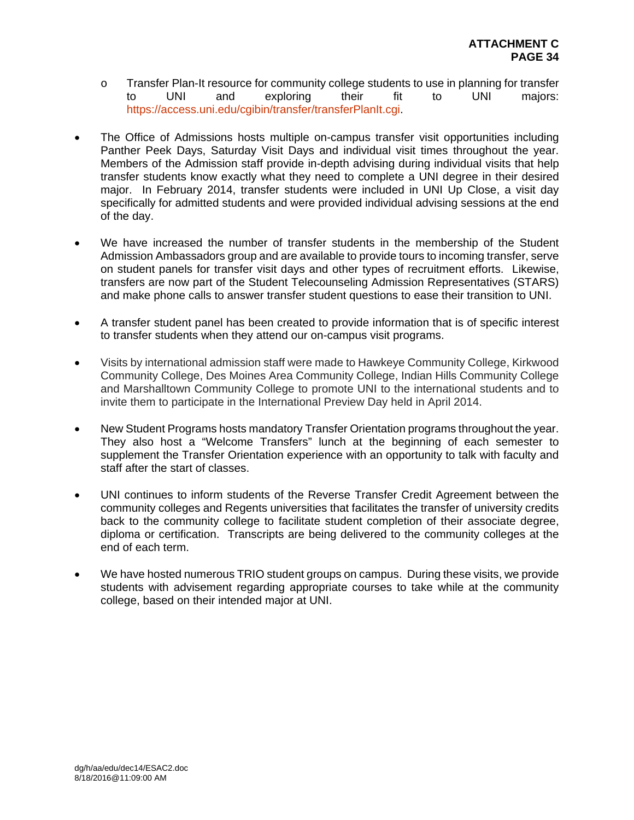- o Transfer Plan-It resource for community college students to use in planning for transfer<br>to UNI and exploring their fit to UNI maiors: to UNI and exploring their fit to UNI majors: https://access.uni.edu/cgibin/transfer/transferPlanIt.cgi.
- The Office of Admissions hosts multiple on-campus transfer visit opportunities including Panther Peek Days, Saturday Visit Days and individual visit times throughout the year. Members of the Admission staff provide in-depth advising during individual visits that help transfer students know exactly what they need to complete a UNI degree in their desired major. In February 2014, transfer students were included in UNI Up Close, a visit day specifically for admitted students and were provided individual advising sessions at the end of the day.
- We have increased the number of transfer students in the membership of the Student Admission Ambassadors group and are available to provide tours to incoming transfer, serve on student panels for transfer visit days and other types of recruitment efforts. Likewise, transfers are now part of the Student Telecounseling Admission Representatives (STARS) and make phone calls to answer transfer student questions to ease their transition to UNI.
- A transfer student panel has been created to provide information that is of specific interest to transfer students when they attend our on-campus visit programs.
- Visits by international admission staff were made to Hawkeye Community College, Kirkwood Community College, Des Moines Area Community College, Indian Hills Community College and Marshalltown Community College to promote UNI to the international students and to invite them to participate in the International Preview Day held in April 2014.
- New Student Programs hosts mandatory Transfer Orientation programs throughout the year. They also host a "Welcome Transfers" lunch at the beginning of each semester to supplement the Transfer Orientation experience with an opportunity to talk with faculty and staff after the start of classes.
- UNI continues to inform students of the Reverse Transfer Credit Agreement between the community colleges and Regents universities that facilitates the transfer of university credits back to the community college to facilitate student completion of their associate degree, diploma or certification. Transcripts are being delivered to the community colleges at the end of each term.
- We have hosted numerous TRIO student groups on campus. During these visits, we provide students with advisement regarding appropriate courses to take while at the community college, based on their intended major at UNI.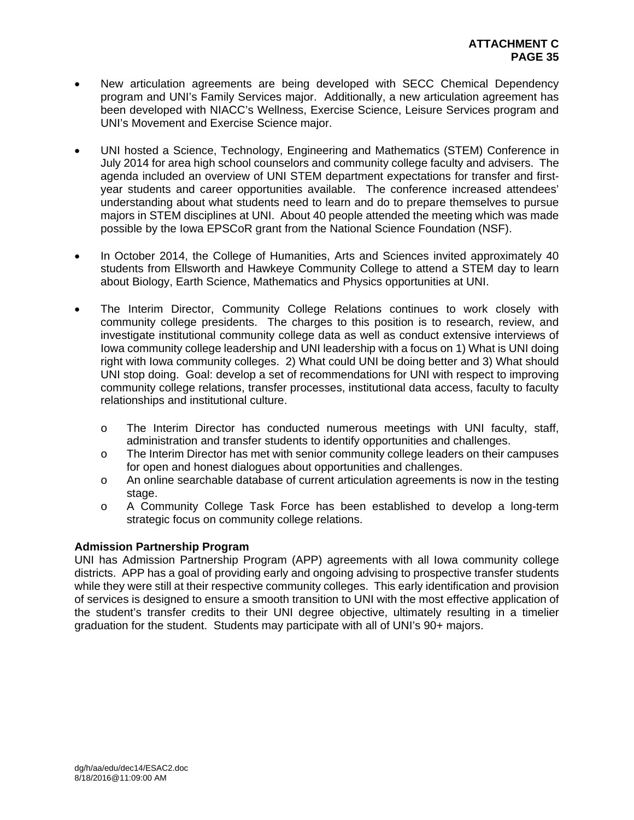- New articulation agreements are being developed with SECC Chemical Dependency program and UNI's Family Services major. Additionally, a new articulation agreement has been developed with NIACC's Wellness, Exercise Science, Leisure Services program and UNI's Movement and Exercise Science major.
- UNI hosted a Science, Technology, Engineering and Mathematics (STEM) Conference in July 2014 for area high school counselors and community college faculty and advisers. The agenda included an overview of UNI STEM department expectations for transfer and firstyear students and career opportunities available. The conference increased attendees' understanding about what students need to learn and do to prepare themselves to pursue majors in STEM disciplines at UNI. About 40 people attended the meeting which was made possible by the Iowa EPSCoR grant from the National Science Foundation (NSF).
- In October 2014, the College of Humanities, Arts and Sciences invited approximately 40 students from Ellsworth and Hawkeye Community College to attend a STEM day to learn about Biology, Earth Science, Mathematics and Physics opportunities at UNI.
- The Interim Director, Community College Relations continues to work closely with community college presidents. The charges to this position is to research, review, and investigate institutional community college data as well as conduct extensive interviews of Iowa community college leadership and UNI leadership with a focus on 1) What is UNI doing right with Iowa community colleges. 2) What could UNI be doing better and 3) What should UNI stop doing. Goal: develop a set of recommendations for UNI with respect to improving community college relations, transfer processes, institutional data access, faculty to faculty relationships and institutional culture.
	- o The Interim Director has conducted numerous meetings with UNI faculty, staff, administration and transfer students to identify opportunities and challenges.
	- o The Interim Director has met with senior community college leaders on their campuses for open and honest dialogues about opportunities and challenges.
	- o An online searchable database of current articulation agreements is now in the testing stage.
	- o A Community College Task Force has been established to develop a long-term strategic focus on community college relations.

# **Admission Partnership Program**

UNI has Admission Partnership Program (APP) agreements with all Iowa community college districts. APP has a goal of providing early and ongoing advising to prospective transfer students while they were still at their respective community colleges. This early identification and provision of services is designed to ensure a smooth transition to UNI with the most effective application of the student's transfer credits to their UNI degree objective, ultimately resulting in a timelier graduation for the student. Students may participate with all of UNI's 90+ majors.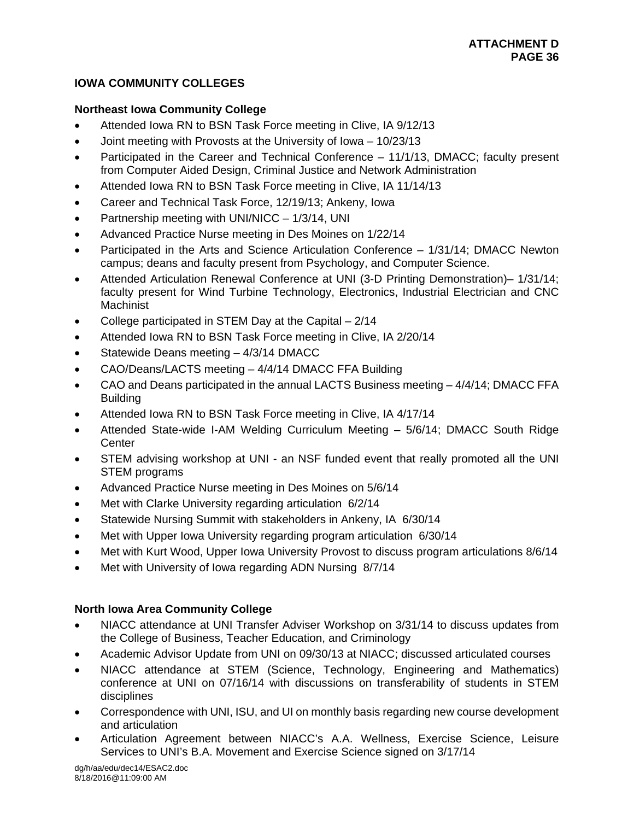# **IOWA COMMUNITY COLLEGES**

# **Northeast Iowa Community College**

- Attended Iowa RN to BSN Task Force meeting in Clive, IA 9/12/13
- Joint meeting with Provosts at the University of Iowa 10/23/13
- Participated in the Career and Technical Conference 11/1/13, DMACC; faculty present from Computer Aided Design, Criminal Justice and Network Administration
- Attended Iowa RN to BSN Task Force meeting in Clive, IA 11/14/13
- Career and Technical Task Force, 12/19/13; Ankeny, Iowa
- Partnership meeting with UNI/NICC 1/3/14, UNI
- Advanced Practice Nurse meeting in Des Moines on 1/22/14
- Participated in the Arts and Science Articulation Conference 1/31/14; DMACC Newton campus; deans and faculty present from Psychology, and Computer Science.
- Attended Articulation Renewal Conference at UNI (3-D Printing Demonstration)– 1/31/14; faculty present for Wind Turbine Technology, Electronics, Industrial Electrician and CNC **Machinist**
- College participated in STEM Day at the Capital 2/14
- Attended Iowa RN to BSN Task Force meeting in Clive, IA 2/20/14
- Statewide Deans meeting 4/3/14 DMACC
- CAO/Deans/LACTS meeting 4/4/14 DMACC FFA Building
- CAO and Deans participated in the annual LACTS Business meeting 4/4/14; DMACC FFA Building
- Attended Iowa RN to BSN Task Force meeting in Clive, IA 4/17/14
- Attended State-wide I-AM Welding Curriculum Meeting 5/6/14; DMACC South Ridge **Center**
- STEM advising workshop at UNI an NSF funded event that really promoted all the UNI STEM programs
- Advanced Practice Nurse meeting in Des Moines on 5/6/14
- Met with Clarke University regarding articulation 6/2/14
- Statewide Nursing Summit with stakeholders in Ankeny, IA 6/30/14
- Met with Upper Iowa University regarding program articulation 6/30/14
- Met with Kurt Wood, Upper Iowa University Provost to discuss program articulations 8/6/14
- Met with University of Iowa regarding ADN Nursing 8/7/14

# **North Iowa Area Community College**

- NIACC attendance at UNI Transfer Adviser Workshop on 3/31/14 to discuss updates from the College of Business, Teacher Education, and Criminology
- Academic Advisor Update from UNI on 09/30/13 at NIACC; discussed articulated courses
- NIACC attendance at STEM (Science, Technology, Engineering and Mathematics) conference at UNI on 07/16/14 with discussions on transferability of students in STEM disciplines
- Correspondence with UNI, ISU, and UI on monthly basis regarding new course development and articulation
- Articulation Agreement between NIACC's A.A. Wellness, Exercise Science, Leisure Services to UNI's B.A. Movement and Exercise Science signed on 3/17/14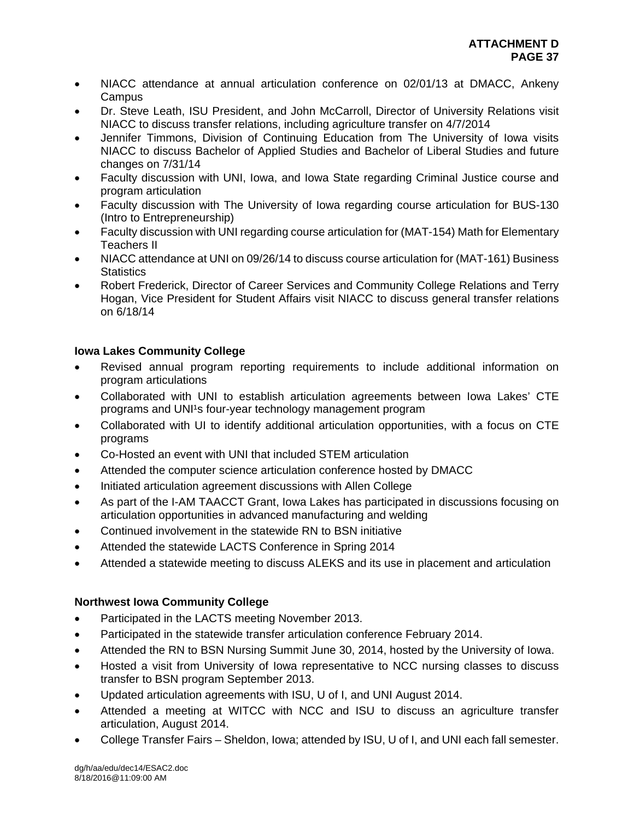- NIACC attendance at annual articulation conference on 02/01/13 at DMACC, Ankeny **Campus**
- Dr. Steve Leath, ISU President, and John McCarroll, Director of University Relations visit NIACC to discuss transfer relations, including agriculture transfer on 4/7/2014
- Jennifer Timmons, Division of Continuing Education from The University of Iowa visits NIACC to discuss Bachelor of Applied Studies and Bachelor of Liberal Studies and future changes on 7/31/14
- Faculty discussion with UNI, Iowa, and Iowa State regarding Criminal Justice course and program articulation
- Faculty discussion with The University of Iowa regarding course articulation for BUS-130 (Intro to Entrepreneurship)
- Faculty discussion with UNI regarding course articulation for (MAT-154) Math for Elementary Teachers II
- NIACC attendance at UNI on 09/26/14 to discuss course articulation for (MAT-161) Business **Statistics**
- Robert Frederick, Director of Career Services and Community College Relations and Terry Hogan, Vice President for Student Affairs visit NIACC to discuss general transfer relations on 6/18/14

# **Iowa Lakes Community College**

- Revised annual program reporting requirements to include additional information on program articulations
- Collaborated with UNI to establish articulation agreements between Iowa Lakes' CTE programs and UNI<sup>1</sup>s four-year technology management program
- Collaborated with UI to identify additional articulation opportunities, with a focus on CTE programs
- Co-Hosted an event with UNI that included STEM articulation
- Attended the computer science articulation conference hosted by DMACC
- Initiated articulation agreement discussions with Allen College
- As part of the I-AM TAACCT Grant, Iowa Lakes has participated in discussions focusing on articulation opportunities in advanced manufacturing and welding
- Continued involvement in the statewide RN to BSN initiative
- Attended the statewide LACTS Conference in Spring 2014
- Attended a statewide meeting to discuss ALEKS and its use in placement and articulation

# **Northwest Iowa Community College**

- Participated in the LACTS meeting November 2013.
- Participated in the statewide transfer articulation conference February 2014.
- Attended the RN to BSN Nursing Summit June 30, 2014, hosted by the University of Iowa.
- Hosted a visit from University of Iowa representative to NCC nursing classes to discuss transfer to BSN program September 2013.
- Updated articulation agreements with ISU, U of I, and UNI August 2014.
- Attended a meeting at WITCC with NCC and ISU to discuss an agriculture transfer articulation, August 2014.
- College Transfer Fairs Sheldon, Iowa; attended by ISU, U of I, and UNI each fall semester.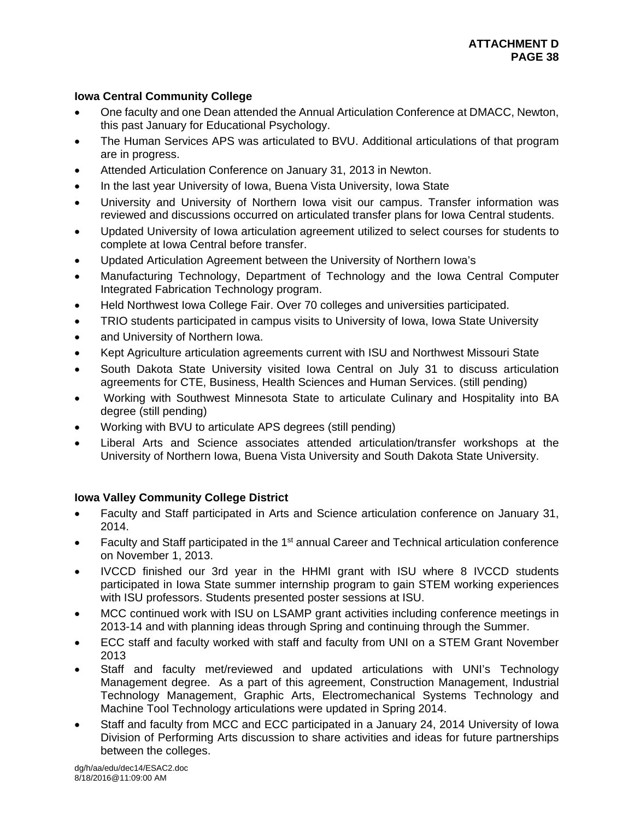# **Iowa Central Community College**

- One faculty and one Dean attended the Annual Articulation Conference at DMACC, Newton, this past January for Educational Psychology.
- The Human Services APS was articulated to BVU. Additional articulations of that program are in progress.
- Attended Articulation Conference on January 31, 2013 in Newton.
- In the last year University of Iowa, Buena Vista University, Iowa State
- University and University of Northern Iowa visit our campus. Transfer information was reviewed and discussions occurred on articulated transfer plans for Iowa Central students.
- Updated University of Iowa articulation agreement utilized to select courses for students to complete at Iowa Central before transfer.
- Updated Articulation Agreement between the University of Northern Iowa's
- Manufacturing Technology, Department of Technology and the Iowa Central Computer Integrated Fabrication Technology program.
- Held Northwest Iowa College Fair. Over 70 colleges and universities participated.
- TRIO students participated in campus visits to University of Iowa, Iowa State University
- and University of Northern Iowa.
- Kept Agriculture articulation agreements current with ISU and Northwest Missouri State
- South Dakota State University visited Iowa Central on July 31 to discuss articulation agreements for CTE, Business, Health Sciences and Human Services. (still pending)
- Working with Southwest Minnesota State to articulate Culinary and Hospitality into BA degree (still pending)
- Working with BVU to articulate APS degrees (still pending)
- Liberal Arts and Science associates attended articulation/transfer workshops at the University of Northern Iowa, Buena Vista University and South Dakota State University.

# **Iowa Valley Community College District**

- Faculty and Staff participated in Arts and Science articulation conference on January 31, 2014.
- Faculty and Staff participated in the 1<sup>st</sup> annual Career and Technical articulation conference on November 1, 2013.
- IVCCD finished our 3rd year in the HHMI grant with ISU where 8 IVCCD students participated in Iowa State summer internship program to gain STEM working experiences with ISU professors. Students presented poster sessions at ISU.
- MCC continued work with ISU on LSAMP grant activities including conference meetings in 2013-14 and with planning ideas through Spring and continuing through the Summer.
- ECC staff and faculty worked with staff and faculty from UNI on a STEM Grant November 2013
- Staff and faculty met/reviewed and updated articulations with UNI's Technology Management degree. As a part of this agreement, Construction Management, Industrial Technology Management, Graphic Arts, Electromechanical Systems Technology and Machine Tool Technology articulations were updated in Spring 2014.
- Staff and faculty from MCC and ECC participated in a January 24, 2014 University of Iowa Division of Performing Arts discussion to share activities and ideas for future partnerships between the colleges.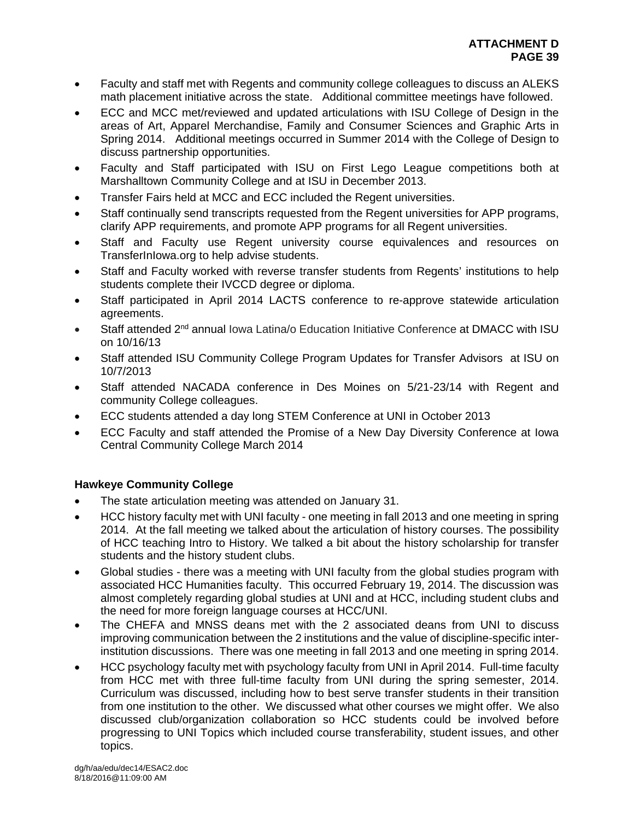- Faculty and staff met with Regents and community college colleagues to discuss an ALEKS math placement initiative across the state. Additional committee meetings have followed.
- ECC and MCC met/reviewed and updated articulations with ISU College of Design in the areas of Art, Apparel Merchandise, Family and Consumer Sciences and Graphic Arts in Spring 2014. Additional meetings occurred in Summer 2014 with the College of Design to discuss partnership opportunities.
- Faculty and Staff participated with ISU on First Lego League competitions both at Marshalltown Community College and at ISU in December 2013.
- Transfer Fairs held at MCC and ECC included the Regent universities.
- Staff continually send transcripts requested from the Regent universities for APP programs, clarify APP requirements, and promote APP programs for all Regent universities.
- Staff and Faculty use Regent university course equivalences and resources on TransferInIowa.org to help advise students.
- Staff and Faculty worked with reverse transfer students from Regents' institutions to help students complete their IVCCD degree or diploma.
- Staff participated in April 2014 LACTS conference to re-approve statewide articulation agreements.
- Staff attended 2<sup>nd</sup> annual Iowa Latina/o Education Initiative Conference at DMACC with ISU on 10/16/13
- Staff attended ISU Community College Program Updates for Transfer Advisors at ISU on 10/7/2013
- Staff attended NACADA conference in Des Moines on 5/21-23/14 with Regent and community College colleagues.
- ECC students attended a day long STEM Conference at UNI in October 2013
- ECC Faculty and staff attended the Promise of a New Day Diversity Conference at Iowa Central Community College March 2014

# **Hawkeye Community College**

- The state articulation meeting was attended on January 31.
- HCC history faculty met with UNI faculty one meeting in fall 2013 and one meeting in spring 2014. At the fall meeting we talked about the articulation of history courses. The possibility of HCC teaching Intro to History. We talked a bit about the history scholarship for transfer students and the history student clubs.
- Global studies there was a meeting with UNI faculty from the global studies program with associated HCC Humanities faculty. This occurred February 19, 2014. The discussion was almost completely regarding global studies at UNI and at HCC, including student clubs and the need for more foreign language courses at HCC/UNI.
- The CHEFA and MNSS deans met with the 2 associated deans from UNI to discuss improving communication between the 2 institutions and the value of discipline-specific interinstitution discussions. There was one meeting in fall 2013 and one meeting in spring 2014.
- HCC psychology faculty met with psychology faculty from UNI in April 2014. Full-time faculty from HCC met with three full-time faculty from UNI during the spring semester, 2014. Curriculum was discussed, including how to best serve transfer students in their transition from one institution to the other. We discussed what other courses we might offer. We also discussed club/organization collaboration so HCC students could be involved before progressing to UNI Topics which included course transferability, student issues, and other topics.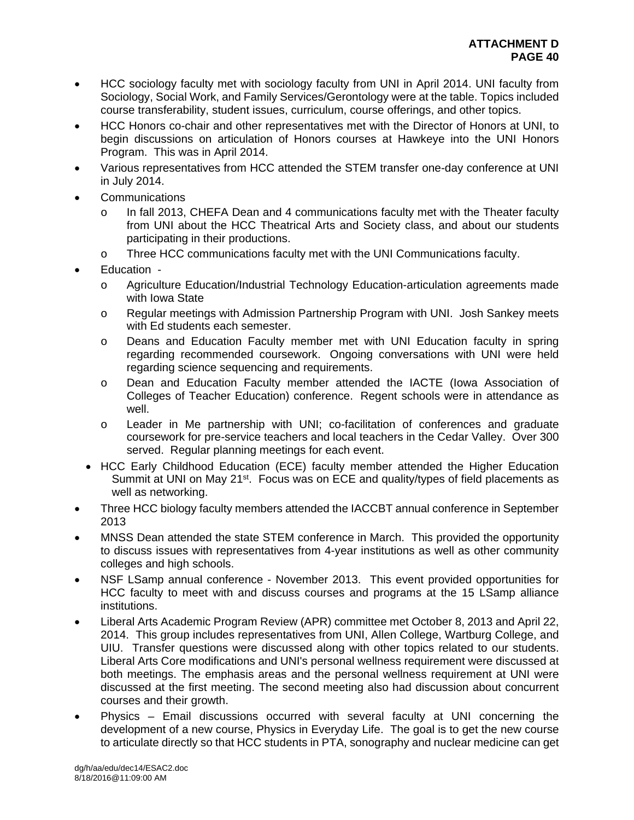- HCC sociology faculty met with sociology faculty from UNI in April 2014. UNI faculty from Sociology, Social Work, and Family Services/Gerontology were at the table. Topics included course transferability, student issues, curriculum, course offerings, and other topics.
- HCC Honors co-chair and other representatives met with the Director of Honors at UNI, to begin discussions on articulation of Honors courses at Hawkeye into the UNI Honors Program. This was in April 2014.
- Various representatives from HCC attended the STEM transfer one-day conference at UNI in July 2014.
- Communications
	- o In fall 2013, CHEFA Dean and 4 communications faculty met with the Theater faculty from UNI about the HCC Theatrical Arts and Society class, and about our students participating in their productions.
	- o Three HCC communications faculty met with the UNI Communications faculty.
- Education
	- o Agriculture Education/Industrial Technology Education-articulation agreements made with Iowa State
	- o Regular meetings with Admission Partnership Program with UNI. Josh Sankey meets with Ed students each semester.
	- o Deans and Education Faculty member met with UNI Education faculty in spring regarding recommended coursework. Ongoing conversations with UNI were held regarding science sequencing and requirements.
	- o Dean and Education Faculty member attended the IACTE (Iowa Association of Colleges of Teacher Education) conference. Regent schools were in attendance as well.
	- o Leader in Me partnership with UNI; co-facilitation of conferences and graduate coursework for pre-service teachers and local teachers in the Cedar Valley. Over 300 served. Regular planning meetings for each event.
	- HCC Early Childhood Education (ECE) faculty member attended the Higher Education Summit at UNI on May  $21^{st}$ . Focus was on ECE and quality/types of field placements as well as networking.
- Three HCC biology faculty members attended the IACCBT annual conference in September 2013
- MNSS Dean attended the state STEM conference in March. This provided the opportunity to discuss issues with representatives from 4-year institutions as well as other community colleges and high schools.
- NSF LSamp annual conference November 2013. This event provided opportunities for HCC faculty to meet with and discuss courses and programs at the 15 LSamp alliance institutions.
- Liberal Arts Academic Program Review (APR) committee met October 8, 2013 and April 22, 2014. This group includes representatives from UNI, Allen College, Wartburg College, and UIU. Transfer questions were discussed along with other topics related to our students. Liberal Arts Core modifications and UNI's personal wellness requirement were discussed at both meetings. The emphasis areas and the personal wellness requirement at UNI were discussed at the first meeting. The second meeting also had discussion about concurrent courses and their growth.
- Physics Email discussions occurred with several faculty at UNI concerning the development of a new course, Physics in Everyday Life. The goal is to get the new course to articulate directly so that HCC students in PTA, sonography and nuclear medicine can get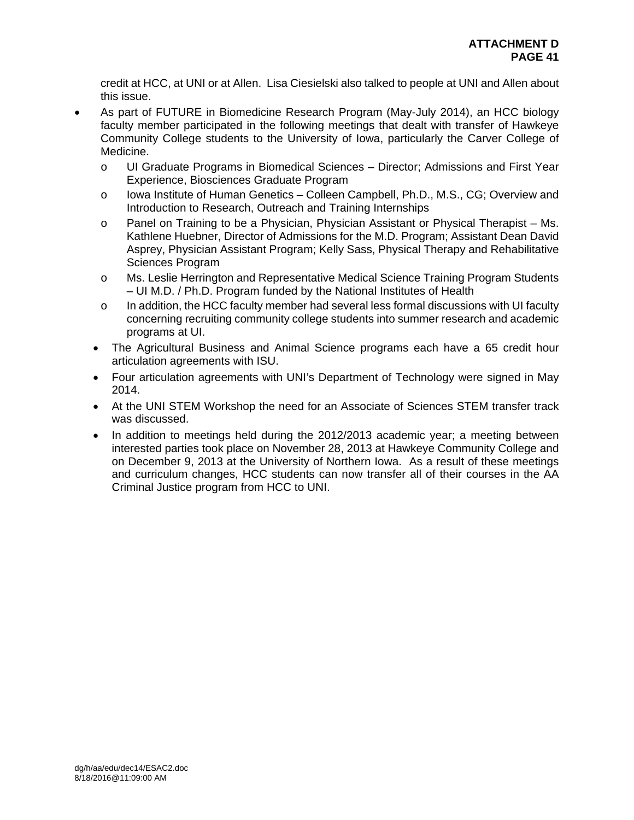credit at HCC, at UNI or at Allen. Lisa Ciesielski also talked to people at UNI and Allen about this issue.

- As part of FUTURE in Biomedicine Research Program (May-July 2014), an HCC biology faculty member participated in the following meetings that dealt with transfer of Hawkeye Community College students to the University of Iowa, particularly the Carver College of Medicine.
	- o UI Graduate Programs in Biomedical Sciences Director; Admissions and First Year Experience, Biosciences Graduate Program
	- o Iowa Institute of Human Genetics Colleen Campbell, Ph.D., M.S., CG; Overview and Introduction to Research, Outreach and Training Internships
	- o Panel on Training to be a Physician, Physician Assistant or Physical Therapist Ms. Kathlene Huebner, Director of Admissions for the M.D. Program; Assistant Dean David Asprey, Physician Assistant Program; Kelly Sass, Physical Therapy and Rehabilitative Sciences Program
	- o Ms. Leslie Herrington and Representative Medical Science Training Program Students – UI M.D. / Ph.D. Program funded by the National Institutes of Health
	- $\circ$  In addition, the HCC faculty member had several less formal discussions with UI faculty concerning recruiting community college students into summer research and academic programs at UI.
	- The Agricultural Business and Animal Science programs each have a 65 credit hour articulation agreements with ISU.
	- Four articulation agreements with UNI's Department of Technology were signed in May 2014.
	- At the UNI STEM Workshop the need for an Associate of Sciences STEM transfer track was discussed.
	- In addition to meetings held during the 2012/2013 academic year; a meeting between interested parties took place on November 28, 2013 at Hawkeye Community College and on December 9, 2013 at the University of Northern Iowa. As a result of these meetings and curriculum changes, HCC students can now transfer all of their courses in the AA Criminal Justice program from HCC to UNI.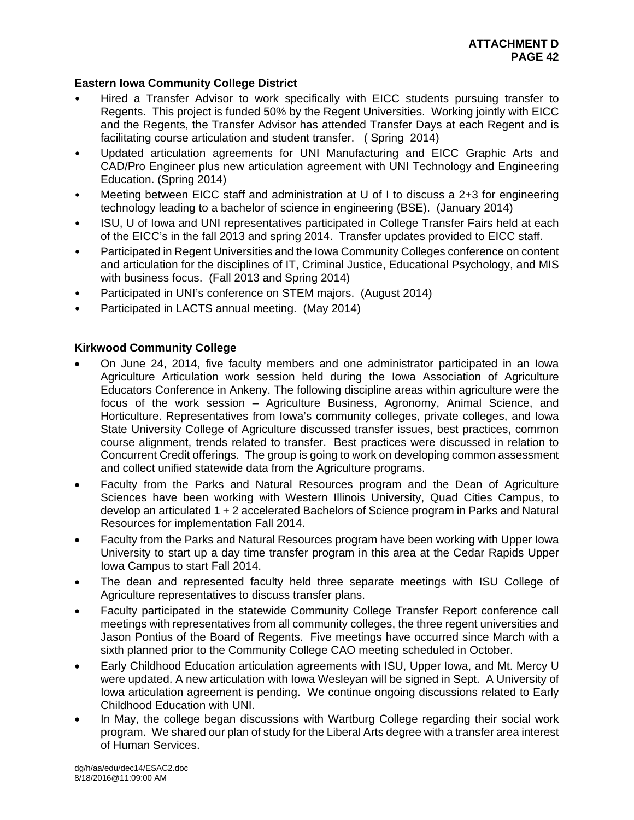# **Eastern Iowa Community College District**

- Hired a Transfer Advisor to work specifically with EICC students pursuing transfer to Regents. This project is funded 50% by the Regent Universities. Working jointly with EICC and the Regents, the Transfer Advisor has attended Transfer Days at each Regent and is facilitating course articulation and student transfer. ( Spring 2014)
- Updated articulation agreements for UNI Manufacturing and EICC Graphic Arts and CAD/Pro Engineer plus new articulation agreement with UNI Technology and Engineering Education. (Spring 2014)
- Meeting between EICC staff and administration at U of I to discuss a 2+3 for engineering technology leading to a bachelor of science in engineering (BSE). (January 2014)
- ISU, U of Iowa and UNI representatives participated in College Transfer Fairs held at each of the EICC's in the fall 2013 and spring 2014. Transfer updates provided to EICC staff.
- Participated in Regent Universities and the Iowa Community Colleges conference on content and articulation for the disciplines of IT, Criminal Justice, Educational Psychology, and MIS with business focus. (Fall 2013 and Spring 2014)
- Participated in UNI's conference on STEM majors. (August 2014)
- Participated in LACTS annual meeting. (May 2014)

# **Kirkwood Community College**

- On June 24, 2014, five faculty members and one administrator participated in an Iowa Agriculture Articulation work session held during the Iowa Association of Agriculture Educators Conference in Ankeny. The following discipline areas within agriculture were the focus of the work session – Agriculture Business, Agronomy, Animal Science, and Horticulture. Representatives from Iowa's community colleges, private colleges, and Iowa State University College of Agriculture discussed transfer issues, best practices, common course alignment, trends related to transfer. Best practices were discussed in relation to Concurrent Credit offerings. The group is going to work on developing common assessment and collect unified statewide data from the Agriculture programs.
- Faculty from the Parks and Natural Resources program and the Dean of Agriculture Sciences have been working with Western Illinois University, Quad Cities Campus, to develop an articulated 1 + 2 accelerated Bachelors of Science program in Parks and Natural Resources for implementation Fall 2014.
- Faculty from the Parks and Natural Resources program have been working with Upper Iowa University to start up a day time transfer program in this area at the Cedar Rapids Upper Iowa Campus to start Fall 2014.
- The dean and represented faculty held three separate meetings with ISU College of Agriculture representatives to discuss transfer plans.
- Faculty participated in the statewide Community College Transfer Report conference call meetings with representatives from all community colleges, the three regent universities and Jason Pontius of the Board of Regents. Five meetings have occurred since March with a sixth planned prior to the Community College CAO meeting scheduled in October.
- Early Childhood Education articulation agreements with ISU, Upper Iowa, and Mt. Mercy U were updated. A new articulation with Iowa Wesleyan will be signed in Sept. A University of Iowa articulation agreement is pending. We continue ongoing discussions related to Early Childhood Education with UNI.
- In May, the college began discussions with Wartburg College regarding their social work program. We shared our plan of study for the Liberal Arts degree with a transfer area interest of Human Services.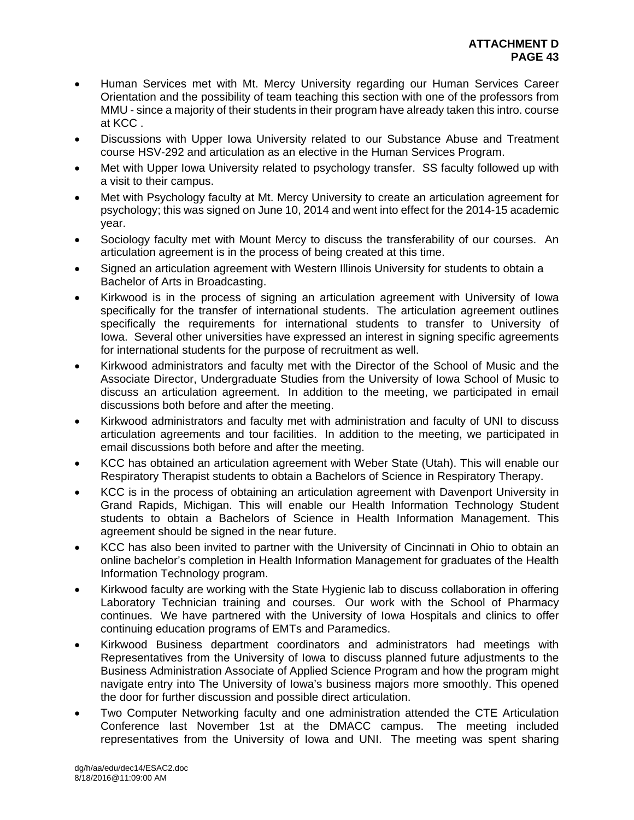- Human Services met with Mt. Mercy University regarding our Human Services Career Orientation and the possibility of team teaching this section with one of the professors from MMU - since a majority of their students in their program have already taken this intro. course at KCC .
- Discussions with Upper Iowa University related to our Substance Abuse and Treatment course HSV-292 and articulation as an elective in the Human Services Program.
- Met with Upper Iowa University related to psychology transfer. SS faculty followed up with a visit to their campus.
- Met with Psychology faculty at Mt. Mercy University to create an articulation agreement for psychology; this was signed on June 10, 2014 and went into effect for the 2014-15 academic year.
- Sociology faculty met with Mount Mercy to discuss the transferability of our courses. An articulation agreement is in the process of being created at this time.
- Signed an articulation agreement with Western Illinois University for students to obtain a Bachelor of Arts in Broadcasting.
- Kirkwood is in the process of signing an articulation agreement with University of Iowa specifically for the transfer of international students. The articulation agreement outlines specifically the requirements for international students to transfer to University of Iowa. Several other universities have expressed an interest in signing specific agreements for international students for the purpose of recruitment as well.
- Kirkwood administrators and faculty met with the Director of the School of Music and the Associate Director, Undergraduate Studies from the University of Iowa School of Music to discuss an articulation agreement. In addition to the meeting, we participated in email discussions both before and after the meeting.
- Kirkwood administrators and faculty met with administration and faculty of UNI to discuss articulation agreements and tour facilities. In addition to the meeting, we participated in email discussions both before and after the meeting.
- KCC has obtained an articulation agreement with Weber State (Utah). This will enable our Respiratory Therapist students to obtain a Bachelors of Science in Respiratory Therapy.
- KCC is in the process of obtaining an articulation agreement with Davenport University in Grand Rapids, Michigan. This will enable our Health Information Technology Student students to obtain a Bachelors of Science in Health Information Management. This agreement should be signed in the near future.
- KCC has also been invited to partner with the University of Cincinnati in Ohio to obtain an online bachelor's completion in Health Information Management for graduates of the Health Information Technology program.
- Kirkwood faculty are working with the State Hygienic lab to discuss collaboration in offering Laboratory Technician training and courses. Our work with the School of Pharmacy continues. We have partnered with the University of Iowa Hospitals and clinics to offer continuing education programs of EMTs and Paramedics.
- Kirkwood Business department coordinators and administrators had meetings with Representatives from the University of Iowa to discuss planned future adjustments to the Business Administration Associate of Applied Science Program and how the program might navigate entry into The University of Iowa's business majors more smoothly. This opened the door for further discussion and possible direct articulation.
- Two Computer Networking faculty and one administration attended the CTE Articulation Conference last November 1st at the DMACC campus. The meeting included representatives from the University of Iowa and UNI. The meeting was spent sharing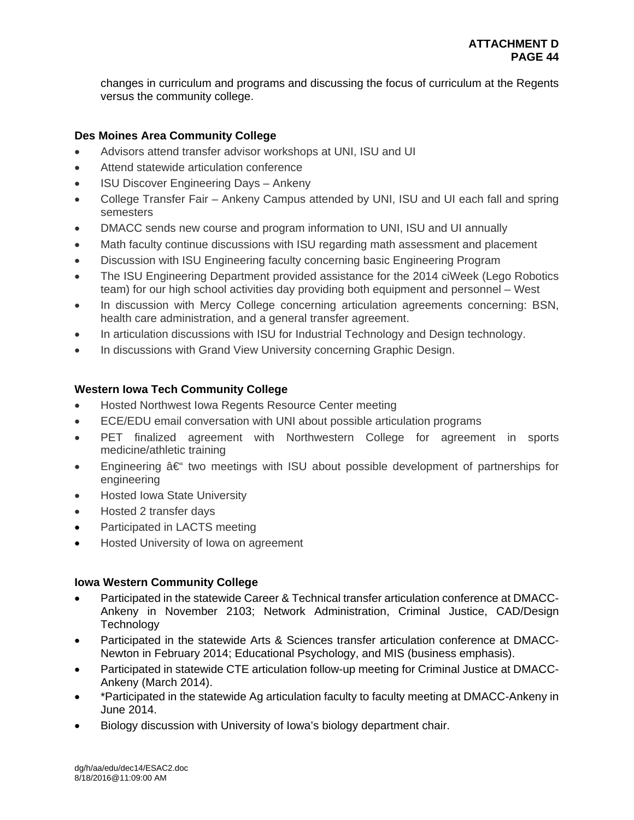changes in curriculum and programs and discussing the focus of curriculum at the Regents versus the community college.

# **Des Moines Area Community College**

- Advisors attend transfer advisor workshops at UNI, ISU and UI
- Attend statewide articulation conference
- ISU Discover Engineering Days Ankeny
- College Transfer Fair Ankeny Campus attended by UNI, ISU and UI each fall and spring semesters
- DMACC sends new course and program information to UNI, ISU and UI annually
- Math faculty continue discussions with ISU regarding math assessment and placement
- Discussion with ISU Engineering faculty concerning basic Engineering Program
- The ISU Engineering Department provided assistance for the 2014 ciWeek (Lego Robotics team) for our high school activities day providing both equipment and personnel – West
- In discussion with Mercy College concerning articulation agreements concerning: BSN, health care administration, and a general transfer agreement.
- In articulation discussions with ISU for Industrial Technology and Design technology.
- In discussions with Grand View University concerning Graphic Design.

# **Western Iowa Tech Community College**

- Hosted Northwest Iowa Regents Resource Center meeting
- ECE/EDU email conversation with UNI about possible articulation programs
- PET finalized agreement with Northwestern College for agreement in sports medicine/athletic training
- Engineering  $\hat{a} \in \hat{a}$  two meetings with ISU about possible development of partnerships for engineering
- Hosted Iowa State University
- Hosted 2 transfer days
- Participated in LACTS meeting
- **•** Hosted University of Iowa on agreement

# **Iowa Western Community College**

- Participated in the statewide Career & Technical transfer articulation conference at DMACC-Ankeny in November 2103; Network Administration, Criminal Justice, CAD/Design **Technology**
- Participated in the statewide Arts & Sciences transfer articulation conference at DMACC-Newton in February 2014; Educational Psychology, and MIS (business emphasis).
- Participated in statewide CTE articulation follow-up meeting for Criminal Justice at DMACC-Ankeny (March 2014).
- \*Participated in the statewide Ag articulation faculty to faculty meeting at DMACC-Ankeny in June 2014.
- Biology discussion with University of Iowa's biology department chair.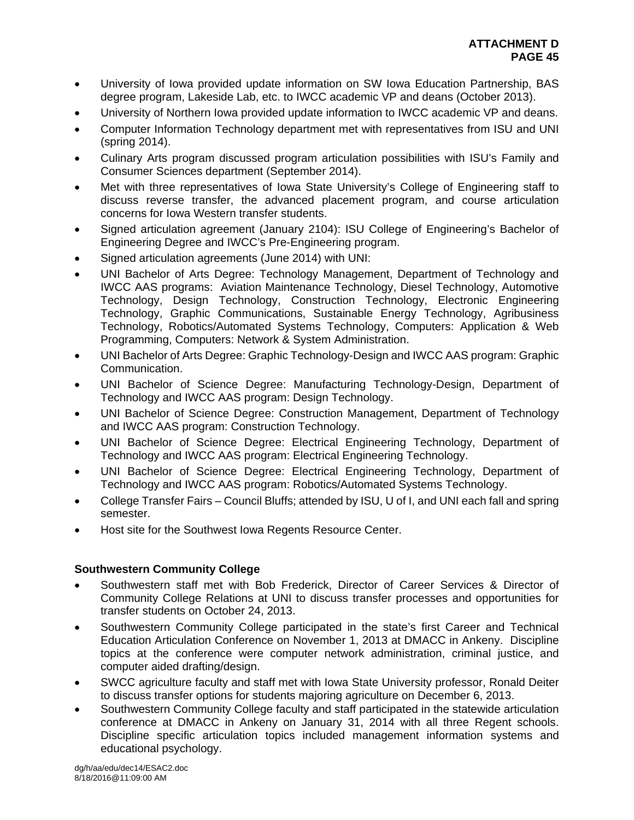- University of Iowa provided update information on SW Iowa Education Partnership, BAS degree program, Lakeside Lab, etc. to IWCC academic VP and deans (October 2013).
- University of Northern Iowa provided update information to IWCC academic VP and deans.
- Computer Information Technology department met with representatives from ISU and UNI (spring 2014).
- Culinary Arts program discussed program articulation possibilities with ISU's Family and Consumer Sciences department (September 2014).
- Met with three representatives of Iowa State University's College of Engineering staff to discuss reverse transfer, the advanced placement program, and course articulation concerns for Iowa Western transfer students.
- Signed articulation agreement (January 2104): ISU College of Engineering's Bachelor of Engineering Degree and IWCC's Pre-Engineering program.
- Signed articulation agreements (June 2014) with UNI:
- UNI Bachelor of Arts Degree: Technology Management, Department of Technology and IWCC AAS programs: Aviation Maintenance Technology, Diesel Technology, Automotive Technology, Design Technology, Construction Technology, Electronic Engineering Technology, Graphic Communications, Sustainable Energy Technology, Agribusiness Technology, Robotics/Automated Systems Technology, Computers: Application & Web Programming, Computers: Network & System Administration.
- UNI Bachelor of Arts Degree: Graphic Technology-Design and IWCC AAS program: Graphic Communication.
- UNI Bachelor of Science Degree: Manufacturing Technology-Design, Department of Technology and IWCC AAS program: Design Technology.
- UNI Bachelor of Science Degree: Construction Management, Department of Technology and IWCC AAS program: Construction Technology.
- UNI Bachelor of Science Degree: Electrical Engineering Technology, Department of Technology and IWCC AAS program: Electrical Engineering Technology.
- UNI Bachelor of Science Degree: Electrical Engineering Technology, Department of Technology and IWCC AAS program: Robotics/Automated Systems Technology.
- College Transfer Fairs Council Bluffs; attended by ISU, U of I, and UNI each fall and spring semester.
- Host site for the Southwest Iowa Regents Resource Center.

# **Southwestern Community College**

- Southwestern staff met with Bob Frederick, Director of Career Services & Director of Community College Relations at UNI to discuss transfer processes and opportunities for transfer students on October 24, 2013.
- Southwestern Community College participated in the state's first Career and Technical Education Articulation Conference on November 1, 2013 at DMACC in Ankeny. Discipline topics at the conference were computer network administration, criminal justice, and computer aided drafting/design.
- SWCC agriculture faculty and staff met with Iowa State University professor, Ronald Deiter to discuss transfer options for students majoring agriculture on December 6, 2013.
- Southwestern Community College faculty and staff participated in the statewide articulation conference at DMACC in Ankeny on January 31, 2014 with all three Regent schools. Discipline specific articulation topics included management information systems and educational psychology.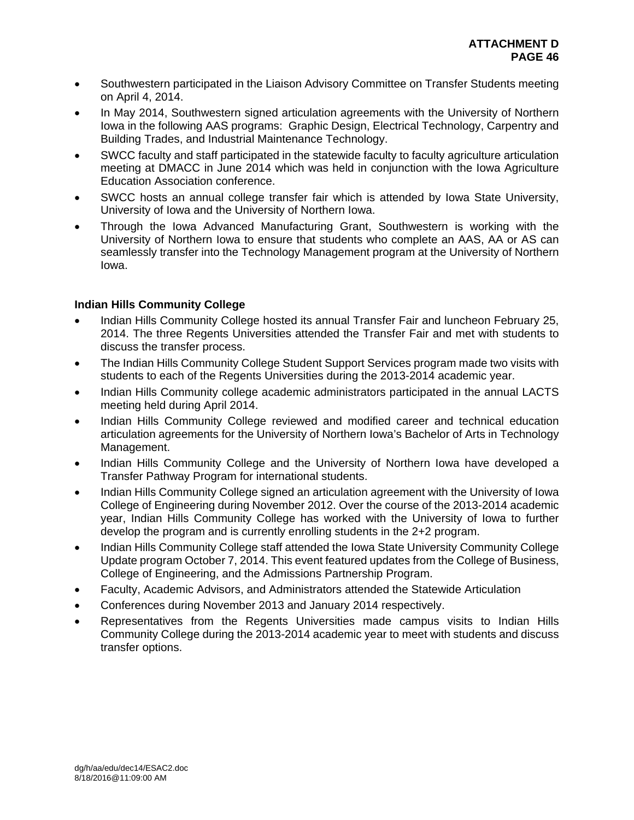- Southwestern participated in the Liaison Advisory Committee on Transfer Students meeting on April 4, 2014.
- In May 2014, Southwestern signed articulation agreements with the University of Northern Iowa in the following AAS programs: Graphic Design, Electrical Technology, Carpentry and Building Trades, and Industrial Maintenance Technology.
- SWCC faculty and staff participated in the statewide faculty to faculty agriculture articulation meeting at DMACC in June 2014 which was held in conjunction with the Iowa Agriculture Education Association conference.
- SWCC hosts an annual college transfer fair which is attended by Iowa State University, University of Iowa and the University of Northern Iowa.
- Through the Iowa Advanced Manufacturing Grant, Southwestern is working with the University of Northern Iowa to ensure that students who complete an AAS, AA or AS can seamlessly transfer into the Technology Management program at the University of Northern Iowa.

# **Indian Hills Community College**

- Indian Hills Community College hosted its annual Transfer Fair and luncheon February 25, 2014. The three Regents Universities attended the Transfer Fair and met with students to discuss the transfer process.
- The Indian Hills Community College Student Support Services program made two visits with students to each of the Regents Universities during the 2013-2014 academic year.
- Indian Hills Community college academic administrators participated in the annual LACTS meeting held during April 2014.
- Indian Hills Community College reviewed and modified career and technical education articulation agreements for the University of Northern Iowa's Bachelor of Arts in Technology Management.
- Indian Hills Community College and the University of Northern Iowa have developed a Transfer Pathway Program for international students.
- Indian Hills Community College signed an articulation agreement with the University of Iowa College of Engineering during November 2012. Over the course of the 2013-2014 academic year, Indian Hills Community College has worked with the University of Iowa to further develop the program and is currently enrolling students in the 2+2 program.
- Indian Hills Community College staff attended the Iowa State University Community College Update program October 7, 2014. This event featured updates from the College of Business, College of Engineering, and the Admissions Partnership Program.
- Faculty, Academic Advisors, and Administrators attended the Statewide Articulation
- Conferences during November 2013 and January 2014 respectively.
- Representatives from the Regents Universities made campus visits to Indian Hills Community College during the 2013-2014 academic year to meet with students and discuss transfer options.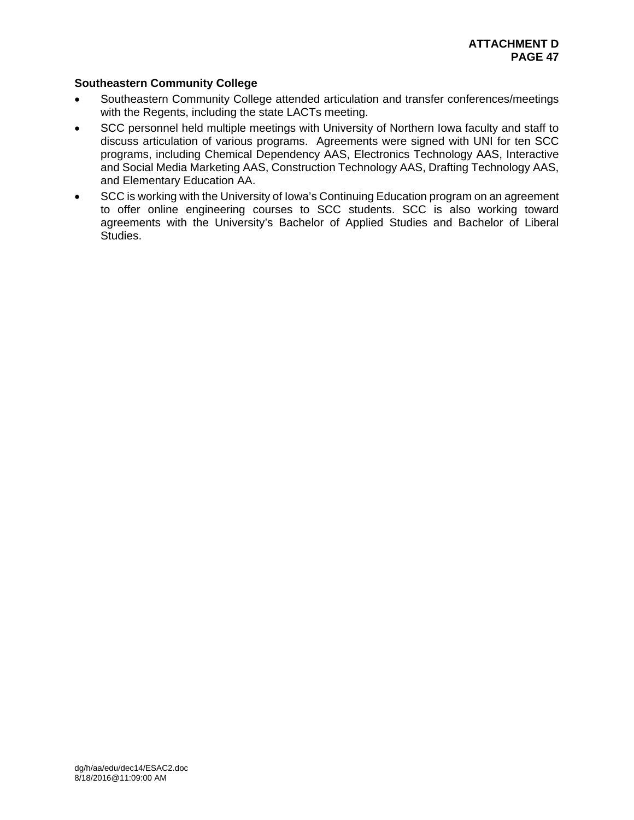# **Southeastern Community College**

- Southeastern Community College attended articulation and transfer conferences/meetings with the Regents, including the state LACTs meeting.
- SCC personnel held multiple meetings with University of Northern Iowa faculty and staff to discuss articulation of various programs. Agreements were signed with UNI for ten SCC programs, including Chemical Dependency AAS, Electronics Technology AAS, Interactive and Social Media Marketing AAS, Construction Technology AAS, Drafting Technology AAS, and Elementary Education AA.
- SCC is working with the University of Iowa's Continuing Education program on an agreement to offer online engineering courses to SCC students. SCC is also working toward agreements with the University's Bachelor of Applied Studies and Bachelor of Liberal Studies.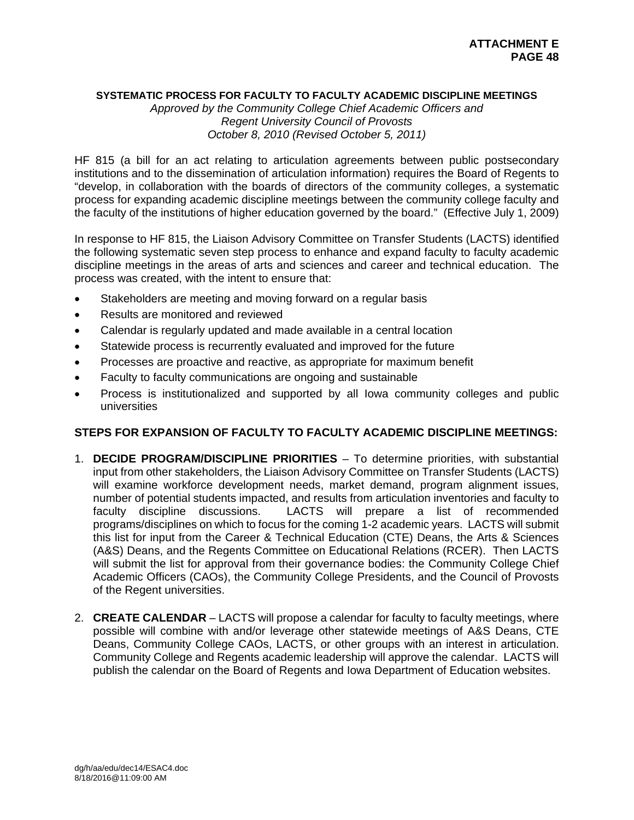# **SYSTEMATIC PROCESS FOR FACULTY TO FACULTY ACADEMIC DISCIPLINE MEETINGS**

*Approved by the Community College Chief Academic Officers and Regent University Council of Provosts October 8, 2010 (Revised October 5, 2011)* 

HF 815 (a bill for an act relating to articulation agreements between public postsecondary institutions and to the dissemination of articulation information) requires the Board of Regents to "develop, in collaboration with the boards of directors of the community colleges, a systematic process for expanding academic discipline meetings between the community college faculty and the faculty of the institutions of higher education governed by the board." (Effective July 1, 2009)

In response to HF 815, the Liaison Advisory Committee on Transfer Students (LACTS) identified the following systematic seven step process to enhance and expand faculty to faculty academic discipline meetings in the areas of arts and sciences and career and technical education. The process was created, with the intent to ensure that:

- Stakeholders are meeting and moving forward on a regular basis
- Results are monitored and reviewed
- Calendar is regularly updated and made available in a central location
- Statewide process is recurrently evaluated and improved for the future
- Processes are proactive and reactive, as appropriate for maximum benefit
- Faculty to faculty communications are ongoing and sustainable
- Process is institutionalized and supported by all Iowa community colleges and public universities

# **STEPS FOR EXPANSION OF FACULTY TO FACULTY ACADEMIC DISCIPLINE MEETINGS:**

- 1. **DECIDE PROGRAM/DISCIPLINE PRIORITIES** To determine priorities, with substantial input from other stakeholders, the Liaison Advisory Committee on Transfer Students (LACTS) will examine workforce development needs, market demand, program alignment issues, number of potential students impacted, and results from articulation inventories and faculty to faculty discipline discussions. LACTS will prepare a list of recommended programs/disciplines on which to focus for the coming 1-2 academic years. LACTS will submit this list for input from the Career & Technical Education (CTE) Deans, the Arts & Sciences (A&S) Deans, and the Regents Committee on Educational Relations (RCER). Then LACTS will submit the list for approval from their governance bodies: the Community College Chief Academic Officers (CAOs), the Community College Presidents, and the Council of Provosts of the Regent universities.
- 2. **CREATE CALENDAR** LACTS will propose a calendar for faculty to faculty meetings, where possible will combine with and/or leverage other statewide meetings of A&S Deans, CTE Deans, Community College CAOs, LACTS, or other groups with an interest in articulation. Community College and Regents academic leadership will approve the calendar. LACTS will publish the calendar on the Board of Regents and Iowa Department of Education websites.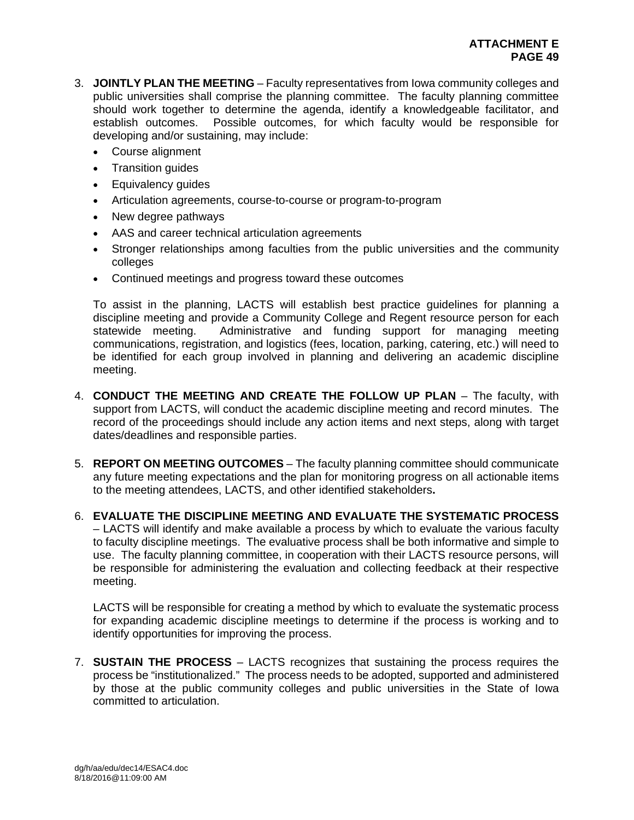- 3. **JOINTLY PLAN THE MEETING** Faculty representatives from Iowa community colleges and public universities shall comprise the planning committee. The faculty planning committee should work together to determine the agenda, identify a knowledgeable facilitator, and establish outcomes. Possible outcomes, for which faculty would be responsible for developing and/or sustaining, may include:
	- Course alignment
	- Transition quides
	- Equivalency guides
	- Articulation agreements, course-to-course or program-to-program
	- New degree pathways
	- AAS and career technical articulation agreements
	- Stronger relationships among faculties from the public universities and the community colleges
	- Continued meetings and progress toward these outcomes

To assist in the planning, LACTS will establish best practice guidelines for planning a discipline meeting and provide a Community College and Regent resource person for each statewide meeting. Administrative and funding support for managing meeting communications, registration, and logistics (fees, location, parking, catering, etc.) will need to be identified for each group involved in planning and delivering an academic discipline meeting.

- 4. **CONDUCT THE MEETING AND CREATE THE FOLLOW UP PLAN** The faculty, with support from LACTS, will conduct the academic discipline meeting and record minutes. The record of the proceedings should include any action items and next steps, along with target dates/deadlines and responsible parties.
- 5. **REPORT ON MEETING OUTCOMES** The faculty planning committee should communicate any future meeting expectations and the plan for monitoring progress on all actionable items to the meeting attendees, LACTS, and other identified stakeholders**.**
- 6. **EVALUATE THE DISCIPLINE MEETING AND EVALUATE THE SYSTEMATIC PROCESS** – LACTS will identify and make available a process by which to evaluate the various faculty to faculty discipline meetings. The evaluative process shall be both informative and simple to use. The faculty planning committee, in cooperation with their LACTS resource persons, will be responsible for administering the evaluation and collecting feedback at their respective meeting.

LACTS will be responsible for creating a method by which to evaluate the systematic process for expanding academic discipline meetings to determine if the process is working and to identify opportunities for improving the process.

7. **SUSTAIN THE PROCESS** – LACTS recognizes that sustaining the process requires the process be "institutionalized." The process needs to be adopted, supported and administered by those at the public community colleges and public universities in the State of Iowa committed to articulation.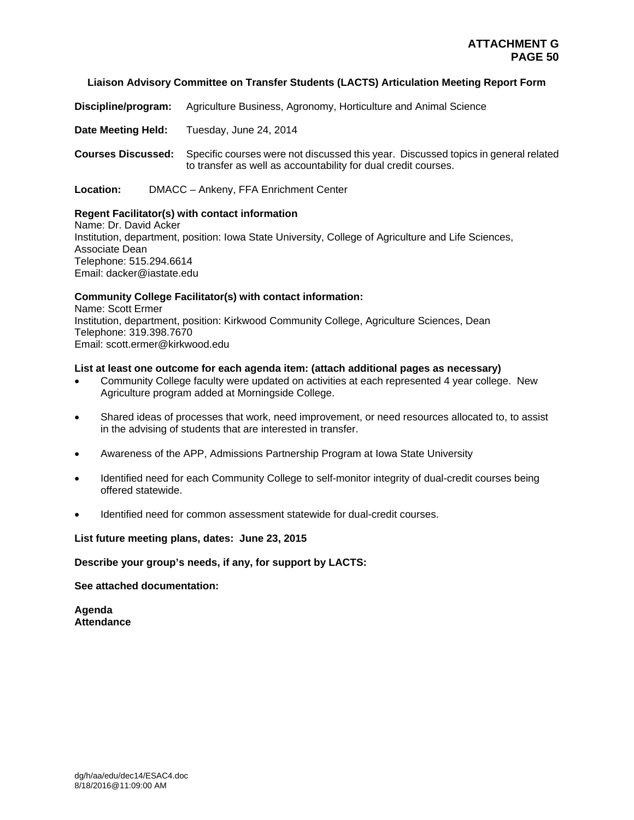## **Liaison Advisory Committee on Transfer Students (LACTS) Articulation Meeting Report Form**

**Discipline/program:** Agriculture Business, Agronomy, Horticulture and Animal Science

**Date Meeting Held:** Tuesday, June 24, 2014

**Courses Discussed:** Specific courses were not discussed this year. Discussed topics in general related to transfer as well as accountability for dual credit courses.

**Location:** DMACC – Ankeny, FFA Enrichment Center

# **Regent Facilitator(s) with contact information**

Name: Dr. David Acker Institution, department, position: Iowa State University, College of Agriculture and Life Sciences, Associate Dean Telephone: 515.294.6614 Email: dacker@iastate.edu

# **Community College Facilitator(s) with contact information:**

Name: Scott Ermer Institution, department, position: Kirkwood Community College, Agriculture Sciences, Dean Telephone: 319.398.7670 Email: scott.ermer@kirkwood.edu

# **List at least one outcome for each agenda item: (attach additional pages as necessary)**

- Community College faculty were updated on activities at each represented 4 year college. New Agriculture program added at Morningside College.
- Shared ideas of processes that work, need improvement, or need resources allocated to, to assist in the advising of students that are interested in transfer.
- Awareness of the APP, Admissions Partnership Program at Iowa State University
- Identified need for each Community College to self-monitor integrity of dual-credit courses being offered statewide.
- Identified need for common assessment statewide for dual-credit courses.

**List future meeting plans, dates: June 23, 2015** 

**Describe your group's needs, if any, for support by LACTS:** 

**See attached documentation:** 

**Agenda Attendance**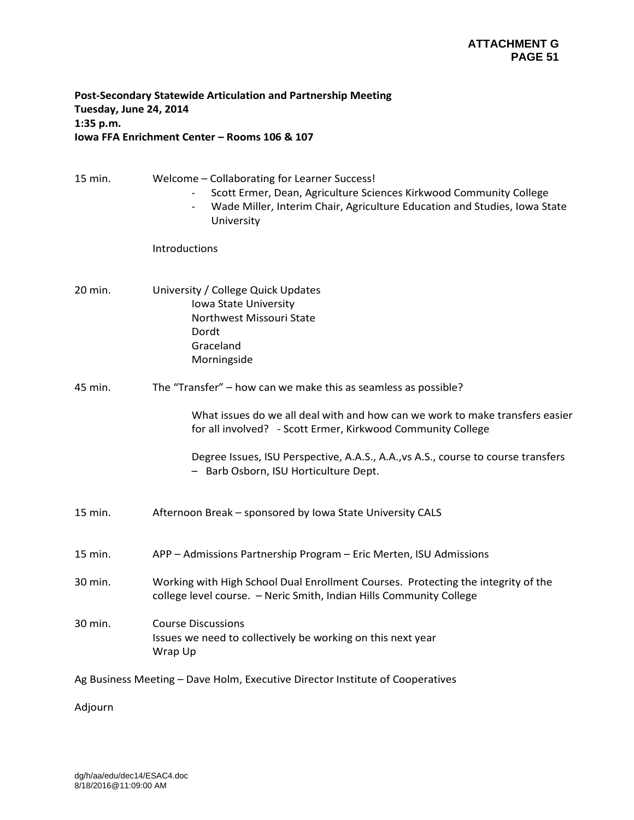# **Post‐Secondary Statewide Articulation and Partnership Meeting Tuesday, June 24, 2014 1:35 p.m. Iowa FFA Enrichment Center – Rooms 106 & 107**

| 15 min. | Welcome - Collaborating for Learner Success!<br>Scott Ermer, Dean, Agriculture Sciences Kirkwood Community College<br>Wade Miller, Interim Chair, Agriculture Education and Studies, Iowa State<br>University |
|---------|---------------------------------------------------------------------------------------------------------------------------------------------------------------------------------------------------------------|
|         | Introductions                                                                                                                                                                                                 |
| 20 min. | University / College Quick Updates<br>Iowa State University<br>Northwest Missouri State<br>Dordt<br>Graceland<br>Morningside                                                                                  |
| 45 min. | The "Transfer" - how can we make this as seamless as possible?                                                                                                                                                |
|         | What issues do we all deal with and how can we work to make transfers easier<br>for all involved? - Scott Ermer, Kirkwood Community College                                                                   |
|         | Degree Issues, ISU Perspective, A.A.S., A.A., vs A.S., course to course transfers<br>- Barb Osborn, ISU Horticulture Dept.                                                                                    |
| 15 min. | Afternoon Break - sponsored by Iowa State University CALS                                                                                                                                                     |
| 15 min. | APP - Admissions Partnership Program - Eric Merten, ISU Admissions                                                                                                                                            |
| 30 min. | Working with High School Dual Enrollment Courses. Protecting the integrity of the<br>college level course. - Neric Smith, Indian Hills Community College                                                      |
| 30 min. | <b>Course Discussions</b><br>Issues we need to collectively be working on this next year<br>Wrap Up                                                                                                           |
|         | Ag Business Meeting - Dave Holm, Executive Director Institute of Cooperatives                                                                                                                                 |
| Adjourn |                                                                                                                                                                                                               |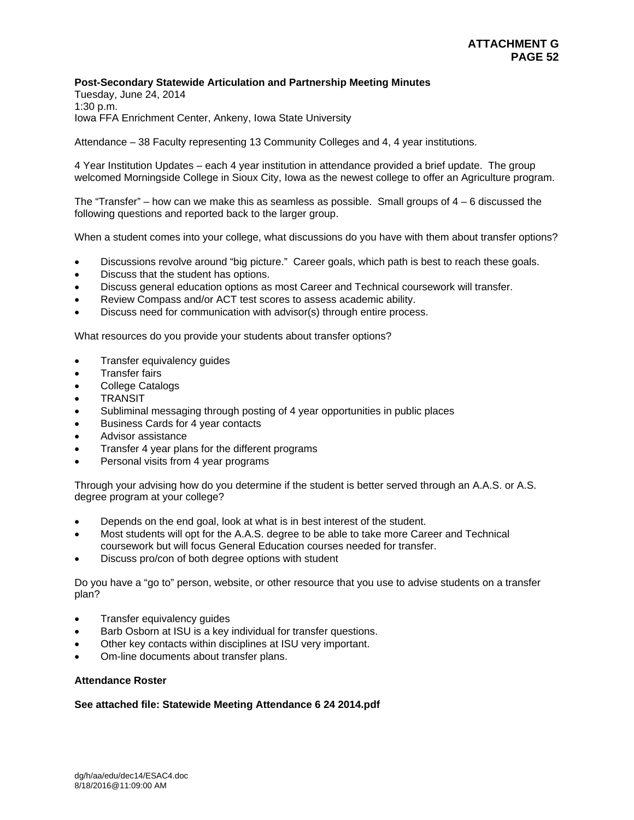## **Post-Secondary Statewide Articulation and Partnership Meeting Minutes**

Tuesday, June 24, 2014 1:30 p.m. Iowa FFA Enrichment Center, Ankeny, Iowa State University

Attendance – 38 Faculty representing 13 Community Colleges and 4, 4 year institutions.

4 Year Institution Updates – each 4 year institution in attendance provided a brief update. The group welcomed Morningside College in Sioux City, Iowa as the newest college to offer an Agriculture program.

The "Transfer" – how can we make this as seamless as possible. Small groups of  $4 - 6$  discussed the following questions and reported back to the larger group.

When a student comes into your college, what discussions do you have with them about transfer options?

- Discussions revolve around "big picture." Career goals, which path is best to reach these goals.
- Discuss that the student has options.
- Discuss general education options as most Career and Technical coursework will transfer.
- Review Compass and/or ACT test scores to assess academic ability.
- Discuss need for communication with advisor(s) through entire process.

What resources do you provide your students about transfer options?

- Transfer equivalency guides
- Transfer fairs
- College Catalogs
- TRANSIT
- Subliminal messaging through posting of 4 year opportunities in public places
- Business Cards for 4 year contacts
- Advisor assistance
- Transfer 4 year plans for the different programs
- Personal visits from 4 year programs

Through your advising how do you determine if the student is better served through an A.A.S. or A.S. degree program at your college?

- Depends on the end goal, look at what is in best interest of the student.
- Most students will opt for the A.A.S. degree to be able to take more Career and Technical coursework but will focus General Education courses needed for transfer.
- Discuss pro/con of both degree options with student

Do you have a "go to" person, website, or other resource that you use to advise students on a transfer plan?

- Transfer equivalency guides
- Barb Osborn at ISU is a key individual for transfer questions.
- Other key contacts within disciplines at ISU very important.
- Om-line documents about transfer plans.

#### **Attendance Roster**

## **See attached file: Statewide Meeting Attendance 6 24 2014.pdf**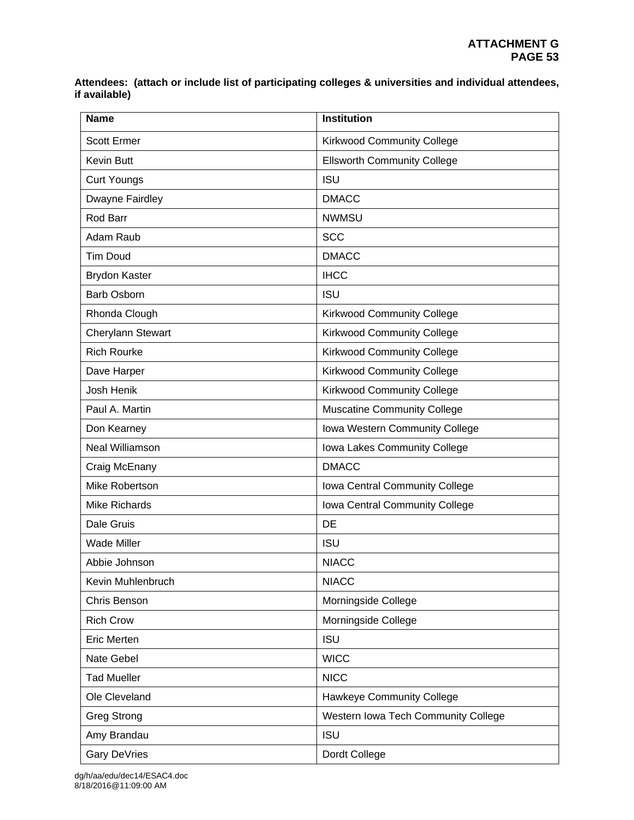**Attendees: (attach or include list of participating colleges & universities and individual attendees, if available)** 

| <b>Name</b>                                            | <b>Institution</b>                  |  |
|--------------------------------------------------------|-------------------------------------|--|
| <b>Scott Ermer</b>                                     | <b>Kirkwood Community College</b>   |  |
| <b>Kevin Butt</b>                                      | <b>Ellsworth Community College</b>  |  |
| <b>Curt Youngs</b>                                     | <b>ISU</b>                          |  |
| Dwayne Fairdley                                        | <b>DMACC</b>                        |  |
| Rod Barr                                               | <b>NWMSU</b>                        |  |
| Adam Raub                                              | <b>SCC</b>                          |  |
| <b>Tim Doud</b>                                        | <b>DMACC</b>                        |  |
| <b>Brydon Kaster</b>                                   | <b>IHCC</b>                         |  |
| <b>Barb Osborn</b>                                     | <b>ISU</b>                          |  |
| Rhonda Clough                                          | <b>Kirkwood Community College</b>   |  |
| Cherylann Stewart                                      | <b>Kirkwood Community College</b>   |  |
| <b>Rich Rourke</b>                                     | <b>Kirkwood Community College</b>   |  |
| <b>Kirkwood Community College</b><br>Dave Harper       |                                     |  |
| Josh Henik                                             | <b>Kirkwood Community College</b>   |  |
| Paul A. Martin                                         | <b>Muscatine Community College</b>  |  |
| Don Kearney                                            | Iowa Western Community College      |  |
| Neal Williamson<br>Iowa Lakes Community College        |                                     |  |
| <b>DMACC</b><br>Craig McEnany                          |                                     |  |
| Mike Robertson                                         | Iowa Central Community College      |  |
| <b>Mike Richards</b><br>Iowa Central Community College |                                     |  |
| <b>DE</b><br>Dale Gruis                                |                                     |  |
| <b>Wade Miller</b>                                     | <b>ISU</b>                          |  |
| Abbie Johnson                                          | <b>NIACC</b>                        |  |
| Kevin Muhlenbruch                                      | <b>NIACC</b>                        |  |
| Chris Benson                                           | Morningside College                 |  |
| <b>Rich Crow</b>                                       | Morningside College                 |  |
| <b>ISU</b><br><b>Eric Merten</b>                       |                                     |  |
| <b>WICC</b><br>Nate Gebel                              |                                     |  |
| <b>Tad Mueller</b>                                     | <b>NICC</b>                         |  |
| Ole Cleveland                                          | Hawkeye Community College           |  |
| <b>Greg Strong</b>                                     | Western Iowa Tech Community College |  |
| Amy Brandau                                            | <b>ISU</b>                          |  |
| Gary DeVries                                           | Dordt College                       |  |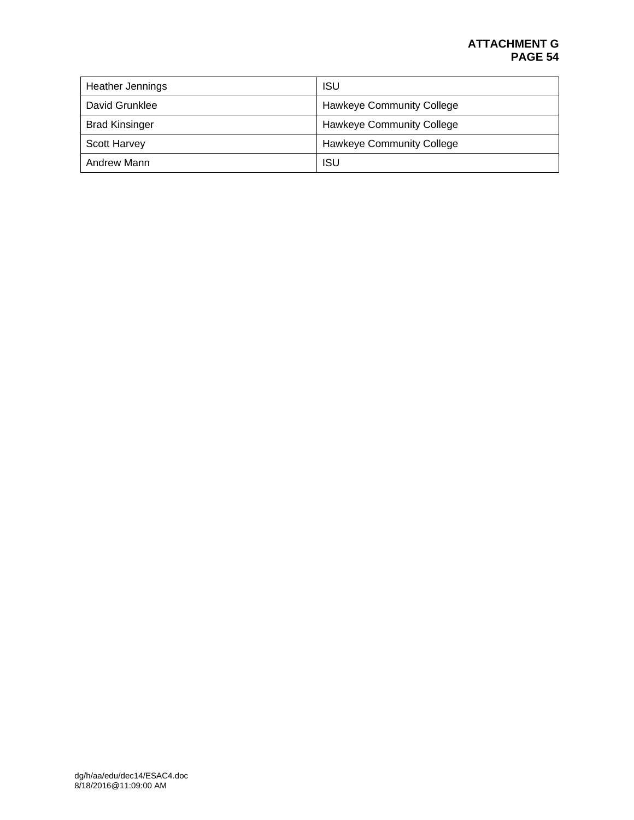# **ATTACHMENT G PAGE 54**

| <b>Heather Jennings</b> | <b>ISU</b>                       |
|-------------------------|----------------------------------|
| David Grunklee          | <b>Hawkeye Community College</b> |
| <b>Brad Kinsinger</b>   | <b>Hawkeye Community College</b> |
| <b>Scott Harvey</b>     | <b>Hawkeye Community College</b> |
| Andrew Mann             | <b>ISU</b>                       |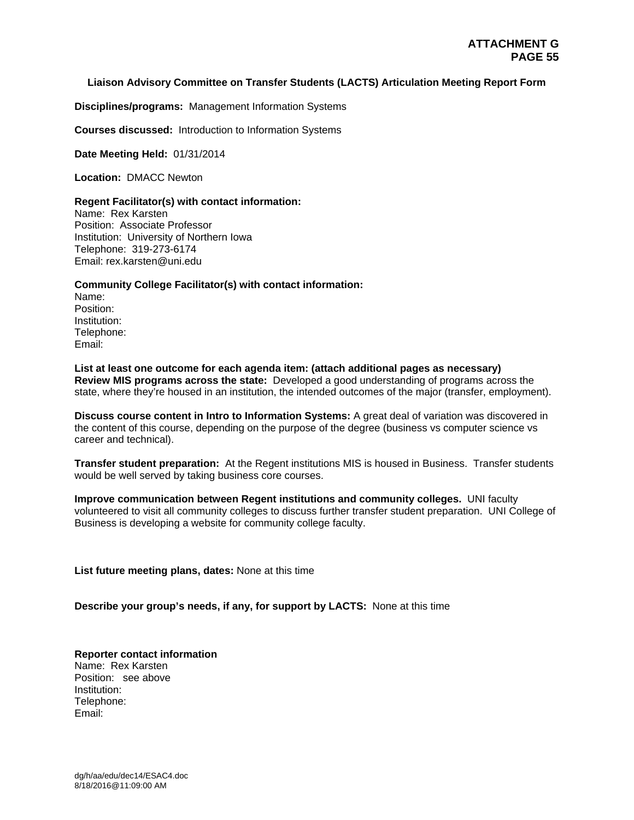## **Liaison Advisory Committee on Transfer Students (LACTS) Articulation Meeting Report Form**

**Disciplines/programs:** Management Information Systems

**Courses discussed:** Introduction to Information Systems

**Date Meeting Held:** 01/31/2014

**Location:** DMACC Newton

#### **Regent Facilitator(s) with contact information:**

Name: Rex Karsten Position: Associate Professor Institution: University of Northern Iowa Telephone: 319-273-6174 Email: rex.karsten@uni.edu

## **Community College Facilitator(s) with contact information:**

Name: Position: Institution: Telephone: Email:

**List at least one outcome for each agenda item: (attach additional pages as necessary) Review MIS programs across the state:** Developed a good understanding of programs across the state, where they're housed in an institution, the intended outcomes of the major (transfer, employment).

**Discuss course content in Intro to Information Systems:** A great deal of variation was discovered in the content of this course, depending on the purpose of the degree (business vs computer science vs career and technical).

**Transfer student preparation:** At the Regent institutions MIS is housed in Business. Transfer students would be well served by taking business core courses.

**Improve communication between Regent institutions and community colleges.** UNI faculty volunteered to visit all community colleges to discuss further transfer student preparation. UNI College of Business is developing a website for community college faculty.

**List future meeting plans, dates:** None at this time

**Describe your group's needs, if any, for support by LACTS:** None at this time

**Reporter contact information**  Name: Rex Karsten Position: see above Institution: Telephone: Email: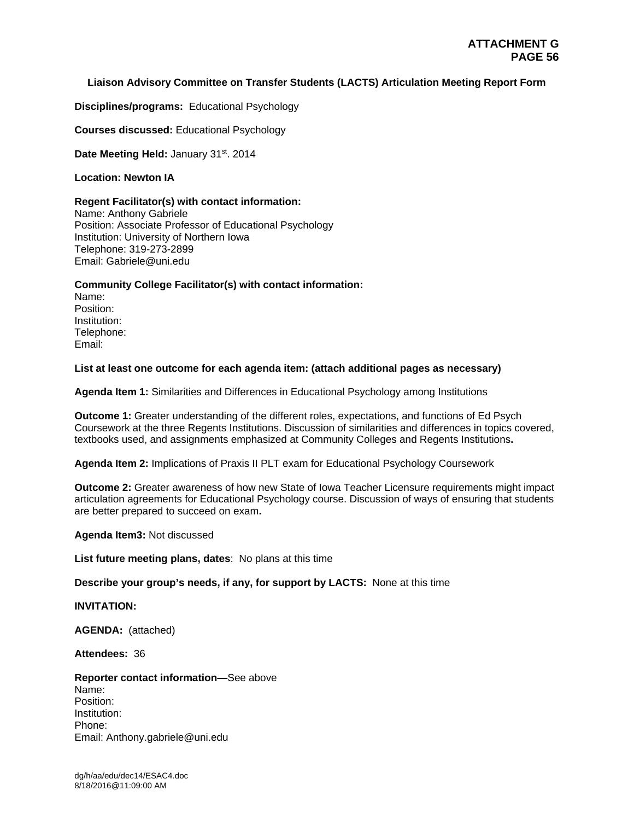# **Liaison Advisory Committee on Transfer Students (LACTS) Articulation Meeting Report Form**

**Disciplines/programs:** Educational Psychology

**Courses discussed:** Educational Psychology

Date Meeting Held: January 31<sup>st</sup>. 2014

## **Location: Newton IA**

## **Regent Facilitator(s) with contact information:**

Name: Anthony Gabriele Position: Associate Professor of Educational Psychology Institution: University of Northern Iowa Telephone: 319-273-2899 Email: Gabriele@uni.edu

# **Community College Facilitator(s) with contact information:**

Name: Position: Institution: Telephone: Email:

# **List at least one outcome for each agenda item: (attach additional pages as necessary)**

**Agenda Item 1:** Similarities and Differences in Educational Psychology among Institutions

**Outcome 1:** Greater understanding of the different roles, expectations, and functions of Ed Psych Coursework at the three Regents Institutions. Discussion of similarities and differences in topics covered, textbooks used, and assignments emphasized at Community Colleges and Regents Institutions**.** 

**Agenda Item 2:** Implications of Praxis II PLT exam for Educational Psychology Coursework

**Outcome 2:** Greater awareness of how new State of Iowa Teacher Licensure requirements might impact articulation agreements for Educational Psychology course. Discussion of ways of ensuring that students are better prepared to succeed on exam**.** 

## **Agenda Item3:** Not discussed

**List future meeting plans, dates**: No plans at this time

## **Describe your group's needs, if any, for support by LACTS:** None at this time

## **INVITATION:**

**AGENDA:** (attached)

**Attendees:** 36

## **Reporter contact information—**See above Name: Position: Institution: Phone: Email: Anthony.gabriele@uni.edu

dg/h/aa/edu/dec14/ESAC4.doc 8/18/2016@11:09:00 AM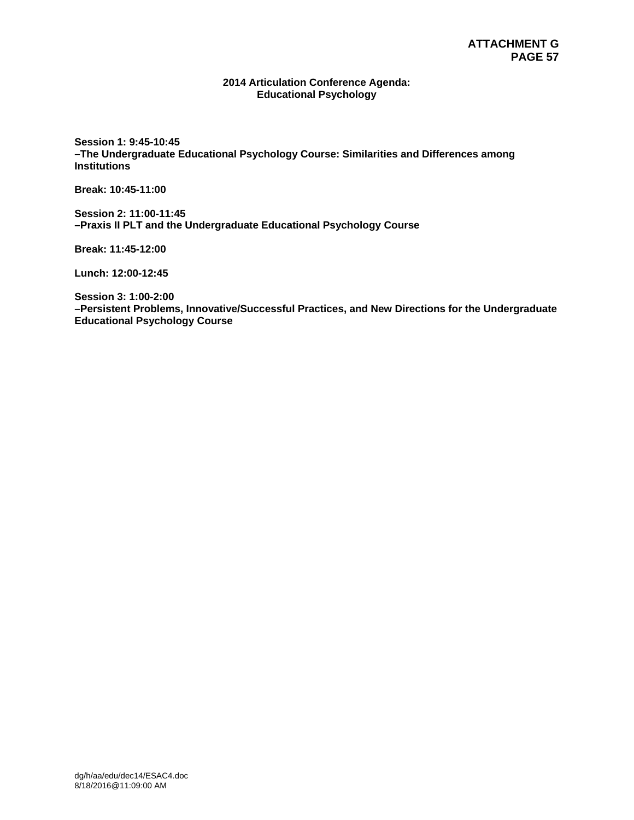#### **2014 Articulation Conference Agenda: Educational Psychology**

**Session 1: 9:45-10:45 –The Undergraduate Educational Psychology Course: Similarities and Differences among Institutions** 

**Break: 10:45-11:00** 

**Session 2: 11:00-11:45 –Praxis II PLT and the Undergraduate Educational Psychology Course** 

**Break: 11:45-12:00** 

**Lunch: 12:00-12:45** 

**Session 3: 1:00-2:00 –Persistent Problems, Innovative/Successful Practices, and New Directions for the Undergraduate Educational Psychology Course**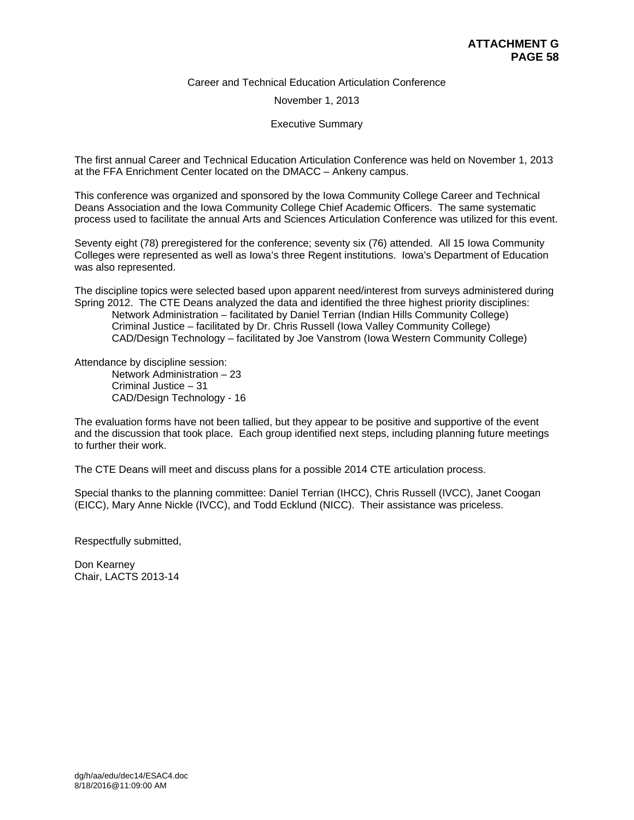#### Career and Technical Education Articulation Conference

#### November 1, 2013

#### Executive Summary

The first annual Career and Technical Education Articulation Conference was held on November 1, 2013 at the FFA Enrichment Center located on the DMACC – Ankeny campus.

This conference was organized and sponsored by the Iowa Community College Career and Technical Deans Association and the Iowa Community College Chief Academic Officers. The same systematic process used to facilitate the annual Arts and Sciences Articulation Conference was utilized for this event.

Seventy eight (78) preregistered for the conference; seventy six (76) attended. All 15 Iowa Community Colleges were represented as well as Iowa's three Regent institutions. Iowa's Department of Education was also represented.

The discipline topics were selected based upon apparent need/interest from surveys administered during Spring 2012. The CTE Deans analyzed the data and identified the three highest priority disciplines: Network Administration – facilitated by Daniel Terrian (Indian Hills Community College) Criminal Justice – facilitated by Dr. Chris Russell (Iowa Valley Community College) CAD/Design Technology – facilitated by Joe Vanstrom (Iowa Western Community College)

Attendance by discipline session:

 Network Administration – 23 Criminal Justice – 31 CAD/Design Technology - 16

The evaluation forms have not been tallied, but they appear to be positive and supportive of the event and the discussion that took place. Each group identified next steps, including planning future meetings to further their work.

The CTE Deans will meet and discuss plans for a possible 2014 CTE articulation process.

Special thanks to the planning committee: Daniel Terrian (IHCC), Chris Russell (IVCC), Janet Coogan (EICC), Mary Anne Nickle (IVCC), and Todd Ecklund (NICC). Their assistance was priceless.

Respectfully submitted,

Don Kearney Chair, LACTS 2013-14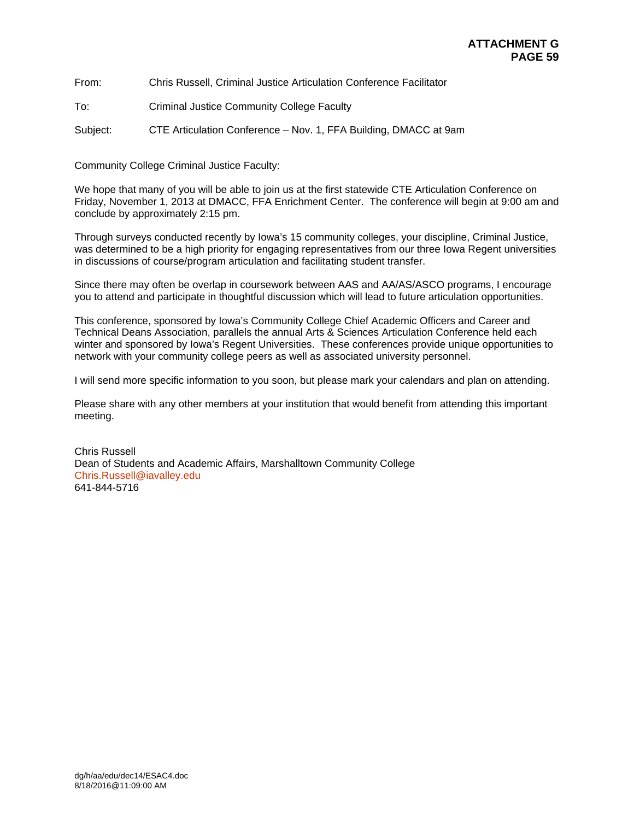From: Chris Russell, Criminal Justice Articulation Conference Facilitator

To: Criminal Justice Community College Faculty

Subject: CTE Articulation Conference – Nov. 1, FFA Building, DMACC at 9am

Community College Criminal Justice Faculty:

We hope that many of you will be able to join us at the first statewide CTE Articulation Conference on Friday, November 1, 2013 at DMACC, FFA Enrichment Center. The conference will begin at 9:00 am and conclude by approximately 2:15 pm.

Through surveys conducted recently by Iowa's 15 community colleges, your discipline, Criminal Justice, was determined to be a high priority for engaging representatives from our three Iowa Regent universities in discussions of course/program articulation and facilitating student transfer.

Since there may often be overlap in coursework between AAS and AA/AS/ASCO programs, I encourage you to attend and participate in thoughtful discussion which will lead to future articulation opportunities.

This conference, sponsored by Iowa's Community College Chief Academic Officers and Career and Technical Deans Association, parallels the annual Arts & Sciences Articulation Conference held each winter and sponsored by Iowa's Regent Universities. These conferences provide unique opportunities to network with your community college peers as well as associated university personnel.

I will send more specific information to you soon, but please mark your calendars and plan on attending.

Please share with any other members at your institution that would benefit from attending this important meeting.

Chris Russell Dean of Students and Academic Affairs, Marshalltown Community College Chris.Russell@iavalley.edu 641-844-5716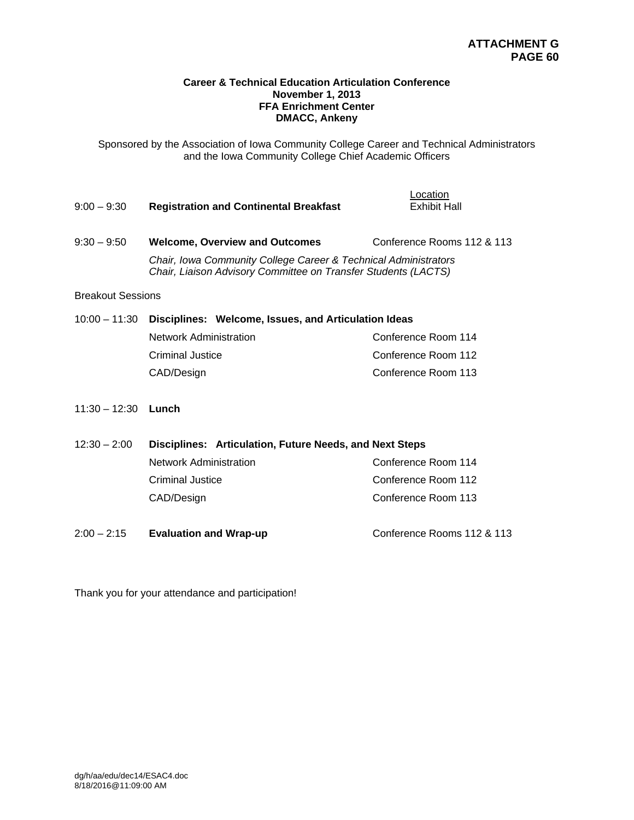## **Career & Technical Education Articulation Conference November 1, 2013 FFA Enrichment Center DMACC, Ankeny**

Sponsored by the Association of Iowa Community College Career and Technical Administrators and the Iowa Community College Chief Academic Officers

| $9:00 - 9:30$ | <b>Registration and Continental Breakfast</b>                                                                                     | Location<br><b>Exhibit Hall</b> |  |
|---------------|-----------------------------------------------------------------------------------------------------------------------------------|---------------------------------|--|
| $9:30 - 9:50$ | <b>Welcome, Overview and Outcomes</b>                                                                                             | Conference Rooms 112 & 113      |  |
|               | Chair, Iowa Community College Career & Technical Administrators<br>Chair, Liaison Advisory Committee on Transfer Students (LACTS) |                                 |  |

#### Breakout Sessions

# 10:00 – 11:30 **Disciplines: Welcome, Issues, and Articulation Ideas** Network Administration **Criminal Justice Conference Room 112** CAD/Design CAD/Design CAD/Design CAD/Design CAD/Design CONFERENCE

11:30 – 12:30 **Lunch**

| $12:30 - 2:00$ | Disciplines: Articulation, Future Needs, and Next Steps |                     |  |
|----------------|---------------------------------------------------------|---------------------|--|
|                | <b>Network Administration</b>                           | Conference Room 114 |  |
|                | <b>Criminal Justice</b>                                 | Conference Room 112 |  |
|                | CAD/Design                                              | Conference Room 113 |  |
|                |                                                         |                     |  |

2:00 – 2:15 **Evaluation and Wrap-up** Conference Rooms 112 & 113

Thank you for your attendance and participation!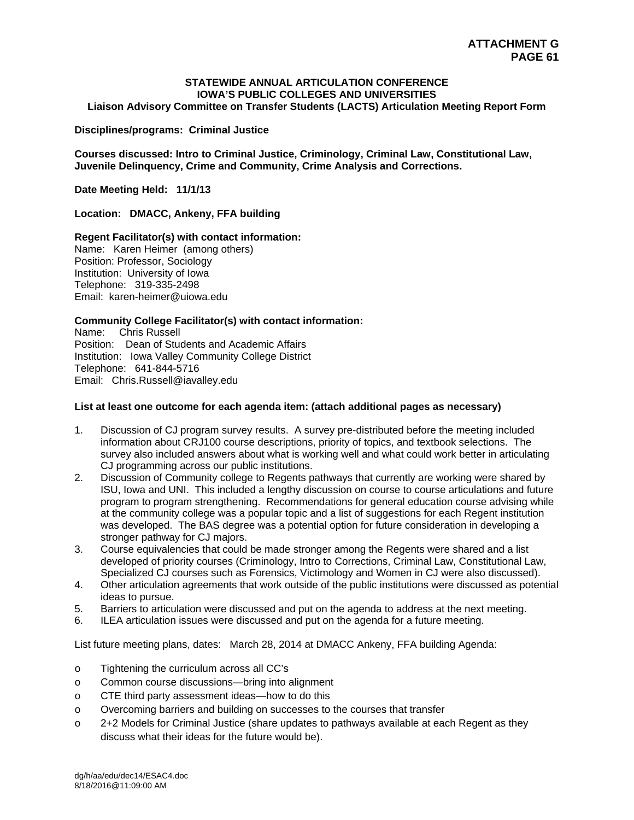# **STATEWIDE ANNUAL ARTICULATION CONFERENCE IOWA'S PUBLIC COLLEGES AND UNIVERSITIES**

**Liaison Advisory Committee on Transfer Students (LACTS) Articulation Meeting Report Form** 

#### **Disciplines/programs: Criminal Justice**

**Courses discussed: Intro to Criminal Justice, Criminology, Criminal Law, Constitutional Law, Juvenile Delinquency, Crime and Community, Crime Analysis and Corrections.** 

**Date Meeting Held: 11/1/13** 

**Location: DMACC, Ankeny, FFA building** 

## **Regent Facilitator(s) with contact information:**

Name: Karen Heimer (among others) Position: Professor, Sociology Institution: University of Iowa Telephone: 319-335-2498 Email: karen-heimer@uiowa.edu

# **Community College Facilitator(s) with contact information:**

Name: Chris Russell Position: Dean of Students and Academic Affairs Institution: Iowa Valley Community College District Telephone: 641-844-5716 Email: Chris.Russell@iavalley.edu

#### **List at least one outcome for each agenda item: (attach additional pages as necessary)**

- 1. Discussion of CJ program survey results. A survey pre-distributed before the meeting included information about CRJ100 course descriptions, priority of topics, and textbook selections. The survey also included answers about what is working well and what could work better in articulating CJ programming across our public institutions.
- 2. Discussion of Community college to Regents pathways that currently are working were shared by ISU, Iowa and UNI. This included a lengthy discussion on course to course articulations and future program to program strengthening. Recommendations for general education course advising while at the community college was a popular topic and a list of suggestions for each Regent institution was developed. The BAS degree was a potential option for future consideration in developing a stronger pathway for CJ majors.
- 3. Course equivalencies that could be made stronger among the Regents were shared and a list developed of priority courses (Criminology, Intro to Corrections, Criminal Law, Constitutional Law, Specialized CJ courses such as Forensics, Victimology and Women in CJ were also discussed).
- 4. Other articulation agreements that work outside of the public institutions were discussed as potential ideas to pursue.
- 5. Barriers to articulation were discussed and put on the agenda to address at the next meeting.
- 6. ILEA articulation issues were discussed and put on the agenda for a future meeting.

List future meeting plans, dates: March 28, 2014 at DMACC Ankeny, FFA building Agenda:

- o Tightening the curriculum across all CC's
- o Common course discussions—bring into alignment
- o CTE third party assessment ideas—how to do this
- o Overcoming barriers and building on successes to the courses that transfer
- o 2+2 Models for Criminal Justice (share updates to pathways available at each Regent as they discuss what their ideas for the future would be).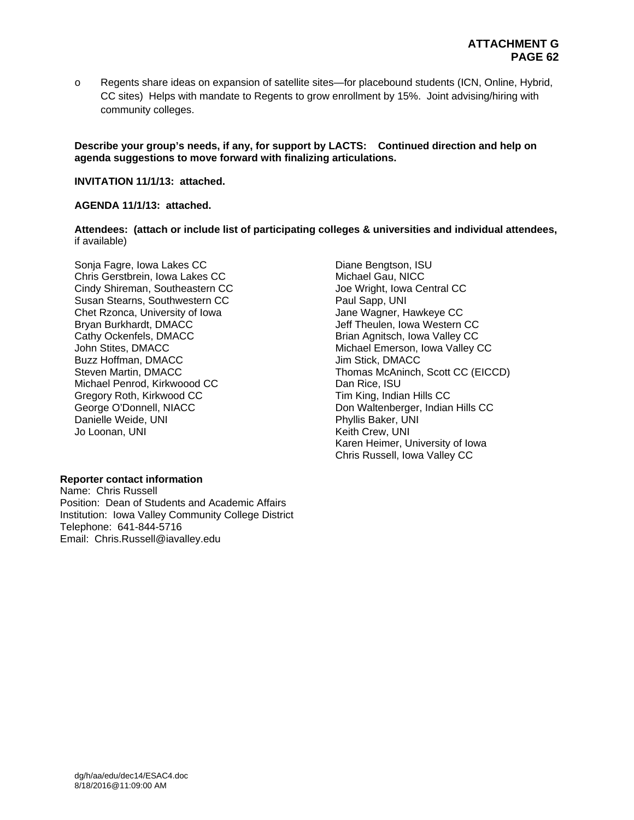o Regents share ideas on expansion of satellite sites—for placebound students (ICN, Online, Hybrid, CC sites) Helps with mandate to Regents to grow enrollment by 15%. Joint advising/hiring with community colleges.

**Describe your group's needs, if any, for support by LACTS: Continued direction and help on agenda suggestions to move forward with finalizing articulations.** 

**INVITATION 11/1/13: attached.** 

#### **AGENDA 11/1/13: attached.**

**Attendees: (attach or include list of participating colleges & universities and individual attendees,**  if available)

Sonja Fagre, Iowa Lakes CC Chris Gerstbrein, Iowa Lakes CC Cindy Shireman, Southeastern CC Susan Stearns, Southwestern CC Chet Rzonca, University of Iowa Bryan Burkhardt, DMACC Cathy Ockenfels, DMACC John Stites, DMACC Buzz Hoffman, DMACC Steven Martin, DMACC Michael Penrod, Kirkwoood CC Gregory Roth, Kirkwood CC George O'Donnell, NIACC Danielle Weide, UNI Jo Loonan, UNI

## **Reporter contact information**

Name: Chris Russell Position: Dean of Students and Academic Affairs Institution: Iowa Valley Community College District Telephone: 641-844-5716 Email: Chris.Russell@iavalley.edu

Diane Bengtson, ISU Michael Gau, NICC Joe Wright, Iowa Central CC Paul Sapp, UNI Jane Wagner, Hawkeye CC Jeff Theulen, Iowa Western CC Brian Agnitsch, Iowa Valley CC Michael Emerson, Iowa Valley CC Jim Stick, DMACC Thomas McAninch, Scott CC (EICCD) Dan Rice, ISU Tim King, Indian Hills CC Don Waltenberger, Indian Hills CC Phyllis Baker, UNI Keith Crew, UNI Karen Heimer, University of Iowa Chris Russell, Iowa Valley CC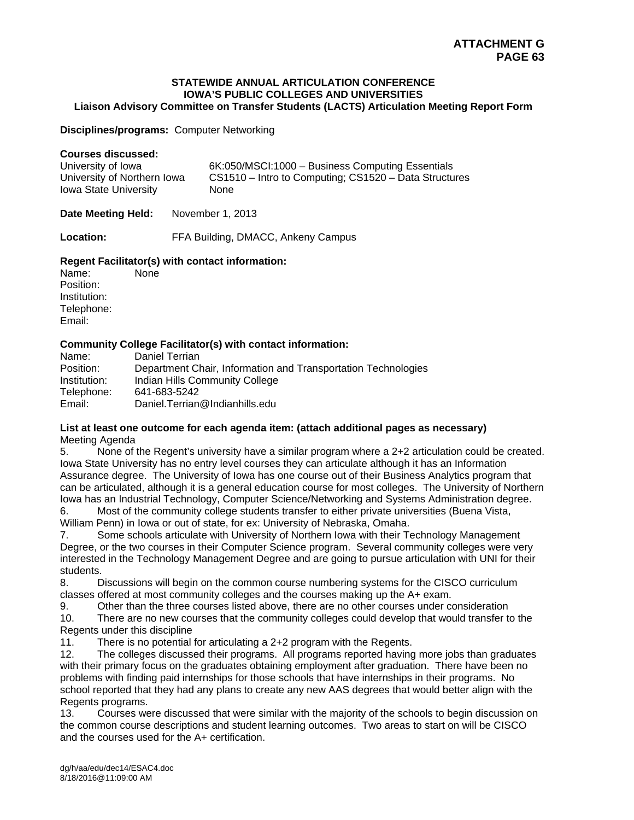#### **STATEWIDE ANNUAL ARTICULATION CONFERENCE IOWA'S PUBLIC COLLEGES AND UNIVERSITIES Liaison Advisory Committee on Transfer Students (LACTS) Articulation Meeting Report Form**

**Disciplines/programs:** Computer Networking

## **Courses discussed:**

| University of Iowa          | 6K:050/MSCI:1000 - Business Computing Essentials      |
|-----------------------------|-------------------------------------------------------|
| University of Northern Iowa | CS1510 – Intro to Computing; CS1520 – Data Structures |
| Iowa State University       | <b>None</b>                                           |

Date Meeting Held: November 1, 2013

**Location:** FFA Building, DMACC, Ankeny Campus

# **Regent Facilitator(s) with contact information:**

Name: None Position: Institution: Telephone: Email:

# **Community College Facilitator(s) with contact information:**

| Name:        | Daniel Terrian                                                |
|--------------|---------------------------------------------------------------|
| Position:    | Department Chair, Information and Transportation Technologies |
| Institution: | Indian Hills Community College                                |
| Telephone:   | 641-683-5242                                                  |
| Email:       | Daniel.Terrian@Indianhills.edu                                |

## **List at least one outcome for each agenda item: (attach additional pages as necessary)**  Meeting Agenda

5. None of the Regent's university have a similar program where a 2+2 articulation could be created. Iowa State University has no entry level courses they can articulate although it has an Information Assurance degree. The University of Iowa has one course out of their Business Analytics program that can be articulated, although it is a general education course for most colleges. The University of Northern Iowa has an Industrial Technology, Computer Science/Networking and Systems Administration degree. 6. Most of the community college students transfer to either private universities (Buena Vista,

William Penn) in Iowa or out of state, for ex: University of Nebraska, Omaha.

7. Some schools articulate with University of Northern Iowa with their Technology Management Degree, or the two courses in their Computer Science program. Several community colleges were very interested in the Technology Management Degree and are going to pursue articulation with UNI for their students.

8. Discussions will begin on the common course numbering systems for the CISCO curriculum classes offered at most community colleges and the courses making up the A+ exam.

9. Other than the three courses listed above, there are no other courses under consideration 10. There are no new courses that the community colleges could develop that would transfer to the Regents under this discipline

11. There is no potential for articulating a 2+2 program with the Regents.

12. The colleges discussed their programs. All programs reported having more jobs than graduates with their primary focus on the graduates obtaining employment after graduation. There have been no problems with finding paid internships for those schools that have internships in their programs. No school reported that they had any plans to create any new AAS degrees that would better align with the Regents programs.

13. Courses were discussed that were similar with the majority of the schools to begin discussion on the common course descriptions and student learning outcomes. Two areas to start on will be CISCO and the courses used for the A+ certification.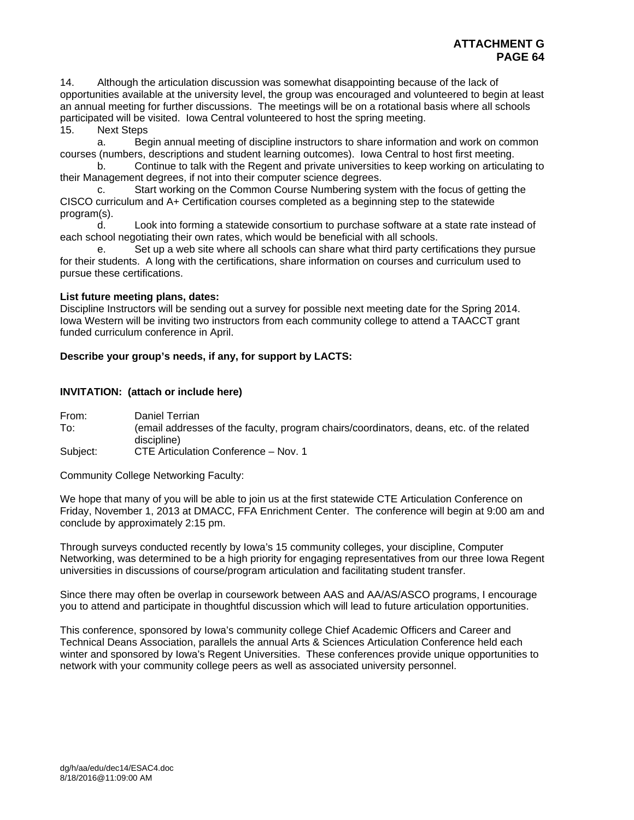14. Although the articulation discussion was somewhat disappointing because of the lack of opportunities available at the university level, the group was encouraged and volunteered to begin at least an annual meeting for further discussions. The meetings will be on a rotational basis where all schools participated will be visited. Iowa Central volunteered to host the spring meeting.

15. Next Steps

 a. Begin annual meeting of discipline instructors to share information and work on common courses (numbers, descriptions and student learning outcomes). Iowa Central to host first meeting.

 b. Continue to talk with the Regent and private universities to keep working on articulating to their Management degrees, if not into their computer science degrees.

 c. Start working on the Common Course Numbering system with the focus of getting the CISCO curriculum and A+ Certification courses completed as a beginning step to the statewide program(s).

 d. Look into forming a statewide consortium to purchase software at a state rate instead of each school negotiating their own rates, which would be beneficial with all schools.

 e. Set up a web site where all schools can share what third party certifications they pursue for their students. A long with the certifications, share information on courses and curriculum used to pursue these certifications.

# **List future meeting plans, dates:**

Discipline Instructors will be sending out a survey for possible next meeting date for the Spring 2014. Iowa Western will be inviting two instructors from each community college to attend a TAACCT grant funded curriculum conference in April.

# **Describe your group's needs, if any, for support by LACTS:**

# **INVITATION: (attach or include here)**

From: Daniel Terrian To: (email addresses of the faculty, program chairs/coordinators, deans, etc. of the related discipline)

Subject: CTE Articulation Conference – Nov. 1

Community College Networking Faculty:

We hope that many of you will be able to join us at the first statewide CTE Articulation Conference on Friday, November 1, 2013 at DMACC, FFA Enrichment Center. The conference will begin at 9:00 am and conclude by approximately 2:15 pm.

Through surveys conducted recently by Iowa's 15 community colleges, your discipline, Computer Networking, was determined to be a high priority for engaging representatives from our three Iowa Regent universities in discussions of course/program articulation and facilitating student transfer.

Since there may often be overlap in coursework between AAS and AA/AS/ASCO programs, I encourage you to attend and participate in thoughtful discussion which will lead to future articulation opportunities.

This conference, sponsored by Iowa's community college Chief Academic Officers and Career and Technical Deans Association, parallels the annual Arts & Sciences Articulation Conference held each winter and sponsored by Iowa's Regent Universities. These conferences provide unique opportunities to network with your community college peers as well as associated university personnel.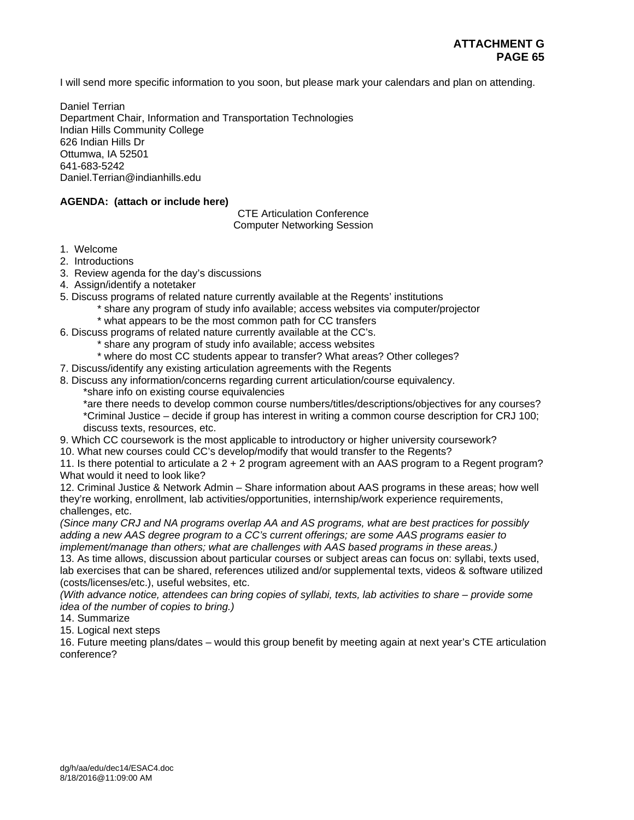I will send more specific information to you soon, but please mark your calendars and plan on attending.

Daniel Terrian Department Chair, Information and Transportation Technologies Indian Hills Community College 626 Indian Hills Dr Ottumwa, IA 52501 641-683-5242 Daniel.Terrian@indianhills.edu

# **AGENDA: (attach or include here)**

CTE Articulation Conference Computer Networking Session

1. Welcome

- 2. Introductions
- 3. Review agenda for the day's discussions
- 4. Assign/identify a notetaker
- 5. Discuss programs of related nature currently available at the Regents' institutions
	- \* share any program of study info available; access websites via computer/projector
		- \* what appears to be the most common path for CC transfers
- 6. Discuss programs of related nature currently available at the CC's.
	- \* share any program of study info available; access websites
	- \* where do most CC students appear to transfer? What areas? Other colleges?
- 7. Discuss/identify any existing articulation agreements with the Regents
- 8. Discuss any information/concerns regarding current articulation/course equivalency.
	- \*share info on existing course equivalencies

\*are there needs to develop common course numbers/titles/descriptions/objectives for any courses? \*Criminal Justice – decide if group has interest in writing a common course description for CRJ 100; discuss texts, resources, etc.

9. Which CC coursework is the most applicable to introductory or higher university coursework?

10. What new courses could CC's develop/modify that would transfer to the Regents?

11. Is there potential to articulate a 2 + 2 program agreement with an AAS program to a Regent program? What would it need to look like?

12. Criminal Justice & Network Admin – Share information about AAS programs in these areas; how well they're working, enrollment, lab activities/opportunities, internship/work experience requirements, challenges, etc.

*(Since many CRJ and NA programs overlap AA and AS programs, what are best practices for possibly adding a new AAS degree program to a CC's current offerings; are some AAS programs easier to implement/manage than others; what are challenges with AAS based programs in these areas.)* 

13. As time allows, discussion about particular courses or subject areas can focus on: syllabi, texts used, lab exercises that can be shared, references utilized and/or supplemental texts, videos & software utilized (costs/licenses/etc.), useful websites, etc.

*(With advance notice, attendees can bring copies of syllabi, texts, lab activities to share – provide some idea of the number of copies to bring.)* 

14. Summarize

15. Logical next steps

16. Future meeting plans/dates – would this group benefit by meeting again at next year's CTE articulation conference?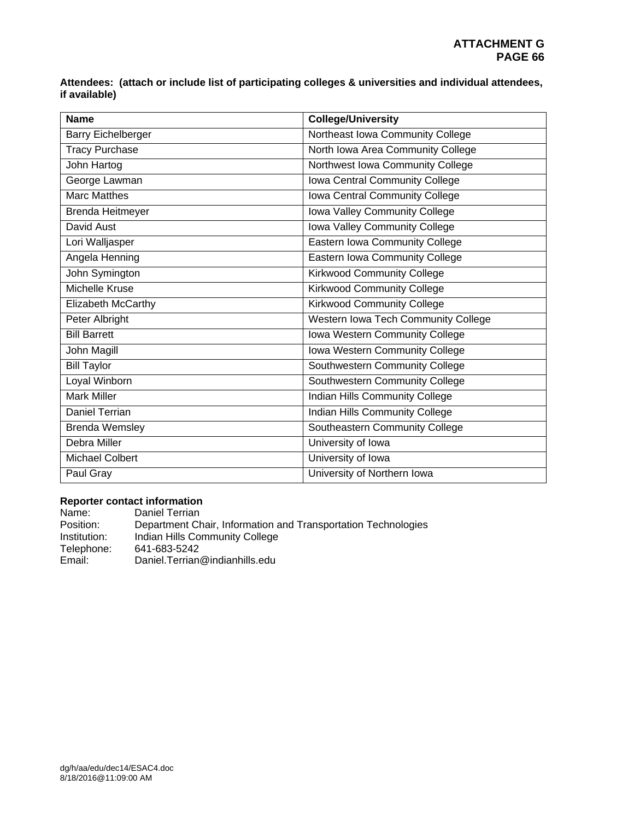**Attendees: (attach or include list of participating colleges & universities and individual attendees, if available)** 

| <b>Name</b>            | <b>College/University</b>           |  |
|------------------------|-------------------------------------|--|
| Barry Eichelberger     | Northeast Iowa Community College    |  |
| <b>Tracy Purchase</b>  | North Iowa Area Community College   |  |
| John Hartog            | Northwest Iowa Community College    |  |
| George Lawman          | Iowa Central Community College      |  |
| Marc Matthes           | Iowa Central Community College      |  |
| Brenda Heitmeyer       | Iowa Valley Community College       |  |
| David Aust             | Iowa Valley Community College       |  |
| Lori Walljasper        | Eastern Iowa Community College      |  |
| Angela Henning         | Eastern Iowa Community College      |  |
| John Symington         | <b>Kirkwood Community College</b>   |  |
| <b>Michelle Kruse</b>  | <b>Kirkwood Community College</b>   |  |
| Elizabeth McCarthy     | <b>Kirkwood Community College</b>   |  |
| Peter Albright         | Western Iowa Tech Community College |  |
| <b>Bill Barrett</b>    | Iowa Western Community College      |  |
| John Magill            | Iowa Western Community College      |  |
| <b>Bill Taylor</b>     | Southwestern Community College      |  |
| Loyal Winborn          | Southwestern Community College      |  |
| <b>Mark Miller</b>     | Indian Hills Community College      |  |
| Daniel Terrian         | Indian Hills Community College      |  |
| <b>Brenda Wemsley</b>  | Southeastern Community College      |  |
| Debra Miller           | University of Iowa                  |  |
| <b>Michael Colbert</b> | University of Iowa                  |  |
| Paul Gray              | University of Northern Iowa         |  |

# **Reporter contact information**

Name: Daniel Terrian<br>
Position: Department Ch Position: Department Chair, Information and Transportation Technologies<br>Institution: Indian Hills Community College Institution: Indian Hills Community College<br>Telephone: 641-683-5242 Telephone: 641-683-5242<br>Email: Daniel.Terrian Daniel. Terrian@indianhills.edu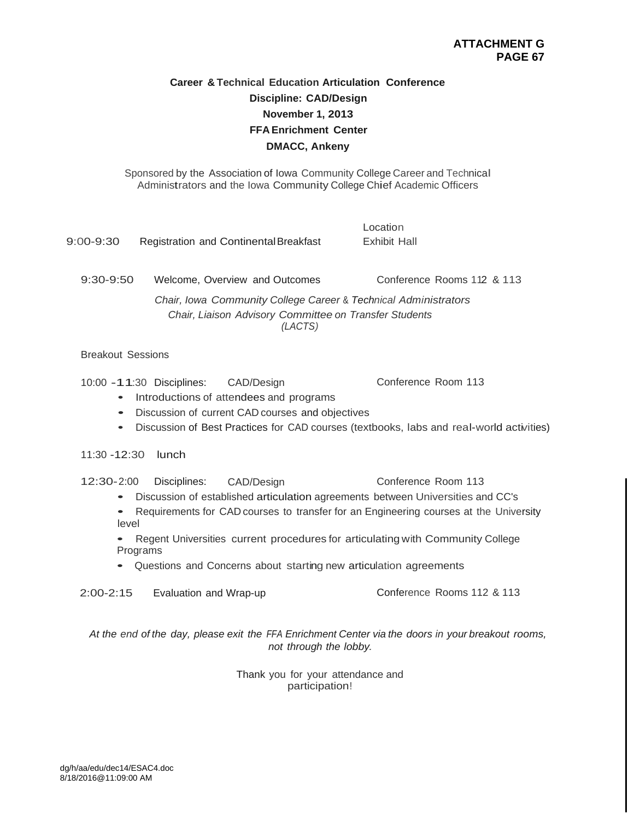# **Career & Technical Education Articulation Conference Discipline: CAD/Design November 1, 2013 FFA Enrichment Center DMACC, Ankeny**

Sponsored by the Association of Iowa Community College Career and Technical Administrators and the Iowa Community College Chief Academic Officers

| 9:00-9:30                                                                                                                            | <b>Registration and Continental Breakfast</b> | Location<br>Exhibit Hall   |
|--------------------------------------------------------------------------------------------------------------------------------------|-----------------------------------------------|----------------------------|
| $9:30-9:50$                                                                                                                          | Welcome, Overview and Outcomes                | Conference Rooms 112 & 113 |
| Chair, Iowa Community College Career & Technical Administrators<br>Chair, Liaison Advisory Committee on Transfer Students<br>(LACTS) |                                               |                            |

Breakout Sessions

10:00 -1 1:30 Disciplines: CAD/Design Conference Room 113

- Introductions of attendees and programs
- Discussion of current CAD courses and objectives
- Discussion of Best Practices for CAD courses (textbooks, labs and real-world activities)

11:30 -12:30 lunch

12:30- 2:00 Disciplines: CAD/Design Conference Room 113

- Discussion of established articulation agreements between Universities and CC's
- Requirements for CAD courses to transfer for an Engineering courses at the University level

• Regent Universities current procedures for articulating with Community College Programs

• Questions and Concerns about starting new articulation agreements

2:00-2:15 Evaluation and Wrap-up Conference Rooms 112 & 113

*At the end of the day, please exit the FFA Enrichment Center via the doors in your breakout rooms, not through the lobby.*

> Thank you for your attendance and participation!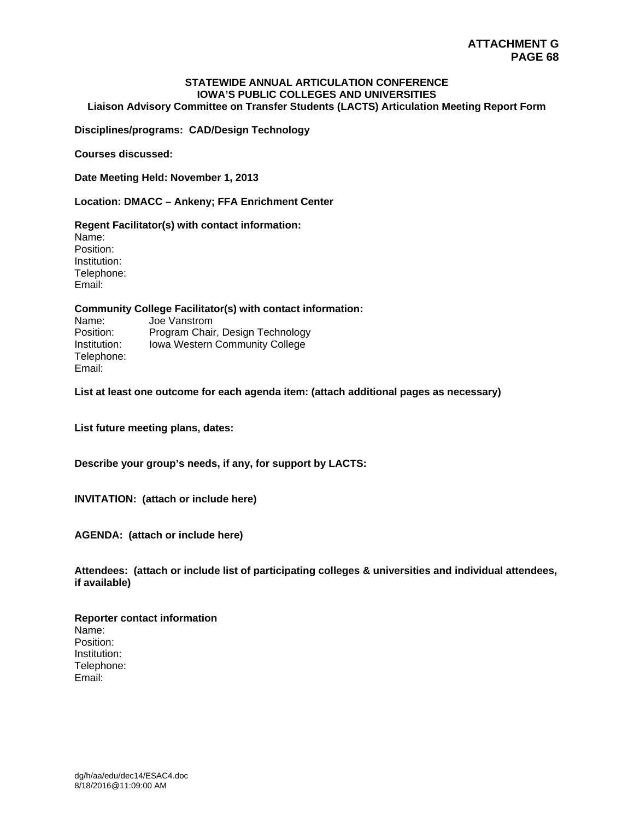# **STATEWIDE ANNUAL ARTICULATION CONFERENCE IOWA'S PUBLIC COLLEGES AND UNIVERSITIES**

**Liaison Advisory Committee on Transfer Students (LACTS) Articulation Meeting Report Form** 

**Disciplines/programs: CAD/Design Technology** 

**Courses discussed:** 

**Date Meeting Held: November 1, 2013** 

**Location: DMACC – Ankeny; FFA Enrichment Center** 

**Regent Facilitator(s) with contact information:** 

Name: Position: Institution: Telephone: Email:

#### **Community College Facilitator(s) with contact information:**

Name: Joe Vanstrom<br>Position: Program Chair Program Chair, Design Technology Institution: Iowa Western Community College Telephone: Email:

**List at least one outcome for each agenda item: (attach additional pages as necessary)** 

**List future meeting plans, dates:** 

**Describe your group's needs, if any, for support by LACTS:** 

**INVITATION: (attach or include here)** 

**AGENDA: (attach or include here)** 

**Attendees: (attach or include list of participating colleges & universities and individual attendees, if available)** 

**Reporter contact information**  Name: Position: Institution: Telephone: Email: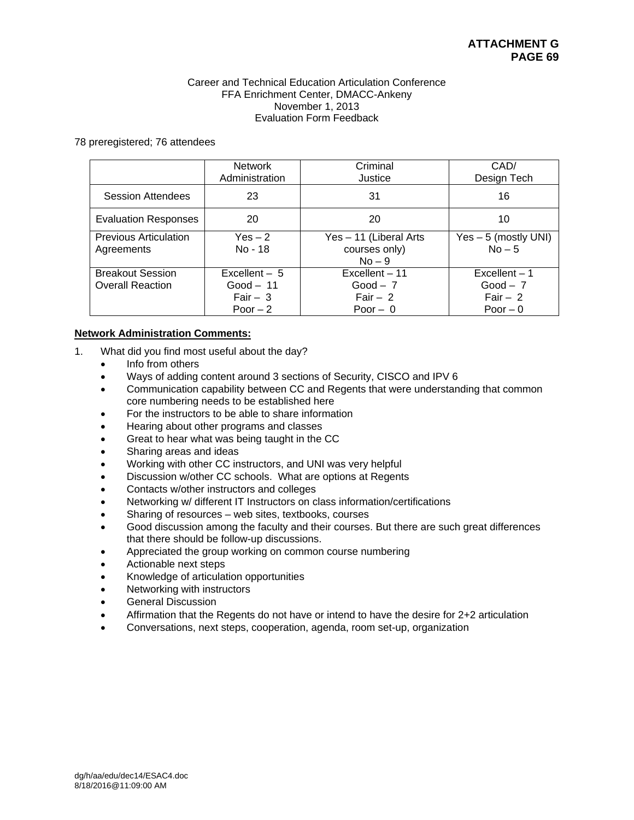#### Career and Technical Education Articulation Conference FFA Enrichment Center, DMACC-Ankeny November 1, 2013 Evaluation Form Feedback

#### 78 preregistered; 76 attendees

|                                                    | <b>Network</b><br>Administration                        | Criminal<br>Justice                                    | CAD/<br>Design Tech                                     |
|----------------------------------------------------|---------------------------------------------------------|--------------------------------------------------------|---------------------------------------------------------|
| <b>Session Attendees</b>                           | 23                                                      | 31                                                     | 16                                                      |
| <b>Evaluation Responses</b>                        | 20                                                      | 20                                                     | 10                                                      |
| <b>Previous Articulation</b><br>Agreements         | $Yes - 2$<br>No - 18                                    | Yes - 11 (Liberal Arts<br>courses only)<br>$No - 9$    | $Yes - 5$ (mostly UNI)<br>$No-5$                        |
| <b>Breakout Session</b><br><b>Overall Reaction</b> | Excellent $-5$<br>$Good - 11$<br>Fair $-3$<br>Poor $-2$ | Excellent - 11<br>$Good - 7$<br>Fair $-2$<br>Poor $-0$ | $Excellent - 1$<br>$Good - 7$<br>Fair $-2$<br>Poor $-0$ |

# **Network Administration Comments:**

- 1. What did you find most useful about the day?
	- Info from others
	- Ways of adding content around 3 sections of Security, CISCO and IPV 6
	- Communication capability between CC and Regents that were understanding that common core numbering needs to be established here
	- For the instructors to be able to share information
	- Hearing about other programs and classes
	- Great to hear what was being taught in the CC
	- Sharing areas and ideas
	- Working with other CC instructors, and UNI was very helpful
	- Discussion w/other CC schools. What are options at Regents
	- Contacts w/other instructors and colleges
	- Networking w/ different IT Instructors on class information/certifications
	- Sharing of resources web sites, textbooks, courses
	- Good discussion among the faculty and their courses. But there are such great differences that there should be follow-up discussions.
	- Appreciated the group working on common course numbering
	- Actionable next steps
	- Knowledge of articulation opportunities
	- Networking with instructors
	- General Discussion
	- Affirmation that the Regents do not have or intend to have the desire for 2+2 articulation
	- Conversations, next steps, cooperation, agenda, room set-up, organization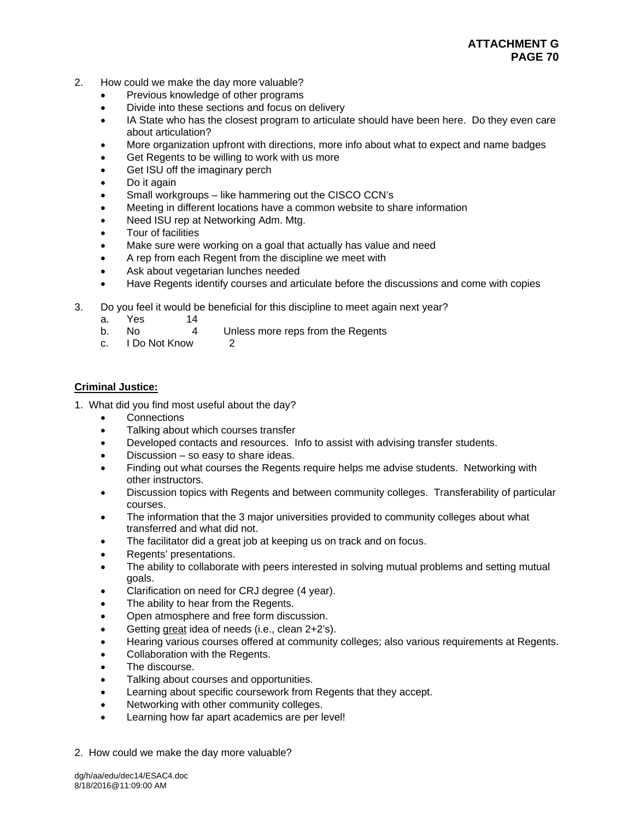# **ATTACHMENT G PAGE 70**

- 2. How could we make the day more valuable?
	- Previous knowledge of other programs
	- Divide into these sections and focus on delivery
	- IA State who has the closest program to articulate should have been here. Do they even care about articulation?
	- More organization upfront with directions, more info about what to expect and name badges
	- Get Regents to be willing to work with us more
	- Get ISU off the imaginary perch
	- Do it again
	- Small workgroups like hammering out the CISCO CCN's
	- Meeting in different locations have a common website to share information
	- Need ISU rep at Networking Adm. Mtg.
	- Tour of facilities
	- Make sure were working on a goal that actually has value and need
	- A rep from each Regent from the discipline we meet with
	- Ask about vegetarian lunches needed
	- Have Regents identify courses and articulate before the discussions and come with copies
- 3. Do you feel it would be beneficial for this discipline to meet again next year?
	- a. Yes 14
	- b. No 4 Unless more reps from the Regents
	- c. I Do Not Know 2

# **Criminal Justice:**

- 1. What did you find most useful about the day?
	- **Connections**
	- Talking about which courses transfer
	- Developed contacts and resources. Info to assist with advising transfer students.
	- Discussion so easy to share ideas.
	- Finding out what courses the Regents require helps me advise students. Networking with other instructors.
	- Discussion topics with Regents and between community colleges. Transferability of particular courses.
	- The information that the 3 major universities provided to community colleges about what transferred and what did not.
	- The facilitator did a great job at keeping us on track and on focus.
	- Regents' presentations.
	- The ability to collaborate with peers interested in solving mutual problems and setting mutual goals.
	- Clarification on need for CRJ degree (4 year).
	- The ability to hear from the Regents.
	- Open atmosphere and free form discussion.
	- Getting great idea of needs (i.e., clean 2+2's).
	- Hearing various courses offered at community colleges; also various requirements at Regents.
	- Collaboration with the Regents.
	- The discourse.
	- Talking about courses and opportunities.
	- Learning about specific coursework from Regents that they accept.
	- Networking with other community colleges.
	- Learning how far apart academics are per level!
- 2. How could we make the day more valuable?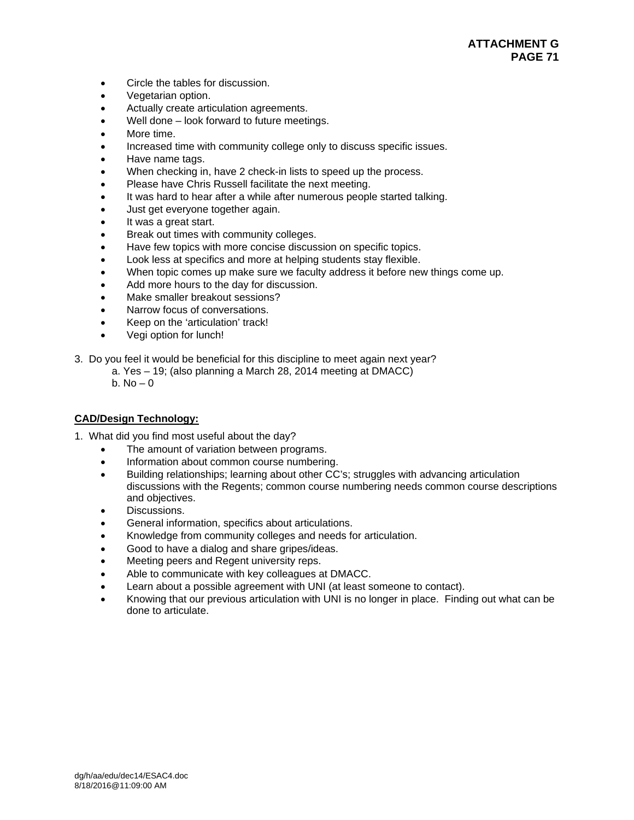- Circle the tables for discussion.
- Vegetarian option.
- Actually create articulation agreements.
- Well done look forward to future meetings.
- More time.
- Increased time with community college only to discuss specific issues.
- Have name tags.
- When checking in, have 2 check-in lists to speed up the process.
- Please have Chris Russell facilitate the next meeting.
- It was hard to hear after a while after numerous people started talking.
- Just get everyone together again.
- It was a great start.
- Break out times with community colleges.
- Have few topics with more concise discussion on specific topics.
- Look less at specifics and more at helping students stay flexible.
- When topic comes up make sure we faculty address it before new things come up.
- Add more hours to the day for discussion.
- Make smaller breakout sessions?
- Narrow focus of conversations.
- Keep on the 'articulation' track!
- Vegi option for lunch!
- 3. Do you feel it would be beneficial for this discipline to meet again next year?
	- a. Yes 19; (also planning a March 28, 2014 meeting at DMACC)

b.  $No - 0$ 

# **CAD/Design Technology:**

- 1. What did you find most useful about the day?
	- The amount of variation between programs.
	- Information about common course numbering.
	- Building relationships; learning about other CC's; struggles with advancing articulation discussions with the Regents; common course numbering needs common course descriptions and objectives.
	- Discussions.
	- General information, specifics about articulations.
	- Knowledge from community colleges and needs for articulation.
	- Good to have a dialog and share gripes/ideas.
	- Meeting peers and Regent university reps.
	- Able to communicate with key colleagues at DMACC.
	- Learn about a possible agreement with UNI (at least someone to contact).
	- Knowing that our previous articulation with UNI is no longer in place. Finding out what can be done to articulate.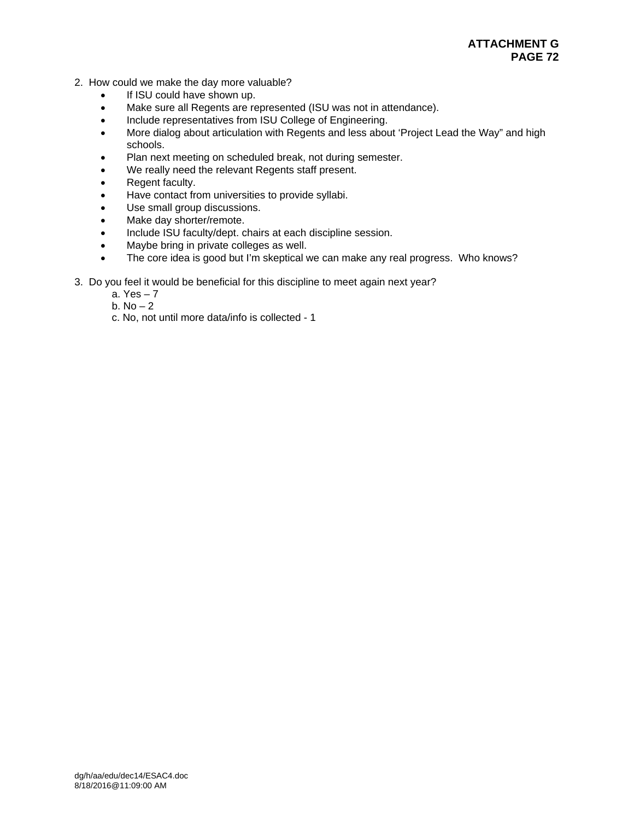# **ATTACHMENT G PAGE 72**

- 2. How could we make the day more valuable?
	- If ISU could have shown up.
	- Make sure all Regents are represented (ISU was not in attendance).
	- Include representatives from ISU College of Engineering.
	- More dialog about articulation with Regents and less about 'Project Lead the Way" and high schools.
	- Plan next meeting on scheduled break, not during semester.
	- We really need the relevant Regents staff present.
	- Regent faculty.
	- Have contact from universities to provide syllabi.
	- Use small group discussions.
	- Make day shorter/remote.
	- Include ISU faculty/dept. chairs at each discipline session.
	- Maybe bring in private colleges as well.
	- The core idea is good but I'm skeptical we can make any real progress. Who knows?
- 3. Do you feel it would be beneficial for this discipline to meet again next year?
	- a. Yes 7
	- b.  $No-2$
	- c. No, not until more data/info is collected 1